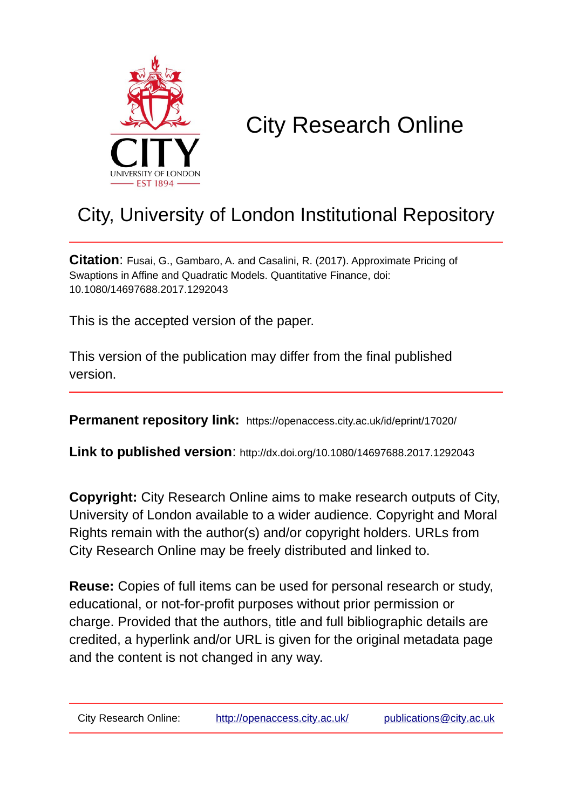

# City Research Online

# City, University of London Institutional Repository

**Citation**: Fusai, G., Gambaro, A. and Casalini, R. (2017). Approximate Pricing of Swaptions in Affine and Quadratic Models. Quantitative Finance, doi: 10.1080/14697688.2017.1292043

This is the accepted version of the paper.

This version of the publication may differ from the final published version.

**Permanent repository link:** https://openaccess.city.ac.uk/id/eprint/17020/

**Link to published version**: http://dx.doi.org/10.1080/14697688.2017.1292043

**Copyright:** City Research Online aims to make research outputs of City, University of London available to a wider audience. Copyright and Moral Rights remain with the author(s) and/or copyright holders. URLs from City Research Online may be freely distributed and linked to.

**Reuse:** Copies of full items can be used for personal research or study, educational, or not-for-profit purposes without prior permission or charge. Provided that the authors, title and full bibliographic details are credited, a hyperlink and/or URL is given for the original metadata page and the content is not changed in any way.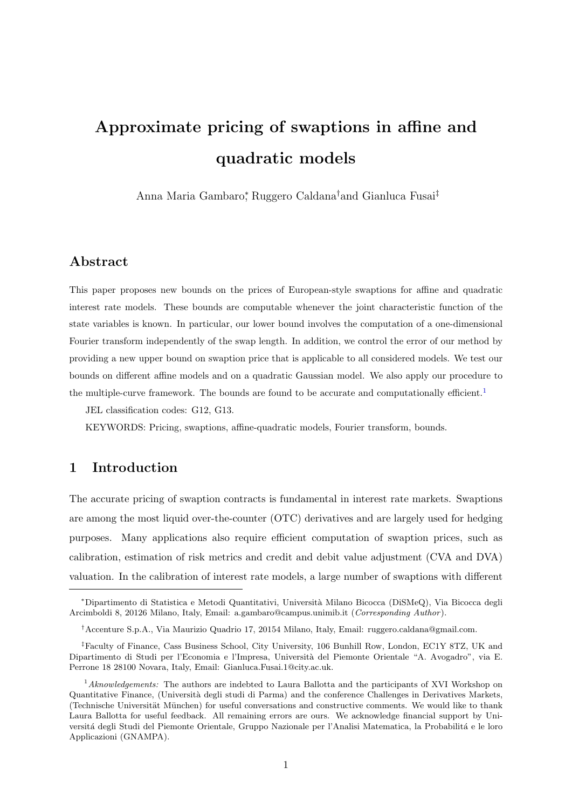# Approximate pricing of swaptions in affine and quadratic models

Anna Maria Gambaro<sup>∗</sup> , Ruggero Caldana†and Gianluca Fusai‡

# Abstract

This paper proposes new bounds on the prices of European-style swaptions for affine and quadratic interest rate models. These bounds are computable whenever the joint characteristic function of the state variables is known. In particular, our lower bound involves the computation of a one-dimensional Fourier transform independently of the swap length. In addition, we control the error of our method by providing a new upper bound on swaption price that is applicable to all considered models. We test our bounds on different affine models and on a quadratic Gaussian model. We also apply our procedure to the multiple-curve framework. The bounds are found to be accurate and computationally efficient.<sup>[1](#page-1-0)</sup>

JEL classification codes: G12, G13.

KEYWORDS: Pricing, swaptions, affine-quadratic models, Fourier transform, bounds.

# 1 Introduction

The accurate pricing of swaption contracts is fundamental in interest rate markets. Swaptions are among the most liquid over-the-counter (OTC) derivatives and are largely used for hedging purposes. Many applications also require efficient computation of swaption prices, such as calibration, estimation of risk metrics and credit and debit value adjustment (CVA and DVA) valuation. In the calibration of interest rate models, a large number of swaptions with different

<sup>∗</sup>Dipartimento di Statistica e Metodi Quantitativi, Universit`a Milano Bicocca (DiSMeQ), Via Bicocca degli Arcimboldi 8, 20126 Milano, Italy, Email: a.gambaro@campus.unimib.it (Corresponding Author).

<sup>†</sup>Accenture S.p.A., Via Maurizio Quadrio 17, 20154 Milano, Italy, Email: ruggero.caldana@gmail.com.

<sup>‡</sup>Faculty of Finance, Cass Business School, City University, 106 Bunhill Row, London, EC1Y 8TZ, UK and Dipartimento di Studi per l'Economia e l'Impresa, Università del Piemonte Orientale "A. Avogadro", via E. Perrone 18 28100 Novara, Italy, Email: Gianluca.Fusai.1@city.ac.uk.

<span id="page-1-0"></span> $1$ <sup>1</sup>Aknowledgements: The authors are indebted to Laura Ballotta and the participants of XVI Workshop on Quantitative Finance, (Universit`a degli studi di Parma) and the conference Challenges in Derivatives Markets, (Technische Universität München) for useful conversations and constructive comments. We would like to thank Laura Ballotta for useful feedback. All remaining errors are ours. We acknowledge financial support by Universitá degli Studi del Piemonte Orientale, Gruppo Nazionale per l'Analisi Matematica, la Probabilitá e le loro Applicazioni (GNAMPA).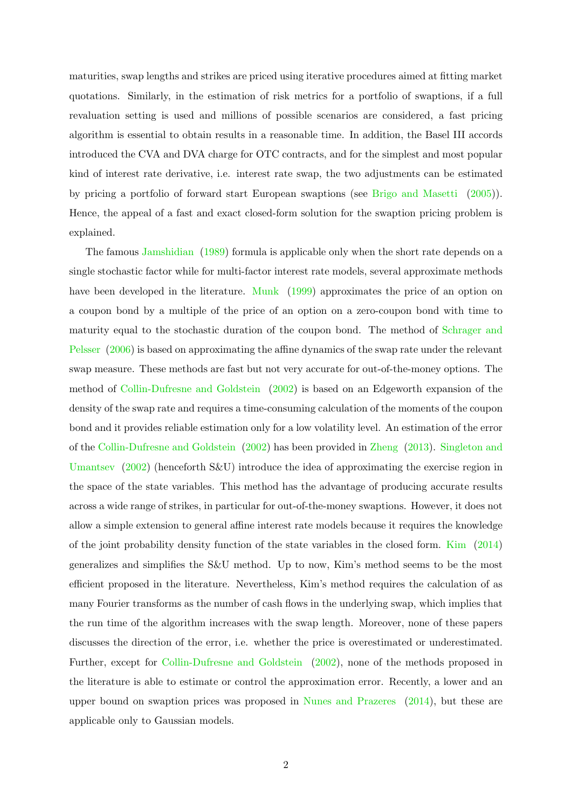maturities, swap lengths and strikes are priced using iterative procedures aimed at fitting market quotations. Similarly, in the estimation of risk metrics for a portfolio of swaptions, if a full revaluation setting is used and millions of possible scenarios are considered, a fast pricing algorithm is essential to obtain results in a reasonable time. In addition, the Basel III accords introduced the CVA and DVA charge for OTC contracts, and for the simplest and most popular kind of interest rate derivative, i.e. interest rate swap, the two adjustments can be estimated by pricing a portfolio of forward start European swaptions (see [Brigo and Masetti](#page-27-0) [\(2005\)](#page-27-0)). Hence, the appeal of a fast and exact closed-form solution for the swaption pricing problem is explained.

The famous [Jamshidian](#page-27-1) [\(1989\)](#page-27-1) formula is applicable only when the short rate depends on a single stochastic factor while for multi-factor interest rate models, several approximate methods have been developed in the literature. [Munk](#page-28-0) [\(1999\)](#page-28-0) approximates the price of an option on a coupon bond by a multiple of the price of an option on a zero-coupon bond with time to maturity equal to the stochastic duration of the coupon bond. The method of [Schrager and](#page-28-1) [Pelsser](#page-28-1) [\(2006\)](#page-28-1) is based on approximating the affine dynamics of the swap rate under the relevant swap measure. These methods are fast but not very accurate for out-of-the-money options. The method of [Collin-Dufresne and Goldstein](#page-27-2) [\(2002\)](#page-27-2) is based on an Edgeworth expansion of the density of the swap rate and requires a time-consuming calculation of the moments of the coupon bond and it provides reliable estimation only for a low volatility level. An estimation of the error of the [Collin-Dufresne and Goldstein](#page-27-2) [\(2002\)](#page-27-2) has been provided in [Zheng](#page-28-2) [\(2013\)](#page-28-2). [Singleton and](#page-28-3) [Umantsev](#page-28-3) [\(2002\)](#page-28-3) (henceforth S&U) introduce the idea of approximating the exercise region in the space of the state variables. This method has the advantage of producing accurate results across a wide range of strikes, in particular for out-of-the-money swaptions. However, it does not allow a simple extension to general affine interest rate models because it requires the knowledge of the joint probability density function of the state variables in the closed form. [Kim](#page-27-3) [\(2014\)](#page-27-3) generalizes and simplifies the S&U method. Up to now, Kim's method seems to be the most efficient proposed in the literature. Nevertheless, Kim's method requires the calculation of as many Fourier transforms as the number of cash flows in the underlying swap, which implies that the run time of the algorithm increases with the swap length. Moreover, none of these papers discusses the direction of the error, i.e. whether the price is overestimated or underestimated. Further, except for [Collin-Dufresne and Goldstein](#page-27-2) [\(2002\)](#page-27-2), none of the methods proposed in the literature is able to estimate or control the approximation error. Recently, a lower and an upper bound on swaption prices was proposed in [Nunes and Prazeres](#page-28-4) [\(2014\)](#page-28-4), but these are applicable only to Gaussian models.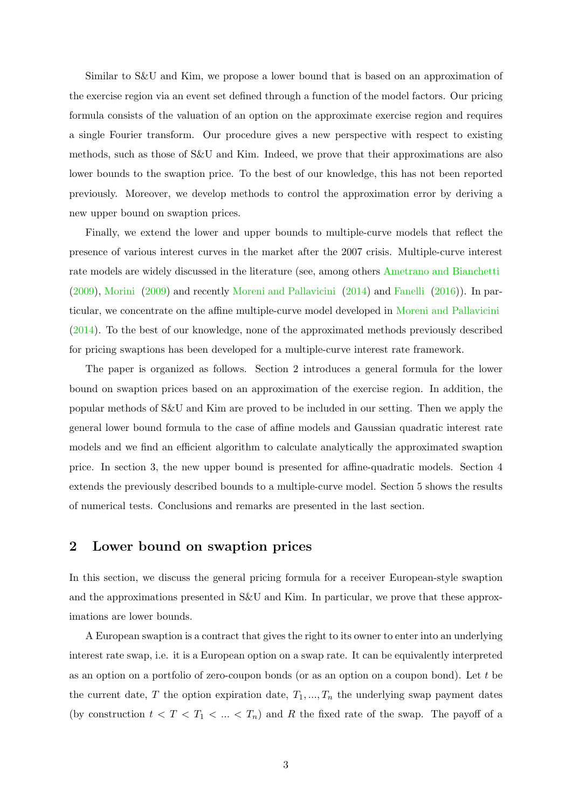Similar to S&U and Kim, we propose a lower bound that is based on an approximation of the exercise region via an event set defined through a function of the model factors. Our pricing formula consists of the valuation of an option on the approximate exercise region and requires a single Fourier transform. Our procedure gives a new perspective with respect to existing methods, such as those of S&U and Kim. Indeed, we prove that their approximations are also lower bounds to the swaption price. To the best of our knowledge, this has not been reported previously. Moreover, we develop methods to control the approximation error by deriving a new upper bound on swaption prices.

Finally, we extend the lower and upper bounds to multiple-curve models that reflect the presence of various interest curves in the market after the 2007 crisis. Multiple-curve interest rate models are widely discussed in the literature (see, among others [Ametrano and Bianchetti](#page-27-4) [\(2009\)](#page-27-4), [Morini](#page-28-5) [\(2009\)](#page-28-5) and recently [Moreni and Pallavicini](#page-28-6) [\(2014\)](#page-28-6) and [Fanelli](#page-27-5) [\(2016\)](#page-27-5)). In particular, we concentrate on the affine multiple-curve model developed in [Moreni and Pallavicini](#page-28-6) [\(2014\)](#page-28-6). To the best of our knowledge, none of the approximated methods previously described for pricing swaptions has been developed for a multiple-curve interest rate framework.

The paper is organized as follows. Section 2 introduces a general formula for the lower bound on swaption prices based on an approximation of the exercise region. In addition, the popular methods of S&U and Kim are proved to be included in our setting. Then we apply the general lower bound formula to the case of affine models and Gaussian quadratic interest rate models and we find an efficient algorithm to calculate analytically the approximated swaption price. In section 3, the new upper bound is presented for affine-quadratic models. Section 4 extends the previously described bounds to a multiple-curve model. Section 5 shows the results of numerical tests. Conclusions and remarks are presented in the last section.

# <span id="page-3-0"></span>2 Lower bound on swaption prices

In this section, we discuss the general pricing formula for a receiver European-style swaption and the approximations presented in S&U and Kim. In particular, we prove that these approximations are lower bounds.

A European swaption is a contract that gives the right to its owner to enter into an underlying interest rate swap, i.e. it is a European option on a swap rate. It can be equivalently interpreted as an option on a portfolio of zero-coupon bonds (or as an option on a coupon bond). Let t be the current date, T the option expiration date,  $T_1, ..., T_n$  the underlying swap payment dates (by construction  $t < T < T_1 < ... < T_n$ ) and R the fixed rate of the swap. The payoff of a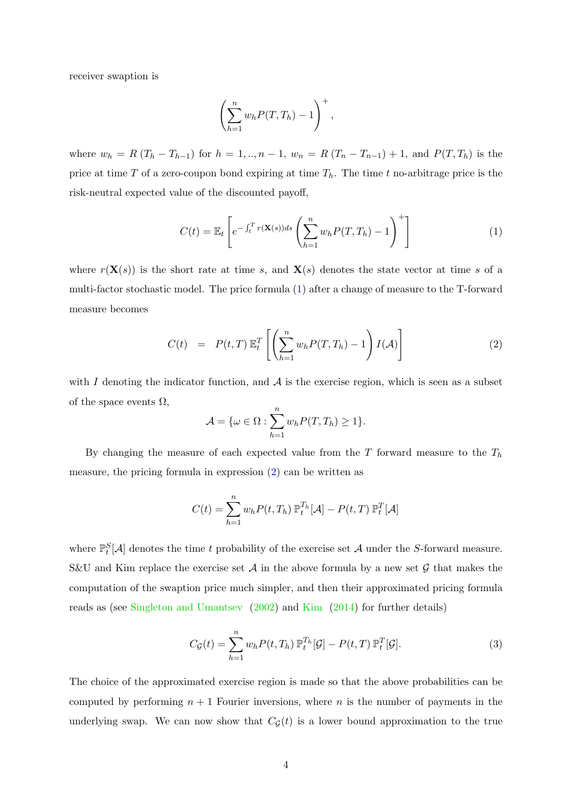receiver swaption is

<span id="page-4-0"></span>
$$
\left(\sum_{h=1}^n w_h P(T, T_h) - 1\right)^+,
$$

where  $w_h = R (T_h - T_{h-1})$  for  $h = 1, ..., n-1$ ,  $w_n = R (T_n - T_{n-1}) + 1$ , and  $P(T, T_h)$  is the price at time T of a zero-coupon bond expiring at time  $T_h$ . The time t no-arbitrage price is the risk-neutral expected value of the discounted payoff,

$$
C(t) = \mathbb{E}_t \left[ e^{-\int_t^T r(\mathbf{X}(s))ds} \left( \sum_{h=1}^n w_h P(T, T_h) - 1 \right)^+ \right]
$$
 (1)

where  $r(\mathbf{X}(s))$  is the short rate at time s, and  $\mathbf{X}(s)$  denotes the state vector at time s of a multi-factor stochastic model. The price formula [\(1\)](#page-4-0) after a change of measure to the T-forward measure becomes

<span id="page-4-1"></span>
$$
C(t) = P(t,T) \mathbb{E}_t^T \left[ \left( \sum_{h=1}^n w_h P(T,T_h) - 1 \right) I(\mathcal{A}) \right] \tag{2}
$$

with I denoting the indicator function, and  $A$  is the exercise region, which is seen as a subset of the space events  $\Omega$ ,

$$
\mathcal{A} = \{ \omega \in \Omega : \sum_{h=1}^{n} w_h P(T, T_h) \ge 1 \}.
$$

By changing the measure of each expected value from the  $T$  forward measure to the  $T_h$ measure, the pricing formula in expression [\(2\)](#page-4-1) can be written as

<span id="page-4-2"></span>
$$
C(t) = \sum_{h=1}^{n} w_h P(t, T_h) \mathbb{P}_t^{T_h}[\mathcal{A}] - P(t, T) \mathbb{P}_t^{T}[\mathcal{A}]
$$

where  $\mathbb{P}_t^S[\mathcal{A}]$  denotes the time t probability of the exercise set A under the S-forward measure. S&U and Kim replace the exercise set  $A$  in the above formula by a new set  $G$  that makes the computation of the swaption price much simpler, and then their approximated pricing formula reads as (see [Singleton and Umantsev](#page-28-3) [\(2002\)](#page-28-3) and [Kim](#page-27-3) [\(2014\)](#page-27-3) for further details)

$$
C_{\mathcal{G}}(t) = \sum_{h=1}^{n} w_h P(t, T_h) \mathbb{P}_t^{T_h}[\mathcal{G}] - P(t, T) \mathbb{P}_t^{T}[\mathcal{G}].
$$
\n(3)

The choice of the approximated exercise region is made so that the above probabilities can be computed by performing  $n + 1$  Fourier inversions, where n is the number of payments in the underlying swap. We can now show that  $C_{\mathcal{G}}(t)$  is a lower bound approximation to the true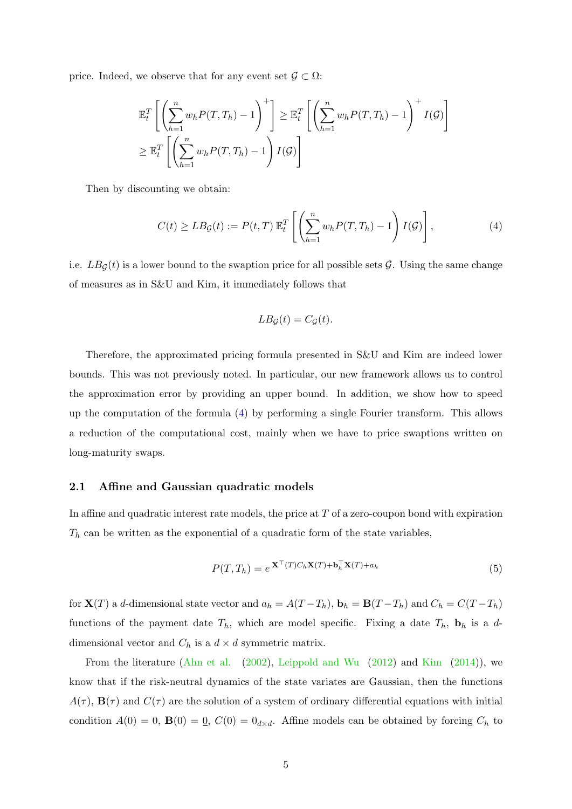price. Indeed, we observe that for any event set  $\mathcal{G} \subset \Omega$ :

<span id="page-5-0"></span>
$$
\mathbb{E}_t^T \left[ \left( \sum_{h=1}^n w_h P(T, T_h) - 1 \right)^+ \right] \geq \mathbb{E}_t^T \left[ \left( \sum_{h=1}^n w_h P(T, T_h) - 1 \right)^+ I(\mathcal{G}) \right]
$$
  

$$
\geq \mathbb{E}_t^T \left[ \left( \sum_{h=1}^n w_h P(T, T_h) - 1 \right) I(\mathcal{G}) \right]
$$

Then by discounting we obtain:

$$
C(t) \ge L B_{\mathcal{G}}(t) := P(t,T) \mathbb{E}_t^T \left[ \left( \sum_{h=1}^n w_h P(T,T_h) - 1 \right) I(\mathcal{G}) \right], \tag{4}
$$

i.e.  $LB<sub>G</sub>(t)$  is a lower bound to the swaption price for all possible sets G. Using the same change of measures as in S&U and Kim, it immediately follows that

<span id="page-5-2"></span>
$$
LB_{\mathcal{G}}(t) = C_{\mathcal{G}}(t).
$$

Therefore, the approximated pricing formula presented in S&U and Kim are indeed lower bounds. This was not previously noted. In particular, our new framework allows us to control the approximation error by providing an upper bound. In addition, we show how to speed up the computation of the formula [\(4\)](#page-5-0) by performing a single Fourier transform. This allows a reduction of the computational cost, mainly when we have to price swaptions written on long-maturity swaps.

#### <span id="page-5-1"></span>2.1 Affine and Gaussian quadratic models

In affine and quadratic interest rate models, the price at  $T$  of a zero-coupon bond with expiration  $T_h$  can be written as the exponential of a quadratic form of the state variables,

$$
P(T, T_h) = e^{\mathbf{X}^\top(T)C_h \mathbf{X}(T) + \mathbf{b}_h^\top \mathbf{X}(T) + a_h}
$$
\n(5)

for  $\mathbf{X}(T)$  a d-dimensional state vector and  $a_h = A(T - T_h)$ ,  $\mathbf{b}_h = \mathbf{B}(T - T_h)$  and  $C_h = C(T - T_h)$ functions of the payment date  $T_h$ , which are model specific. Fixing a date  $T_h$ ,  $\mathbf{b}_h$  is a ddimensional vector and  $C_h$  is a  $d \times d$  symmetric matrix.

From the literature [\(Ahn et al.](#page-27-6) [\(2002\)](#page-27-6), [Leippold and Wu](#page-27-7) [\(2012\)](#page-27-7) and [Kim](#page-27-3) [\(2014\)](#page-27-3)), we know that if the risk-neutral dynamics of the state variates are Gaussian, then the functions  $A(\tau)$ ,  $B(\tau)$  and  $C(\tau)$  are the solution of a system of ordinary differential equations with initial condition  $A(0) = 0$ ,  $B(0) = 0$ ,  $C(0) = 0_{d \times d}$ . Affine models can be obtained by forcing  $C_h$  to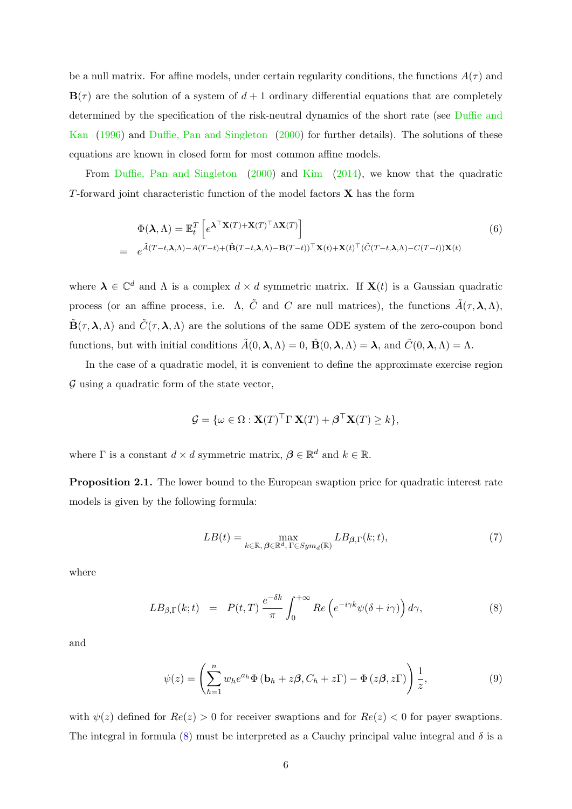be a null matrix. For affine models, under certain regularity conditions, the functions  $A(\tau)$  and  $\mathbf{B}(\tau)$  are the solution of a system of  $d+1$  ordinary differential equations that are completely determined by the specification of the risk-neutral dynamics of the short rate (see [Duffie and](#page-27-8) [Kan](#page-27-8) [\(1996\)](#page-27-8) and [Duffie, Pan and Singleton](#page-27-9) [\(2000\)](#page-27-9) for further details). The solutions of these equations are known in closed form for most common affine models.

From [Duffie, Pan and Singleton](#page-27-9) [\(2000\)](#page-27-9) and [Kim](#page-27-3) [\(2014\)](#page-27-3), we know that the quadratic T-forward joint characteristic function of the model factors  $X$  has the form

<span id="page-6-3"></span>
$$
\Phi(\mathbf{\lambda}, \Lambda) = \mathbb{E}_t^T \left[ e^{\mathbf{\lambda}^\top \mathbf{X}(T) + \mathbf{X}(T)^\top \Lambda \mathbf{X}(T)} \right]
$$
\n
$$
= e^{\tilde{A}(T-t,\mathbf{\lambda},\Lambda) - A(T-t) + (\tilde{\mathbf{B}}(T-t,\mathbf{\lambda},\Lambda) - \mathbf{B}(T-t))^{\top} \mathbf{X}(t) + \mathbf{X}(t)^{\top} (\tilde{C}(T-t,\mathbf{\lambda},\Lambda) - C(T-t)) \mathbf{X}(t)}
$$
\n(6)

where  $\lambda \in \mathbb{C}^d$  and  $\Lambda$  is a complex  $d \times d$  symmetric matrix. If  $\mathbf{X}(t)$  is a Gaussian quadratic process (or an affine process, i.e.  $\Lambda$ ,  $\tilde{C}$  and  $C$  are null matrices), the functions  $\tilde{A}(\tau,\lambda,\Lambda)$ ,  $\tilde{\mathbf{B}}(\tau,\lambda,\Lambda)$  and  $\tilde{C}(\tau,\lambda,\Lambda)$  are the solutions of the same ODE system of the zero-coupon bond functions, but with initial conditions  $\tilde{A}(0, \lambda, \Lambda) = 0$ ,  $\tilde{B}(0, \lambda, \Lambda) = \lambda$ , and  $\tilde{C}(0, \lambda, \Lambda) = \Lambda$ .

In the case of a quadratic model, it is convenient to define the approximate exercise region  $\mathcal G$  using a quadratic form of the state vector,

<span id="page-6-1"></span>
$$
\mathcal{G} = \{ \omega \in \Omega : \mathbf{X}(T)^{\top} \Gamma \mathbf{X}(T) + \boldsymbol{\beta}^{\top} \mathbf{X}(T) \geq k \},
$$

where  $\Gamma$  is a constant  $d \times d$  symmetric matrix,  $\boldsymbol{\beta} \in \mathbb{R}^d$  and  $k \in \mathbb{R}$ .

<span id="page-6-2"></span>Proposition 2.1. The lower bound to the European swaption price for quadratic interest rate models is given by the following formula:

$$
LB(t) = \max_{k \in \mathbb{R}, \, \beta \in \mathbb{R}^d, \, \Gamma \in Sym_d(\mathbb{R})} LB_{\beta, \Gamma}(k; t),\tag{7}
$$

where

<span id="page-6-0"></span>
$$
LB_{\beta,\Gamma}(k;t) = P(t,T) \frac{e^{-\delta k}}{\pi} \int_0^{+\infty} Re\left(e^{-i\gamma k}\psi(\delta+i\gamma)\right) d\gamma,
$$
\n(8)

and

$$
\psi(z) = \left(\sum_{h=1}^{n} w_h e^{a_h} \Phi\left(\mathbf{b}_h + z\boldsymbol{\beta}, C_h + z\Gamma\right) - \Phi\left(z\boldsymbol{\beta}, z\Gamma\right)\right) \frac{1}{z},\tag{9}
$$

with  $\psi(z)$  defined for  $Re(z) > 0$  for receiver swaptions and for  $Re(z) < 0$  for payer swaptions. The integral in formula [\(8\)](#page-6-0) must be interpreted as a Cauchy principal value integral and  $\delta$  is a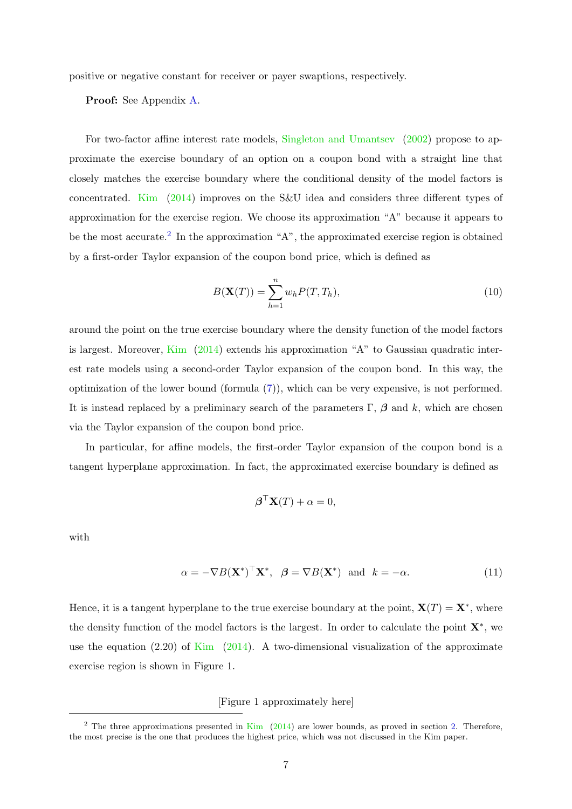positive or negative constant for receiver or payer swaptions, respectively.

Proof: See Appendix [A.](#page-29-0)

For two-factor affine interest rate models, [Singleton and Umantsev](#page-28-3) [\(2002\)](#page-28-3) propose to approximate the exercise boundary of an option on a coupon bond with a straight line that closely matches the exercise boundary where the conditional density of the model factors is concentrated. [Kim](#page-27-3) [\(2014\)](#page-27-3) improves on the S&U idea and considers three different types of approximation for the exercise region. We choose its approximation "A" because it appears to be the most accurate.<sup>[2](#page-7-0)</sup> In the approximation "A", the approximated exercise region is obtained by a first-order Taylor expansion of the coupon bond price, which is defined as

<span id="page-7-1"></span>
$$
B(\mathbf{X}(T)) = \sum_{h=1}^{n} w_h P(T, T_h), \qquad (10)
$$

around the point on the true exercise boundary where the density function of the model factors is largest. Moreover, [Kim](#page-27-3) [\(2014\)](#page-27-3) extends his approximation "A" to Gaussian quadratic interest rate models using a second-order Taylor expansion of the coupon bond. In this way, the optimization of the lower bound (formula [\(7\)](#page-6-1)), which can be very expensive, is not performed. It is instead replaced by a preliminary search of the parameters  $\Gamma$ ,  $\beta$  and k, which are chosen via the Taylor expansion of the coupon bond price.

In particular, for affine models, the first-order Taylor expansion of the coupon bond is a tangent hyperplane approximation. In fact, the approximated exercise boundary is defined as

<span id="page-7-2"></span>
$$
\boldsymbol{\beta}^{\top} \mathbf{X}(T) + \alpha = 0,
$$

with

$$
\alpha = -\nabla B(\mathbf{X}^*)^\top \mathbf{X}^*, \quad \beta = \nabla B(\mathbf{X}^*) \quad \text{and} \quad k = -\alpha. \tag{11}
$$

Hence, it is a tangent hyperplane to the true exercise boundary at the point,  $\mathbf{X}(T) = \mathbf{X}^*$ , where the density function of the model factors is the largest. In order to calculate the point  $\mathbf{X}^*$ , we use the equation  $(2.20)$  of [Kim](#page-27-3)  $(2014)$ . A two-dimensional visualization of the approximate exercise region is shown in Figure 1.

[Figure 1 approximately here]

<span id="page-7-0"></span><sup>&</sup>lt;sup>2</sup> The three approximations presented in [Kim](#page-27-3)  $(2014)$  are lower bounds, as proved in section [2.](#page-3-0) Therefore, the most precise is the one that produces the highest price, which was not discussed in the Kim paper.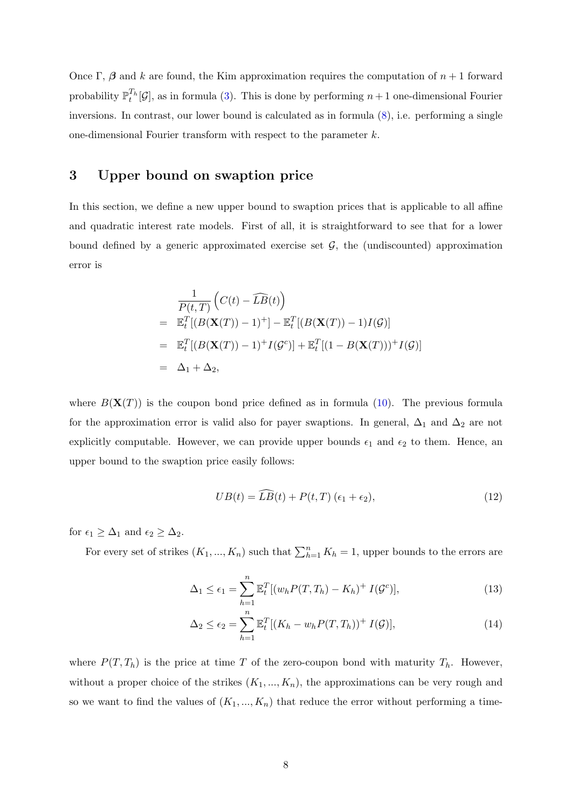Once Γ, β and k are found, the Kim approximation requires the computation of  $n + 1$  forward probability  $\mathbb{P}_{t}^{T_h}[\mathcal{G}]$ , as in formula [\(3\)](#page-4-2). This is done by performing  $n+1$  one-dimensional Fourier inversions. In contrast, our lower bound is calculated as in formula [\(8\)](#page-6-0), i.e. performing a single one-dimensional Fourier transform with respect to the parameter k.

## 3 Upper bound on swaption price

In this section, we define a new upper bound to swaption prices that is applicable to all affine and quadratic interest rate models. First of all, it is straightforward to see that for a lower bound defined by a generic approximated exercise set  $G$ , the (undiscounted) approximation error is

<span id="page-8-1"></span>
$$
\frac{1}{P(t,T)} \left( C(t) - \widehat{LB}(t) \right)
$$
\n
$$
= \mathbb{E}_t^T \left[ (B(\mathbf{X}(T)) - 1)^+ \right] - \mathbb{E}_t^T \left[ (B(\mathbf{X}(T)) - 1)I(\mathcal{G}) \right]
$$
\n
$$
= \mathbb{E}_t^T \left[ (B(\mathbf{X}(T)) - 1)^+ I(\mathcal{G}^c) \right] + \mathbb{E}_t^T \left[ (1 - B(\mathbf{X}(T)))^+ I(\mathcal{G}) \right]
$$
\n
$$
= \Delta_1 + \Delta_2,
$$

where  $B(\mathbf{X}(T))$  is the coupon bond price defined as in formula [\(10\)](#page-7-1). The previous formula for the approximation error is valid also for payer swaptions. In general,  $\Delta_1$  and  $\Delta_2$  are not explicitly computable. However, we can provide upper bounds  $\epsilon_1$  and  $\epsilon_2$  to them. Hence, an upper bound to the swaption price easily follows:

$$
UB(t) = \widehat{LB}(t) + P(t, T) \left(\epsilon_1 + \epsilon_2\right),\tag{12}
$$

for  $\epsilon_1 \geq \Delta_1$  and  $\epsilon_2 \geq \Delta_2$ .

For every set of strikes  $(K_1, ..., K_n)$  such that  $\sum_{h=1}^n K_h = 1$ , upper bounds to the errors are

<span id="page-8-0"></span>
$$
\Delta_1 \le \epsilon_1 = \sum_{h=1}^n \mathbb{E}_t^T \left[ (w_h P(T, T_h) - K_h)^+ I(\mathcal{G}^c) \right],\tag{13}
$$

$$
\Delta_2 \le \epsilon_2 = \sum_{h=1}^n \mathbb{E}_t^T [(K_h - w_h P(T, T_h))^+ I(\mathcal{G})],\tag{14}
$$

where  $P(T, T_h)$  is the price at time T of the zero-coupon bond with maturity  $T_h$ . However, without a proper choice of the strikes  $(K_1, ..., K_n)$ , the approximations can be very rough and so we want to find the values of  $(K_1, ..., K_n)$  that reduce the error without performing a time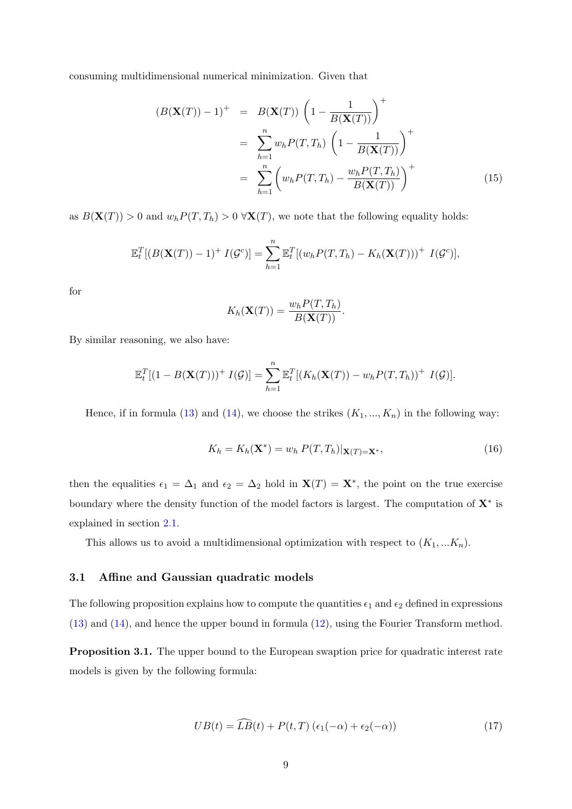consuming multidimensional numerical minimization. Given that

$$
(B(\mathbf{X}(T)) - 1)^{+} = B(\mathbf{X}(T)) \left(1 - \frac{1}{B(\mathbf{X}(T))}\right)^{+}
$$

$$
= \sum_{h=1}^{n} w_h P(T, T_h) \left(1 - \frac{1}{B(\mathbf{X}(T))}\right)^{+}
$$

$$
= \sum_{h=1}^{n} \left(w_h P(T, T_h) - \frac{w_h P(T, T_h)}{B(\mathbf{X}(T))}\right)^{+}
$$
(15)

as  $B(\mathbf{X}(T)) > 0$  and  $w_h P(T, T_h) > 0 \ \forall \mathbf{X}(T)$ , we note that the following equality holds:

<span id="page-9-0"></span>
$$
\mathbb{E}_t^T[(B(\mathbf{X}(T))-1)^+ I(\mathcal{G}^c)] = \sum_{h=1}^n \mathbb{E}_t^T[(w_h P(T, T_h) - K_h(\mathbf{X}(T)))^+ I(\mathcal{G}^c)],
$$

for

$$
K_h(\mathbf{X}(T)) = \frac{w_h P(T, T_h)}{B(\mathbf{X}(T))}.
$$

By similar reasoning, we also have:

$$
\mathbb{E}_t^T[(1-B(\mathbf{X}(T)))^+ I(\mathcal{G})] = \sum_{h=1}^n \mathbb{E}_t^T[(K_h(\mathbf{X}(T)) - w_h P(T, T_h))^+ I(\mathcal{G})].
$$

Hence, if in formula [\(13\)](#page-8-0) and [\(14\)](#page-8-0), we choose the strikes  $(K_1, ..., K_n)$  in the following way:

$$
K_h = K_h(\mathbf{X}^*) = w_h \, P(T, T_h)|_{\mathbf{X}(T) = \mathbf{X}^*},\tag{16}
$$

then the equalities  $\epsilon_1 = \Delta_1$  and  $\epsilon_2 = \Delta_2$  hold in  $\mathbf{X}(T) = \mathbf{X}^*$ , the point on the true exercise boundary where the density function of the model factors is largest. The computation of  $X^*$  is explained in section [2.1.](#page-5-1)

This allows us to avoid a multidimensional optimization with respect to  $(K_1, ... K_n)$ .

### 3.1 Affine and Gaussian quadratic models

The following proposition explains how to compute the quantities  $\epsilon_1$  and  $\epsilon_2$  defined in expressions [\(13\)](#page-8-0) and [\(14\)](#page-8-0), and hence the upper bound in formula [\(12\)](#page-8-1), using the Fourier Transform method.

<span id="page-9-1"></span>Proposition 3.1. The upper bound to the European swaption price for quadratic interest rate models is given by the following formula:

$$
UB(t) = \widehat{LB}(t) + P(t, T) \left(\epsilon_1(-\alpha) + \epsilon_2(-\alpha)\right) \tag{17}
$$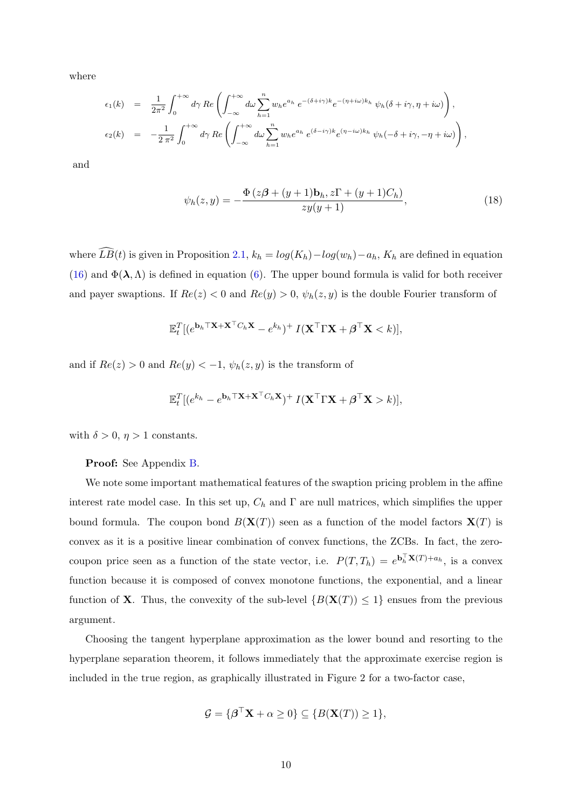where

$$
\epsilon_1(k) = \frac{1}{2\pi^2} \int_0^{+\infty} d\gamma \, Re \left( \int_{-\infty}^{+\infty} d\omega \sum_{h=1}^n w_h e^{a_h} \, e^{-(\delta + i\gamma)k} e^{-(\eta + i\omega)k_h} \, \psi_h(\delta + i\gamma, \eta + i\omega) \right),
$$
  

$$
\epsilon_2(k) = -\frac{1}{2\pi^2} \int_0^{+\infty} d\gamma \, Re \left( \int_{-\infty}^{+\infty} d\omega \sum_{h=1}^n w_h e^{a_h} \, e^{(\delta - i\gamma)k} e^{(\eta - i\omega)k_h} \, \psi_h(-\delta + i\gamma, -\eta + i\omega) \right),
$$

and

$$
\psi_h(z, y) = -\frac{\Phi(z\beta + (y+1)b_h, z\Gamma + (y+1)C_h)}{zy(y+1)},
$$
\n(18)

where  $\widehat{LB}(t)$  is given in Proposition [2.1,](#page-6-2)  $k_h = log(K_h) - log(w_h) - a_h$ ,  $K_h$  are defined in equation [\(16\)](#page-9-0) and  $\Phi(\lambda, \Lambda)$  is defined in equation [\(6\)](#page-6-3). The upper bound formula is valid for both receiver and payer swaptions. If  $Re(z) < 0$  and  $Re(y) > 0$ ,  $\psi_h(z, y)$  is the double Fourier transform of

$$
\mathbb{E}_{t}^{T}[(e^{\mathbf{b}_{h} \top \mathbf{X} + \mathbf{X}^{\top} C_{h} \mathbf{X}} - e^{k_{h}})^{+} I(\mathbf{X}^{\top} \Gamma \mathbf{X} + \boldsymbol{\beta}^{\top} \mathbf{X} < k)],
$$

and if  $Re(z) > 0$  and  $Re(y) < -1$ ,  $\psi_h(z, y)$  is the transform of

$$
\mathbb{E}_t^T[(e^{k_h}-e^{\mathbf{b}_h \top \mathbf{X}+\mathbf{X}^\top C_h \mathbf{X}})^+ I(\mathbf{X}^\top \Gamma \mathbf{X} + \boldsymbol{\beta}^\top \mathbf{X}>k)],
$$

with  $\delta > 0$ ,  $\eta > 1$  constants.

### Proof: See Appendix [B.](#page-30-0)

We note some important mathematical features of the swaption pricing problem in the affine interest rate model case. In this set up,  $C_h$  and  $\Gamma$  are null matrices, which simplifies the upper bound formula. The coupon bond  $B(X(T))$  seen as a function of the model factors  $X(T)$  is convex as it is a positive linear combination of convex functions, the ZCBs. In fact, the zerocoupon price seen as a function of the state vector, i.e.  $P(T,T_h) = e^{\mathbf{b}_h^{\top} \mathbf{X}(T) + a_h}$ , is a convex function because it is composed of convex monotone functions, the exponential, and a linear function of **X**. Thus, the convexity of the sub-level  $\{B(\mathbf{X}(T)) \leq 1\}$  ensues from the previous argument.

Choosing the tangent hyperplane approximation as the lower bound and resorting to the hyperplane separation theorem, it follows immediately that the approximate exercise region is included in the true region, as graphically illustrated in Figure 2 for a two-factor case,

$$
\mathcal{G} = \{ \boldsymbol{\beta}^\top \mathbf{X} + \alpha \ge 0 \} \subseteq \{ B(\mathbf{X}(T)) \ge 1 \},
$$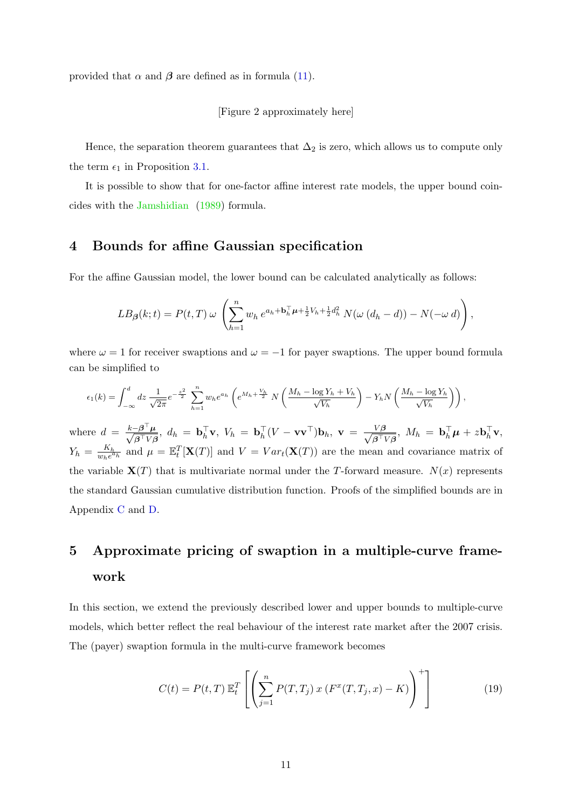provided that  $\alpha$  and  $\beta$  are defined as in formula [\(11\)](#page-7-2).

[Figure 2 approximately here]

Hence, the separation theorem guarantees that  $\Delta_2$  is zero, which allows us to compute only the term  $\epsilon_1$  in Proposition [3.1.](#page-9-1)

It is possible to show that for one-factor affine interest rate models, the upper bound coincides with the [Jamshidian](#page-27-1) [\(1989\)](#page-27-1) formula.

## <span id="page-11-1"></span>4 Bounds for affine Gaussian specification

For the affine Gaussian model, the lower bound can be calculated analytically as follows:

$$
LB_{\beta}(k;t) = P(t,T) \omega \left( \sum_{h=1}^{n} w_h e^{a_h + b_h^{\top} \mu + \frac{1}{2} V_h + \frac{1}{2} d_h^2} N(\omega (d_h - d)) - N(-\omega d) \right),
$$

where  $\omega = 1$  for receiver swaptions and  $\omega = -1$  for payer swaptions. The upper bound formula can be simplified to

$$
\epsilon_1(k) = \int_{-\infty}^d dz \frac{1}{\sqrt{2\pi}} e^{-\frac{z^2}{2}} \sum_{h=1}^n w_h e^{a_h} \left( e^{M_h + \frac{V_h}{2}} N \left( \frac{M_h - \log Y_h + V_h}{\sqrt{V_h}} \right) - Y_h N \left( \frac{M_h - \log Y_h}{\sqrt{V_h}} \right) \right),
$$

where  $d = \frac{k - \beta^{\top} \mu}{\sqrt{2 \pi k n}}$  $\frac{-\boldsymbol{\beta}^\top \boldsymbol{\mu}}{\boldsymbol{\beta}^\top V \boldsymbol{\beta}}, \,\, d_h \, = \, \mathbf{b}_h^\top \mathbf{v}, \,\, V_h \, = \, \mathbf{b}_h^\top (V - \mathbf{v} \mathbf{v}^\top) \mathbf{b}_h, \,\, \mathbf{v} \, = \, \frac{V\boldsymbol{\beta}}{\sqrt{\boldsymbol{\beta}^\top \boldsymbol{v}}}$  $\frac{V\boldsymbol{\beta}}{\boldsymbol{\beta}^{\top}V\boldsymbol{\beta}},\;M_h\,=\,\mathbf{b}_h^{\top}\boldsymbol{\mu}+z\mathbf{b}_h^{\top}\mathbf{v},$  $Y_h = \frac{K_h}{w_h e^a}$  $\frac{K_h}{w_h e^{a_h}}$  and  $\mu = \mathbb{E}_t^T[\mathbf{X}(T)]$  and  $V = Var_t(\mathbf{X}(T))$  are the mean and covariance matrix of the variable  $\mathbf{X}(T)$  that is multivariate normal under the T-forward measure.  $N(x)$  represents the standard Gaussian cumulative distribution function. Proofs of the simplified bounds are in Appendix [C](#page-31-0) and [D.](#page-32-0)

# 5 Approximate pricing of swaption in a multiple-curve framework

In this section, we extend the previously described lower and upper bounds to multiple-curve models, which better reflect the real behaviour of the interest rate market after the 2007 crisis. The (payer) swaption formula in the multi-curve framework becomes

<span id="page-11-0"></span>
$$
C(t) = P(t,T) \mathbb{E}_t^T \left[ \left( \sum_{j=1}^n P(T,T_j) \, x \left( F^x(T,T_j,x) - K \right) \right)^+ \right] \tag{19}
$$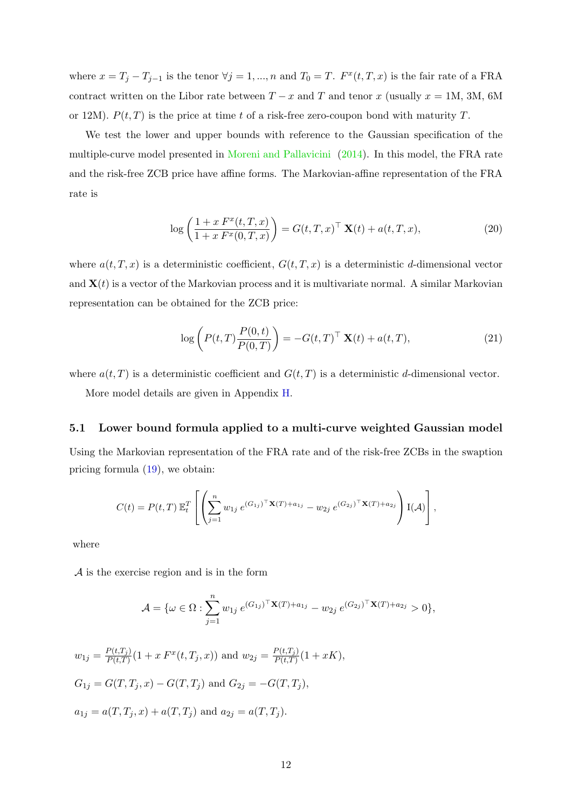where  $x = T_j - T_{j-1}$  is the tenor  $\forall j = 1, ..., n$  and  $T_0 = T$ .  $F^x(t, T, x)$  is the fair rate of a FRA contract written on the Libor rate between  $T - x$  and  $T$  and tenor  $x$  (usually  $x = 1$ M, 3M, 6M or 12M).  $P(t, T)$  is the price at time t of a risk-free zero-coupon bond with maturity T.

We test the lower and upper bounds with reference to the Gaussian specification of the multiple-curve model presented in [Moreni and Pallavicini](#page-28-6) [\(2014\)](#page-28-6). In this model, the FRA rate and the risk-free ZCB price have affine forms. The Markovian-affine representation of the FRA rate is

$$
\log\left(\frac{1+x F^x(t,T,x)}{1+x F^x(0,T,x)}\right) = G(t,T,x)^\top \mathbf{X}(t) + a(t,T,x),\tag{20}
$$

where  $a(t, T, x)$  is a deterministic coefficient,  $G(t, T, x)$  is a deterministic d-dimensional vector and  $\mathbf{X}(t)$  is a vector of the Markovian process and it is multivariate normal. A similar Markovian representation can be obtained for the ZCB price:

$$
\log\left(P(t,T)\frac{P(0,t)}{P(0,T)}\right) = -G(t,T)^{\top} \mathbf{X}(t) + a(t,T),\tag{21}
$$

where  $a(t, T)$  is a deterministic coefficient and  $G(t, T)$  is a deterministic d-dimensional vector.

More model details are given in Appendix [H.](#page-36-0)

### <span id="page-12-0"></span>5.1 Lower bound formula applied to a multi-curve weighted Gaussian model

Using the Markovian representation of the FRA rate and of the risk-free ZCBs in the swaption pricing formula [\(19\)](#page-11-0), we obtain:

$$
C(t) = P(t,T) \, \mathbb{E}_t^T \left[ \left( \sum_{j=1}^n w_{1j} \, e^{(G_{1j})^{\top} \mathbf{X}(T) + a_{1j}} - w_{2j} \, e^{(G_{2j})^{\top} \mathbf{X}(T) + a_{2j}} \right) I(\mathcal{A}) \right],
$$

where

A is the exercise region and is in the form

$$
\mathcal{A} = \{ \omega \in \Omega : \sum_{j=1}^{n} w_{1j} e^{(G_{1j})^{\top} \mathbf{X}(T) + a_{1j}} - w_{2j} e^{(G_{2j})^{\top} \mathbf{X}(T) + a_{2j}} > 0 \},
$$

$$
w_{1j} = \frac{P(t,T_j)}{P(t,T)}(1 + x F^x(t,T_j,x)) \text{ and } w_{2j} = \frac{P(t,T_j)}{P(t,T)}(1 + xK),
$$
  
\n
$$
G_{1j} = G(T,T_j,x) - G(T,T_j) \text{ and } G_{2j} = -G(T,T_j),
$$
  
\n
$$
a_{1j} = a(T,T_j,x) + a(T,T_j) \text{ and } a_{2j} = a(T,T_j).
$$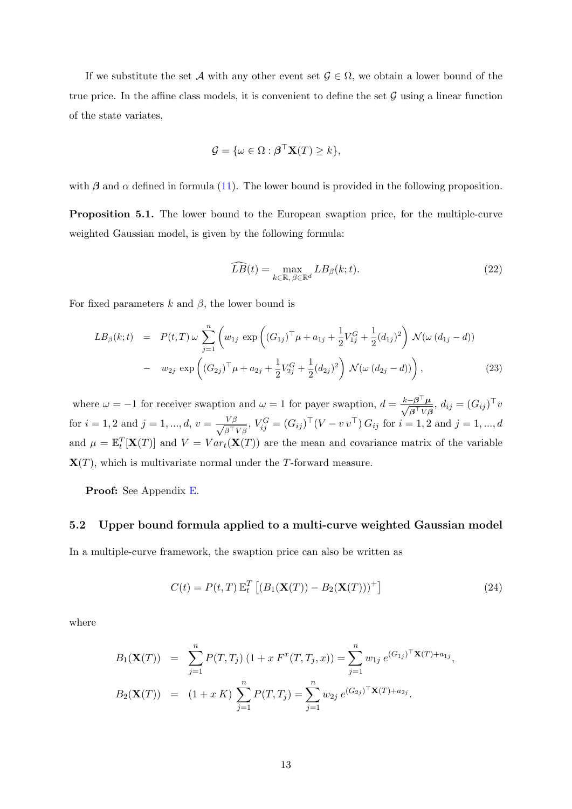If we substitute the set A with any other event set  $\mathcal{G} \in \Omega$ , we obtain a lower bound of the true price. In the affine class models, it is convenient to define the set  $\mathcal G$  using a linear function of the state variates,

$$
\mathcal{G} = \{ \omega \in \Omega : \boldsymbol{\beta}^\top \mathbf{X}(T) \geq k \},
$$

with  $\beta$  and  $\alpha$  defined in formula [\(11\)](#page-7-2). The lower bound is provided in the following proposition.

<span id="page-13-0"></span>Proposition 5.1. The lower bound to the European swaption price, for the multiple-curve weighted Gaussian model, is given by the following formula:

$$
\widehat{LB}(t) = \max_{k \in \mathbb{R}, \ \beta \in \mathbb{R}^d} LB_{\beta}(k; t).
$$
\n(22)

For fixed parameters k and  $\beta$ , the lower bound is

$$
LB_{\beta}(k;t) = P(t,T) \omega \sum_{j=1}^{n} \left( w_{1j} \exp \left( (G_{1j})^{\top} \mu + a_{1j} + \frac{1}{2} V_{1j}^{G} + \frac{1}{2} (d_{1j})^{2} \right) \mathcal{N}(\omega (d_{1j} - d)) - w_{2j} \exp \left( (G_{2j})^{\top} \mu + a_{2j} + \frac{1}{2} V_{2j}^{G} + \frac{1}{2} (d_{2j})^{2} \right) \mathcal{N}(\omega (d_{2j} - d)) \right),
$$
\n(23)

where  $\omega = -1$  for receiver swaption and  $\omega = 1$  for payer swaption,  $d = \frac{k - \beta^{\top} \mu}{\sqrt{2\pi k}}$  $\frac{-\boldsymbol{\beta}^\top \boldsymbol{\mu}}{\boldsymbol{\beta}^\top V \boldsymbol{\beta}}, d_{ij} = (G_{ij})^\top v$ for  $i = 1, 2$  and  $j = 1, ..., d$ ,  $v = \frac{V\beta}{\sqrt{2\pi}}$  $\frac{V\beta}{\beta^{\top}V\beta}$ ,  $V_{ij}^G = (G_{ij})^{\top} (V - v v^{\top}) G_{ij}$  for  $i = 1, 2$  and  $j = 1, ..., d$ and  $\mu = \mathbb{E}_t^T[\mathbf{X}(T)]$  and  $V = Var_t(\mathbf{X}(T))$  are the mean and covariance matrix of the variable  $\mathbf{X}(T)$ , which is multivariate normal under the T-forward measure.

Proof: See Appendix [E.](#page-33-0)

### <span id="page-13-1"></span>5.2 Upper bound formula applied to a multi-curve weighted Gaussian model

In a multiple-curve framework, the swaption price can also be written as

$$
C(t) = P(t,T) \mathbb{E}_t^T \left[ \left( B_1(\mathbf{X}(T)) - B_2(\mathbf{X}(T)) \right)^+ \right] \tag{24}
$$

where

$$
B_1(\mathbf{X}(T)) = \sum_{j=1}^n P(T, T_j) (1 + x F^x(T, T_j, x)) = \sum_{j=1}^n w_{1j} e^{(G_{1j})^\top \mathbf{X}(T) + a_{1j}},
$$
  
\n
$$
B_2(\mathbf{X}(T)) = (1 + x K) \sum_{j=1}^n P(T, T_j) = \sum_{j=1}^n w_{2j} e^{(G_{2j})^\top \mathbf{X}(T) + a_{2j}}.
$$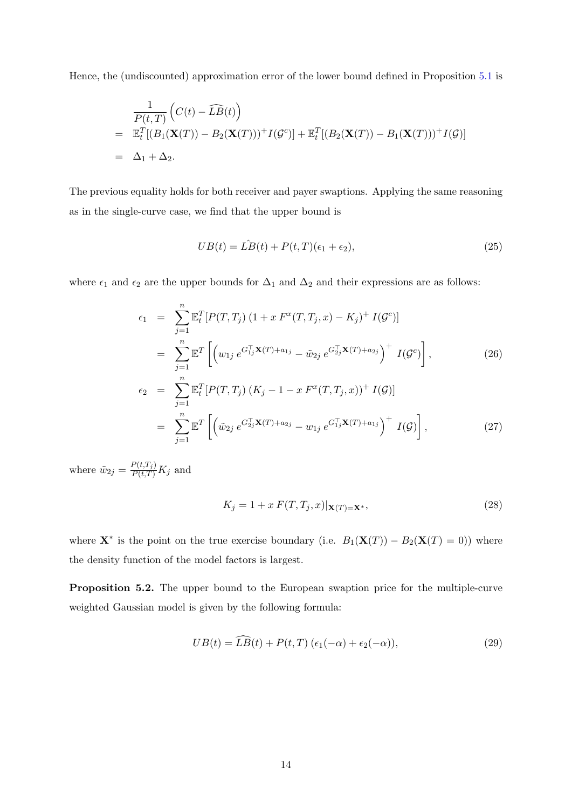Hence, the (undiscounted) approximation error of the lower bound defined in Proposition [5.1](#page-13-0) is

$$
\frac{1}{P(t,T)}\left(C(t) - \widehat{LB}(t)\right)
$$
\n
$$
= \mathbb{E}_t^T[(B_1(\mathbf{X}(T)) - B_2(\mathbf{X}(T)))^+ I(\mathcal{G}^c)] + \mathbb{E}_t^T[(B_2(\mathbf{X}(T)) - B_1(\mathbf{X}(T)))^+ I(\mathcal{G})]
$$
\n
$$
= \Delta_1 + \Delta_2.
$$

The previous equality holds for both receiver and payer swaptions. Applying the same reasoning as in the single-curve case, we find that the upper bound is

$$
UB(t) = \hat{LB}(t) + P(t, T)(\epsilon_1 + \epsilon_2),\tag{25}
$$

where  $\epsilon_1$  and  $\epsilon_2$  are the upper bounds for  $\Delta_1$  and  $\Delta_2$  and their expressions are as follows:

$$
\epsilon_{1} = \sum_{j=1}^{n} \mathbb{E}_{t}^{T} [P(T, T_{j}) (1 + x F^{x}(T, T_{j}, x) - K_{j})^{+} I(\mathcal{G}^{c})]
$$
\n
$$
= \sum_{j=1}^{n} \mathbb{E}^{T} \left[ \left( w_{1j} e^{G_{1j}^{T}} \mathbf{X}(T) + a_{1j} - \tilde{w}_{2j} e^{G_{2j}^{T}} \mathbf{X}(T) + a_{2j} \right)^{+} I(\mathcal{G}^{c}) \right], \qquad (26)
$$
\n
$$
\epsilon_{2} = \sum_{j=1}^{n} \mathbb{E}_{t}^{T} [P(T, T_{j}) (K_{j} - 1 - x F^{x}(T, T_{j}, x))^{+} I(\mathcal{G})]
$$
\n
$$
= \sum_{j=1}^{n} \mathbb{E}^{T} \left[ \left( \tilde{w}_{2j} e^{G_{2j}^{T}} \mathbf{X}(T) + a_{2j} - w_{1j} e^{G_{1j}^{T}} \mathbf{X}(T) + a_{1j} \right)^{+} I(\mathcal{G}) \right], \qquad (27)
$$

where  $\tilde{w}_{2j} = \frac{P(t,T_j)}{P(t,T)} K_j$  and

$$
K_j = 1 + x F(T, T_j, x)|\mathbf{X}(T) = \mathbf{X}^*,
$$
\n(28)

where  $\mathbf{X}^*$  is the point on the true exercise boundary (i.e.  $B_1(\mathbf{X}(T)) - B_2(\mathbf{X}(T) = 0)$ ) where the density function of the model factors is largest.

<span id="page-14-0"></span>Proposition 5.2. The upper bound to the European swaption price for the multiple-curve weighted Gaussian model is given by the following formula:

$$
UB(t) = \widehat{LB}(t) + P(t, T) \left(\epsilon_1(-\alpha) + \epsilon_2(-\alpha)\right),\tag{29}
$$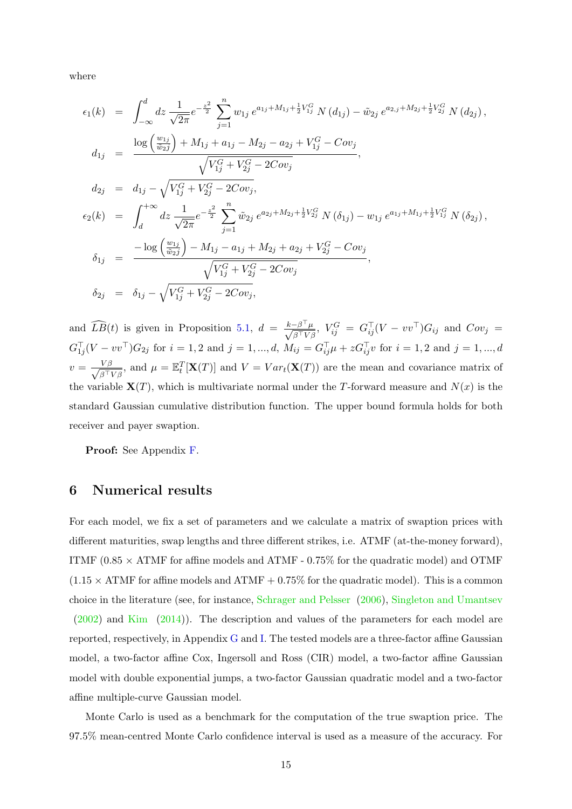where

$$
\epsilon_{1}(k) = \int_{-\infty}^{d} dz \frac{1}{\sqrt{2\pi}} e^{-\frac{z^{2}}{2}} \sum_{j=1}^{n} w_{1j} e^{a_{1j} + M_{1j} + \frac{1}{2}V_{1j}^{G}} N(d_{1j}) - \tilde{w}_{2j} e^{a_{2,j} + M_{2j} + \frac{1}{2}V_{2j}^{G}} N(d_{2j}),
$$
  
\n
$$
d_{1j} = \frac{\log\left(\frac{w_{1j}}{\tilde{w}_{2j}}\right) + M_{1j} + a_{1j} - M_{2j} - a_{2j} + V_{1j}^{G} - Cov_{j}}{\sqrt{V_{1j}^{G} + V_{2j}^{G} - 2Cov_{j}}},
$$
  
\n
$$
d_{2j} = d_{1j} - \sqrt{V_{1j}^{G} + V_{2j}^{G} - 2Cov_{j}},
$$
  
\n
$$
\epsilon_{2}(k) = \int_{d}^{+\infty} dz \frac{1}{\sqrt{2\pi}} e^{-\frac{z^{2}}{2}} \sum_{j=1}^{n} \tilde{w}_{2j} e^{a_{2j} + M_{2j} + \frac{1}{2}V_{2j}^{G}} N(\delta_{1j}) - w_{1j} e^{a_{1j} + M_{1j} + \frac{1}{2}V_{1j}^{G}} N(\delta_{2j}),
$$
  
\n
$$
\delta_{1j} = \frac{-\log\left(\frac{w_{1j}}{\tilde{w}_{2j}}\right) - M_{1j} - a_{1j} + M_{2j} + a_{2j} + V_{2j}^{G} - Cov_{j}}{\sqrt{V_{1j}^{G} + V_{2j}^{G} - 2Cov_{j}}},
$$
  
\n
$$
\delta_{2j} = \delta_{1j} - \sqrt{V_{1j}^{G} + V_{2j}^{G} - 2Cov_{j}},
$$

and  $\widehat{LB}(t)$  is given in Proposition [5.1,](#page-13-0)  $d = \frac{k - \beta^{\top} \mu}{\sqrt{\beta^{\top} V}}$  $\frac{-\beta^+\mu}{\beta^\top V \beta}, \; V^G_{ij} \; = \; G^\top_{ij} (V - vv^\top) G_{ij} \; \; {\rm and} \; \; Cov_j \; = \; \;$  $G_{1j}^{\top}(V - vv^{\top})G_{2j}$  for  $i = 1, 2$  and  $j = 1, ..., d$ ,  $M_{ij} = G_{ij}^{\top}\mu + zG_{ij}^{\top}v$  for  $i = 1, 2$  and  $j = 1, ..., d$  $v = \frac{V\beta}{\sqrt{2\pi}V}$  $\frac{V\beta}{\beta^{\top}V\beta}$ , and  $\mu = \mathbb{E}_{t}^{T}[\mathbf{X}(T)]$  and  $V = Var_{t}(\mathbf{X}(T))$  are the mean and covariance matrix of the variable  $\mathbf{X}(T)$ , which is multivariate normal under the T-forward measure and  $N(x)$  is the standard Gaussian cumulative distribution function. The upper bound formula holds for both receiver and payer swaption.

Proof: See Appendix [F.](#page-33-1)

# 6 Numerical results

For each model, we fix a set of parameters and we calculate a matrix of swaption prices with different maturities, swap lengths and three different strikes, i.e. ATMF (at-the-money forward), ITMF (0.85  $\times$  ATMF for affine models and ATMF - 0.75% for the quadratic model) and OTMF  $(1.15 \times$  ATMF for affine models and ATMF + 0.75% for the quadratic model). This is a common choice in the literature (see, for instance, [Schrager and Pelsser](#page-28-1) [\(2006\)](#page-28-1), [Singleton and Umantsev](#page-28-3) [\(2002\)](#page-28-3) and [Kim](#page-27-3) [\(2014\)](#page-27-3)). The description and values of the parameters for each model are reported, respectively, in Appendix [G](#page-34-0) and [I.](#page-40-0) The tested models are a three-factor affine Gaussian model, a two-factor affine Cox, Ingersoll and Ross (CIR) model, a two-factor affine Gaussian model with double exponential jumps, a two-factor Gaussian quadratic model and a two-factor affine multiple-curve Gaussian model.

Monte Carlo is used as a benchmark for the computation of the true swaption price. The 97.5% mean-centred Monte Carlo confidence interval is used as a measure of the accuracy. For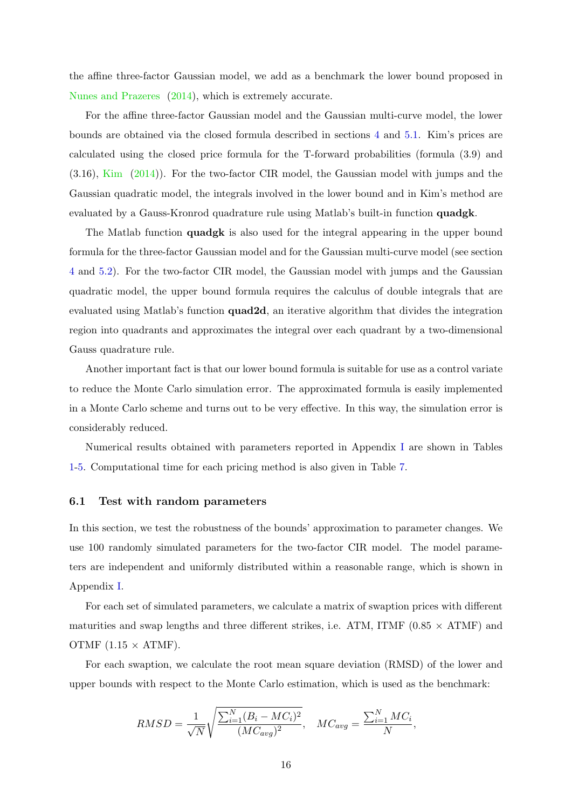the affine three-factor Gaussian model, we add as a benchmark the lower bound proposed in [Nunes and Prazeres](#page-28-4) [\(2014\)](#page-28-4), which is extremely accurate.

For the affine three-factor Gaussian model and the Gaussian multi-curve model, the lower bounds are obtained via the closed formula described in sections [4](#page-11-1) and [5.1.](#page-12-0) Kim's prices are calculated using the closed price formula for the T-forward probabilities (formula (3.9) and (3.16), [Kim](#page-27-3) [\(2014\)](#page-27-3)). For the two-factor CIR model, the Gaussian model with jumps and the Gaussian quadratic model, the integrals involved in the lower bound and in Kim's method are evaluated by a Gauss-Kronrod quadrature rule using Matlab's built-in function quadgk.

The Matlab function quadgk is also used for the integral appearing in the upper bound formula for the three-factor Gaussian model and for the Gaussian multi-curve model (see section [4](#page-11-1) and [5.2\)](#page-13-1). For the two-factor CIR model, the Gaussian model with jumps and the Gaussian quadratic model, the upper bound formula requires the calculus of double integrals that are evaluated using Matlab's function quad2d, an iterative algorithm that divides the integration region into quadrants and approximates the integral over each quadrant by a two-dimensional Gauss quadrature rule.

Another important fact is that our lower bound formula is suitable for use as a control variate to reduce the Monte Carlo simulation error. The approximated formula is easily implemented in a Monte Carlo scheme and turns out to be very effective. In this way, the simulation error is considerably reduced.

Numerical results obtained with parameters reported in Appendix [I](#page-40-0) are shown in Tables [1](#page-20-0)[-5.](#page-24-0) Computational time for each pricing method is also given in Table [7.](#page-25-0)

### 6.1 Test with random parameters

In this section, we test the robustness of the bounds' approximation to parameter changes. We use 100 randomly simulated parameters for the two-factor CIR model. The model parameters are independent and uniformly distributed within a reasonable range, which is shown in Appendix [I.](#page-40-0)

For each set of simulated parameters, we calculate a matrix of swaption prices with different maturities and swap lengths and three different strikes, i.e. ATM, ITMF  $(0.85 \times$  ATMF) and OTMF  $(1.15 \times$  ATMF).

For each swaption, we calculate the root mean square deviation (RMSD) of the lower and upper bounds with respect to the Monte Carlo estimation, which is used as the benchmark:

$$
RMSD = \frac{1}{\sqrt{N}} \sqrt{\frac{\sum_{i=1}^{N} (B_i - MC_i)^2}{(MC_{avg})^2}}, \quad MC_{avg} = \frac{\sum_{i=1}^{N} MC_i}{N},
$$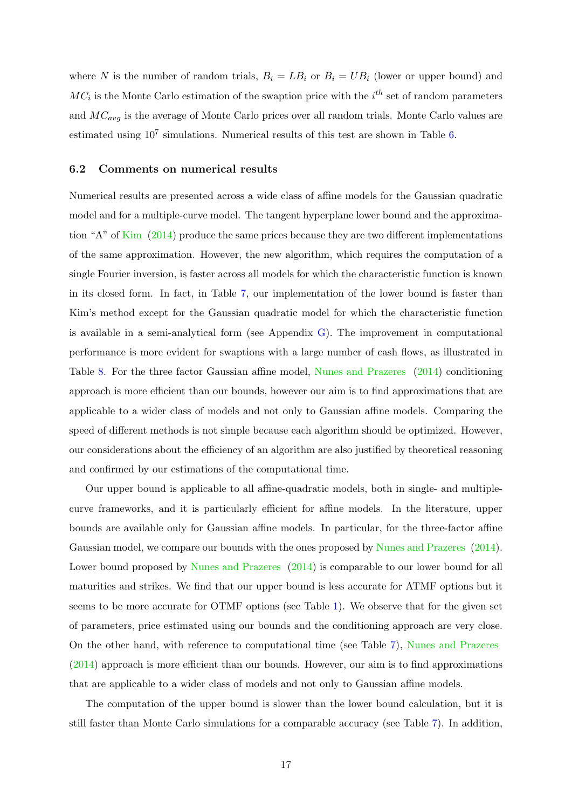where N is the number of random trials,  $B_i = LB_i$  or  $B_i = UB_i$  (lower or upper bound) and  $MC_i$  is the Monte Carlo estimation of the swaption price with the  $i^{th}$  set of random parameters and  $MC_{avg}$  is the average of Monte Carlo prices over all random trials. Monte Carlo values are estimated using  $10^7$  simulations. Numerical results of this test are shown in Table [6.](#page-25-1)

### 6.2 Comments on numerical results

Numerical results are presented across a wide class of affine models for the Gaussian quadratic model and for a multiple-curve model. The tangent hyperplane lower bound and the approximation "A" of [Kim](#page-27-3) [\(2014\)](#page-27-3) produce the same prices because they are two different implementations of the same approximation. However, the new algorithm, which requires the computation of a single Fourier inversion, is faster across all models for which the characteristic function is known in its closed form. In fact, in Table [7,](#page-25-0) our implementation of the lower bound is faster than Kim's method except for the Gaussian quadratic model for which the characteristic function is available in a semi-analytical form (see Appendix [G\)](#page-34-0). The improvement in computational performance is more evident for swaptions with a large number of cash flows, as illustrated in Table [8.](#page-26-0) For the three factor Gaussian affine model, [Nunes and Prazeres](#page-28-4) [\(2014\)](#page-28-4) conditioning approach is more efficient than our bounds, however our aim is to find approximations that are applicable to a wider class of models and not only to Gaussian affine models. Comparing the speed of different methods is not simple because each algorithm should be optimized. However, our considerations about the efficiency of an algorithm are also justified by theoretical reasoning and confirmed by our estimations of the computational time.

Our upper bound is applicable to all affine-quadratic models, both in single- and multiplecurve frameworks, and it is particularly efficient for affine models. In the literature, upper bounds are available only for Gaussian affine models. In particular, for the three-factor affine Gaussian model, we compare our bounds with the ones proposed by [Nunes and Prazeres](#page-28-4) [\(2014\)](#page-28-4). Lower bound proposed by [Nunes and Prazeres](#page-28-4)  $(2014)$  is comparable to our lower bound for all maturities and strikes. We find that our upper bound is less accurate for ATMF options but it seems to be more accurate for OTMF options (see Table [1\)](#page-20-0). We observe that for the given set of parameters, price estimated using our bounds and the conditioning approach are very close. On the other hand, with reference to computational time (see Table [7\)](#page-25-0), [Nunes and Prazeres](#page-28-4) [\(2014\)](#page-28-4) approach is more efficient than our bounds. However, our aim is to find approximations that are applicable to a wider class of models and not only to Gaussian affine models.

The computation of the upper bound is slower than the lower bound calculation, but it is still faster than Monte Carlo simulations for a comparable accuracy (see Table [7\)](#page-25-0). In addition,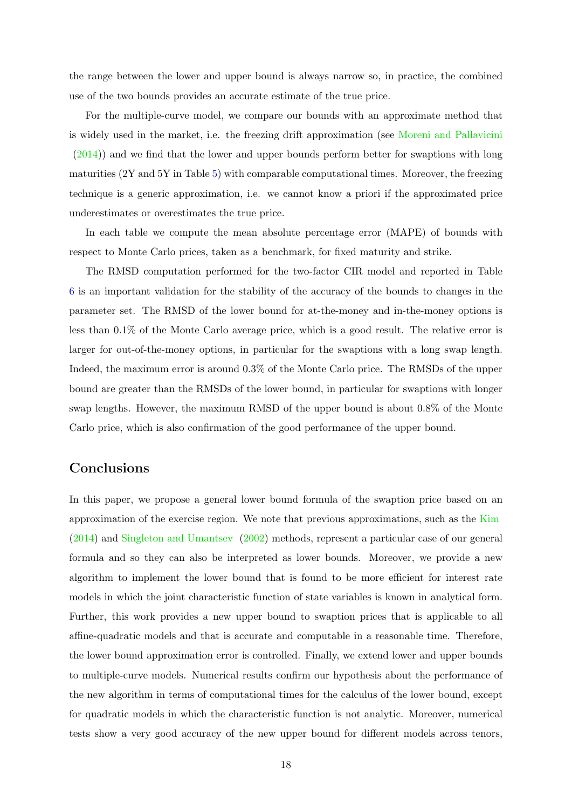the range between the lower and upper bound is always narrow so, in practice, the combined use of the two bounds provides an accurate estimate of the true price.

For the multiple-curve model, we compare our bounds with an approximate method that is widely used in the market, i.e. the freezing drift approximation (see [Moreni and Pallavicini](#page-28-6) [\(2014\)](#page-28-6)) and we find that the lower and upper bounds perform better for swaptions with long maturities (2Y and 5Y in Table [5\)](#page-24-0) with comparable computational times. Moreover, the freezing technique is a generic approximation, i.e. we cannot know a priori if the approximated price underestimates or overestimates the true price.

In each table we compute the mean absolute percentage error (MAPE) of bounds with respect to Monte Carlo prices, taken as a benchmark, for fixed maturity and strike.

The RMSD computation performed for the two-factor CIR model and reported in Table [6](#page-25-1) is an important validation for the stability of the accuracy of the bounds to changes in the parameter set. The RMSD of the lower bound for at-the-money and in-the-money options is less than 0.1% of the Monte Carlo average price, which is a good result. The relative error is larger for out-of-the-money options, in particular for the swaptions with a long swap length. Indeed, the maximum error is around 0.3% of the Monte Carlo price. The RMSDs of the upper bound are greater than the RMSDs of the lower bound, in particular for swaptions with longer swap lengths. However, the maximum RMSD of the upper bound is about 0.8% of the Monte Carlo price, which is also confirmation of the good performance of the upper bound.

# Conclusions

In this paper, we propose a general lower bound formula of the swaption price based on an approximation of the exercise region. We note that previous approximations, such as the [Kim](#page-27-3) [\(2014\)](#page-27-3) and [Singleton and Umantsev](#page-28-3) [\(2002\)](#page-28-3) methods, represent a particular case of our general formula and so they can also be interpreted as lower bounds. Moreover, we provide a new algorithm to implement the lower bound that is found to be more efficient for interest rate models in which the joint characteristic function of state variables is known in analytical form. Further, this work provides a new upper bound to swaption prices that is applicable to all affine-quadratic models and that is accurate and computable in a reasonable time. Therefore, the lower bound approximation error is controlled. Finally, we extend lower and upper bounds to multiple-curve models. Numerical results confirm our hypothesis about the performance of the new algorithm in terms of computational times for the calculus of the lower bound, except for quadratic models in which the characteristic function is not analytic. Moreover, numerical tests show a very good accuracy of the new upper bound for different models across tenors,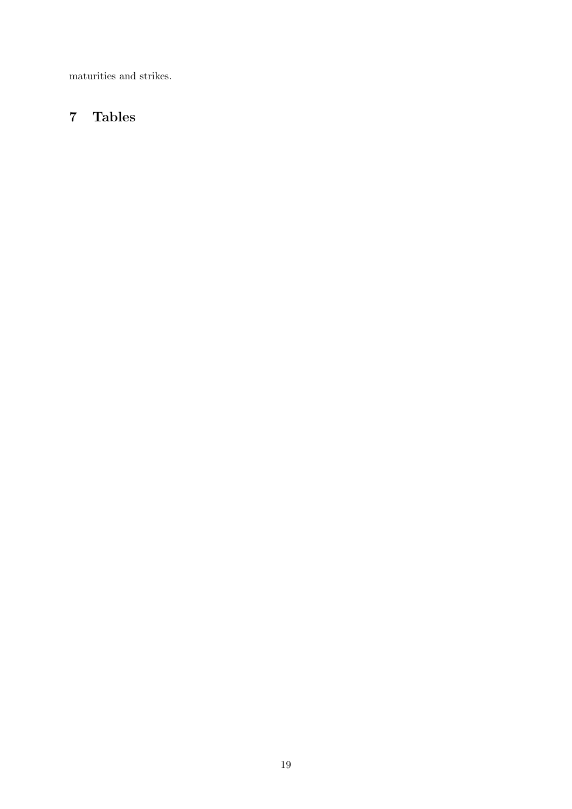maturities and strikes.

# 7 Tables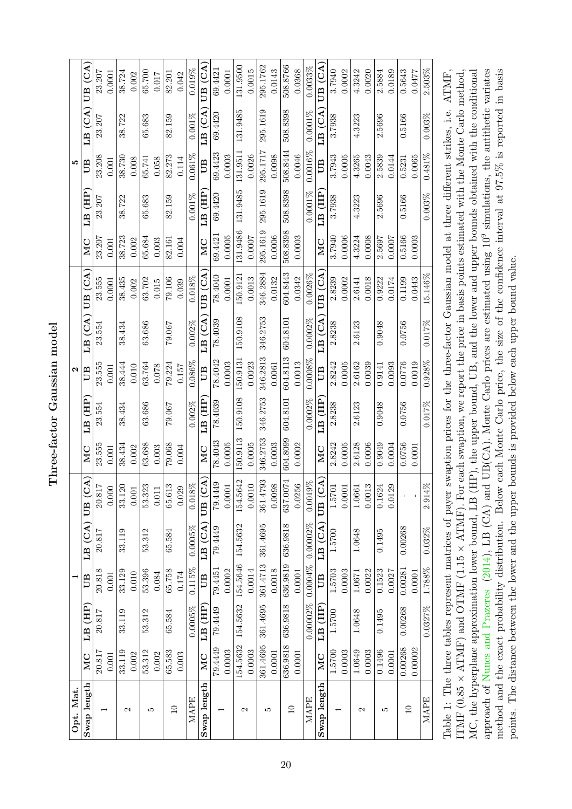Three-factor Gaussian model Three-factor Gaussian model

| Opt. Mat.                |          |             | ⊣         |                  |                                   |             |          | $\mathbf{\Omega}$ |            |            |          |          | ١Q        |             |            |
|--------------------------|----------|-------------|-----------|------------------|-----------------------------------|-------------|----------|-------------------|------------|------------|----------|----------|-----------|-------------|------------|
| Swap length              | MC       | LB (HP      | UB        | LB(GA)           | $\widehat{A}$<br>UB <sub>(C</sub> | MC          | LB (HP   | UB                | LB (CA)    | UB (CA     | MC       | LB (HP)  | UB        | LB (CA      | UB(GA)     |
| 1                        | 20.817   | 20.817      | 20.818    | 20.817           | 20.817                            | 23.555      | 23.554   | 23.555            | 23.554     | 23.555     | 23.207   | 23.207   | 23.208    | 23.207      | 23.207     |
|                          | 0.001    |             | 0.001     |                  | 0.000                             | 0.001       |          | 0.001             |            | 0.0001     | 0.001    |          | 0.001     |             | 0.0001     |
| $\mathbf{\Omega}$        | 33.119   | 33.119      | 33.129    | 33.119           | 33.120                            | 38.434      | 38.434   | 38.444            | 38.434     | 38.435     | 38.723   | 38.722   | 38.730    | 38.722      | 38.724     |
|                          | 0.002    |             | 0.010     |                  | 0.001                             | 0.002       |          | 0.010             |            | 0.002      | 0.002    |          | 0.008     |             | 0.002      |
| LC.                      | 53.312   | 53.312      | 53.396    | 53.312           | 53.323                            | 63.688      | 63.686   | 63.764            | 63.686     | 63.702     | 65.684   | 65.683   | 65.741    | 65.683      | 65.700     |
|                          | 0.002    |             | 0.084     |                  | $0.011\,$                         | 0.003       |          | 0.078             |            | 0.015      | 0.003    |          | 0.058     |             | 0.017      |
| $\Box$                   | 65.583   | 65.584      | 65.758    | 65.584           | 65.613                            | 79.068      | 79.067   | 79.224            | 79.067     | 79.106     | 82.161   | 82.159   | 82.273    | 82.159      | 82.201     |
|                          | 0.003    |             | 0.174     |                  | 0.029                             | 0.004       |          | 0.157             |            | 0.039      | 0.004    |          | 0.114     |             | 0.042      |
| MAPE                     |          | 0.0005%     | $0.115\%$ | 0.0005%          | $0.018\%$                         |             | 0.002%   | $0.086\%$         | 0.002%     | $0.018\%$  |          | 0.001%   | $0.061\%$ | $0.001\%$   | 0.019%     |
| Swap length              | MC       | $LB$ $(HP)$ | UВ        | LB(GA)           | UB(CA)                            | MC          | LB (HP   | UB                | $LB$ (CA)  | UB (CA     | MC       | LB (HP   | UВ        | $LB$ $(CA)$ | UB (CA     |
| $\overline{\phantom{0}}$ | 79.4449  | 79.4449     | 79.4451   | 79.4449          | 79.4449                           | 78.4043     | 78.4039  | 78.4042           | 78.4039    | 78.4040    | 69.4421  | 69.4420  | 69.4423   | 69.4420     | 69.4421    |
|                          | 0.0003   |             | 0.0002    |                  | 0.0001                            | 0.0005      |          | 0.0003            |            | 0.0001     | 0.0005   |          | 0.0003    |             | 0.0001     |
| Z                        | 154.5632 | 154.5632    | 154.5646  | 154.5632         | 154.5642                          | 150.9113    | 150.9108 | 150.9131          | 150.9108   | 150.9121   | 131.9486 | 131.9485 | 131.9511  | 131.9485    | 131.9500   |
|                          | 0.0003   |             | 0.0014    |                  | 0.0010                            | 0.0005      |          | 0.0023            |            | 0.0013     | 0.0007   |          | 0.0026    |             | 0.0015     |
| LO                       | 361.4695 | 361.4695    | 361.4713  | 361.4695         | 361.4793                          | 346.2753    | 346.2753 | 346.2813          | 346.2753   | 346.2884   | 295.1619 | 295.1619 | 295.1717  | 295.1619    | 295.1762   |
|                          | 0.0001   |             | 0.0018    |                  | 0.0098                            | 0.0003      |          | 0.0061            |            | 0.0132     | 0.0006   |          | 0.0098    |             | 0.0143     |
| $\Box$                   | 636.9818 | 636.9818    | 636.9819  | 636.9818         | 637.0074                          | 604.8099    | 604.8101 | 604.8113          | 604.8101   | 604.8443   | 508.8398 | 508.8398 | 508.8444  | 508.8398    | 508.8766   |
|                          | 0.0001   |             | 0.0001    |                  | $\frac{0.0256}{0.0019\%}$         | 0.0002      |          | 0.0013            |            | 0.0342     | 0.0003   |          | 0.0046    |             | 0.0368     |
| MAPE                     |          | 0.00002%    |           | 0.0004% 0.00002% |                                   |             | 0.0002%  | 0.0008%           | $0.0002\%$ | $0.0026\%$ |          | 0.0001%  | 0.0016%   | $0.0001\%$  | $0.0033\%$ |
| Swap length              | MC       | LB (HP      | UB        | LB (CA)          | UB (CA)                           | $_{\rm MC}$ | LB (HP   | ËО                | $LB$ (CA   | UB (CA     | MC       | LB (HP   | ËО        | $LB$ (CA    | UB (CA)    |
| $\overline{\phantom{0}}$ | 1.5700   | 1.5700      | 1.5703    | 1.5700           | 1.5701                            | 2.8242      | 2.8238   | 2.8242            | 2.8238     | 2.8239     | 3.7940   | 3.7938   | 3.7943    | 3.7938      | 3.7940     |
|                          | 0.0003   |             | 0.0003    |                  | 0.0001                            | 0.0005      |          | 0.0005            |            | 0.0002     | 0.0006   |          | 0.0005    |             | 0.0002     |
| Z                        | 1.0649   | 1.0648      | 1.0671    | 1.0648           | 1.0661                            | 2.6128      | 2.6123   | 2.6162            | 2.6123     | 2.6141     | 4.3224   | 4.3223   | 4.3265    | 4.3223      | 4.3242     |
|                          | 0.0003   |             | 0.0022    |                  | 0.0013                            | 0.0006      |          | 0.0039            |            | 0.0018     | 0.0008   |          | 0.0043    |             | 0.0020     |
| LO                       | 0.1496   | 0.1495      | 0.1523    | 0.1495           | 0.1624                            | 0.9049      | 0.9048   | 0.9141            | 0.9048     | 0.9222     | 2.5697   | 2.5696   | 2.5839    | 2.5696      | 2.5884     |
|                          | 0.0001   |             | 0.0027    |                  | 0.0129                            | 0.0004      |          | 0.0093            |            | 0.0174     | 0.0007   |          | 0.0144    |             | 0.0189     |
| $\overline{10}$          | 0.00268  | 0.00268     | 0.00281   | 0.00268          | $\mathbf I$                       | 0.0756      | 0.0756   | 0.0776            | 0.0756     | 0.1199     | 0.5166   | 0.5166   | 0.5231    | 0.5166      | 0.5643     |
|                          | 0.00002  |             | 0.0001    |                  |                                   | 0.0001      |          | 0.0019            |            | 0.0443     | 0.0003   |          | 0.0065    |             | 0.0477     |
| MAPE                     |          | 0.0327%     | 1.788%    | $0.032\%$        | 2.914%                            |             | 0.017%   | 0.928%            | 0.017%     | 15.146%    |          | 0.003%   | 0.481%    | 0.003%      | 2.503%     |
|                          |          |             |           |                  |                                   |             |          |                   |            |            |          |          |           |             |            |

<span id="page-20-0"></span>approach of Nunes and Prazeres (2014), LB (CA) and UB(CA). Monte Carlo prices are estimated using  $10^9$  simulations, the antithetic variates ITMF  $(0.85 \times \text{ATMF})$  and OTMF (1.15  $\times$  ATMF). For each swaption, we report the price in basis points estimated with the Monte Carlo method, MC, the hyperplane approximation lower bound, LB (HP), the upper bound, UB, and the lower and upper bounds obtained with the conditional method and the exact probability distribution. Below each Monte Carlo price, the size of the confidence interval at 97.5% is reported in basis Table 1: The three tables represent matrices of payer swaption prices for the three-factor Gaussian model at three different strikes, i.e. ATMF, MC, the hyperplane approximation lower bound, LB (HP), the upper bound, UB, and the lower and upper bounds obtained with the conditional approach of Nunes and [Prazeres](#page-28-4) [\(2014\)](#page-28-4), LB (CA) and UB(CA). Monte Carlo prices are estimated using 10<sup>9</sup> simulations, the antithetic variates Table 1: The three tables represent matrices of payer swaption prices for the three-factor Gaussian model at three different strikes, i.e. ATMF, ITMF (0.85 × ATMF) and OTMF (1.15 × ATMF). For each swaption, we report the price in basis points estimated with the Monte Carlo method, method and the exact probability distribution. Below each Monte Carlo price, the size of the confidence interval at 97.5% is reported in basis points. The distance between the lower and the upper bounds is provided below each upper bound value. points. The distance between the lower and the upper bounds is provided below each upper bound value.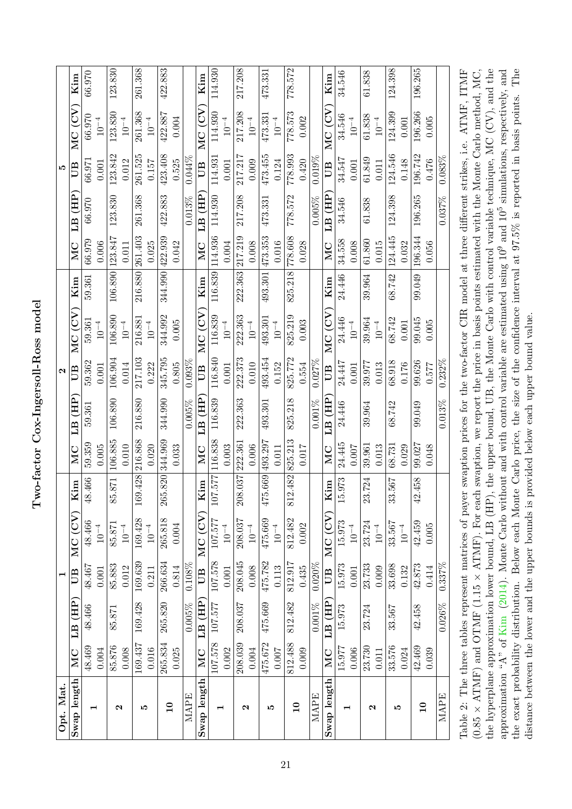Two-factor Cox-Ingersoll-Ross model Two-factor Cox-Ingersoll-Ross model

| MC<br>Swap length |                         | $\blacksquare$ |               |                       |           |                                | $\mathbf{\Omega}$ |             |         |           |                          | J.        |             |         |
|-------------------|-------------------------|----------------|---------------|-----------------------|-----------|--------------------------------|-------------------|-------------|---------|-----------|--------------------------|-----------|-------------|---------|
|                   | LB (HP                  | UB             | MC(CV)        | Kim                   | <b>NC</b> | LB (HP                         | UB                | MC (CV      | Kim     | <b>NC</b> | LB (HP                   | UB        | MC (CV      | Kim     |
| 48.469            | 48.466                  | 48.467         | 48.466        | 466<br>$\frac{8}{3}$  | 59.359    | 59.361                         | 59.362            | 59.361      | 59.361  | 66.979    | 66.970                   | 66.971    | 66.970      | 66.970  |
| 0.004             |                         | 0.001          | $10^{-4}$     |                       | 0.005     |                                | 0.001             | $10^{-4}\,$ |         | 0.006     |                          | 0.001     | $10^{-4}$   |         |
| 85.876            | 85.871                  | 85.883         | 85.871        | 871<br>85             | 106.885   | 106.890                        | 106.904           | 106.890     | 106.890 | 123.847   | 123.830                  | 123.842   | 123.830     | 123.830 |
| 0.008             |                         | 0.012          | $10^{\rm -4}$ |                       | 0.010     |                                | 0.014             | $10^{-4}$   |         | 0.011     |                          | 0.012     | $10^{-4}\,$ |         |
| 169.437           | 169.428                 | 169.639        | 169.428       | 169.428               | 216.868   | 216.880                        | 217.103           | 216.881     | 216.880 | 261.403   | 261.368                  | 261.525   | 261.368     | 261.368 |
| 0.016             |                         | 0.211          | $10^{-4}\,$   |                       | 0.020     |                                | 0.222             | $10^{-4}$   |         | 0.025     |                          | 0.157     | $10^{-4}$   |         |
| 265.834           | 265.820                 | 266.634        | 265.818       | 265.820               | 344.969   | 344.990                        | 345.795           | 344.992     | 344.990 | 422.939   | 422.883                  | 423.408   | 422.887     | 422.883 |
| 0.025             |                         | 0.814          | 0.004         |                       | 0.033     |                                | 0.805             | 0.005       |         | 0.042     |                          | 0.525     | 0.004       |         |
|                   | 0.005%                  | 0.108%         |               |                       |           | 0.005%                         | $0.093\%$         |             |         |           | 0.013%                   | $0.044\%$ |             |         |
| MC                | (HP)<br>LB <sup>(</sup> | UB             | MC (CV)       | Kim                   | MC        | LB (HP                         | UB                | MC (CV      | Kim     | MC        | (HI)<br>$\overline{L}$ B | <b>ED</b> | λO)<br>MC   | Kim     |
| 107.578           | 107.577                 | 107.578        | 107.577       | 107.577               | 116.838   | 116.839                        | 116.840           | 116.839     | 116.839 | 114.936   | 114.930                  | 114.931   | 114.930     | 114.930 |
| 0.002             |                         | $0.001$        | $10^{-4}$     |                       | 0.003     |                                | 0.001             | $10^{-4}$   |         | 0.004     |                          | 0.001     | $10^{-4}$   |         |
| 208.039           | 208.037                 | 208.045        | 208.037       | 208.037               | 222.361   | 222.363                        | 222.373           | 222.363     | 222.363 | 217.219   | 217.208                  | 217.217   | 217.208     | 217.208 |
| 0.004             |                         | 0.008          | $10^{\rm -4}$ |                       | 0.006     |                                | 0.010             | $10^{-4}$   |         | 0.008     |                          | 0.009     | $10^{-4}\,$ |         |
| 475.672           | 475.669                 | 475.782        | 475.669       | 475.669 493.297       |           | 493.301                        | 493.454           | 493.301     | 493.301 | 473.353   | 473.331                  | 473.455   | 473.331     | 473.331 |
| 0.007             |                         | 0.113          | $10^{-4}$     |                       | 0.011     |                                | 0.152             | $10^{-4}\,$ |         | 0.016     |                          | 0.124     | $10^{-4}$   |         |
| 812.488           | 812.482                 | 812.917        | 812.482       | 812.482               | 825.213   | 825.218                        | 825.772           | 825.219     | 825.218 | 778.608   | 778.572                  | 778.993   | 778.573     | 778.572 |
| 0.009             |                         | 0.435          | 0.002         |                       | 0.017     |                                | 0.554             | 0.003       |         | 0.028     |                          | 0.420     | 0.002       |         |
|                   | $0.001\%$               | 0.020%         |               |                       |           | $0.001\%$                      | $0.027\%$         |             |         |           | 0.005%                   | $0.019\%$ |             |         |
| MC                | (HP)<br>E1              | UB             | MC (CV        | Kim                   | MC        | $\overline{H}$<br>$\mathbb{E}$ | B                 | MC (CV      | Kim     | MC        | LB (HP                   | B         | MC (CV      | Kim     |
| 15.977            | 15.973                  | 15.973         | 15.973        | 973<br>$\frac{15}{2}$ | 24.445    | 24.446                         | 24.447            | 24.446      | 24.446  | 34.558    | 34.546                   | 34.547    | 34.546      | 34.546  |
| 0.006             |                         | 0.001          | $10^{-4}\,$   |                       | 0.007     |                                | 0.001             | $10^{-4}$   |         | 0.008     |                          | 0.001     | $10^{-4}$   |         |
| 23.730            | 23.724                  | 23.733         | 23.724        | 724<br>23             | 39.961    | 39.964                         | 39.977            | 39.964      | 39.964  | 61.860    | 61.838                   | 61.849    | 61.838      | 61.838  |
| 0.011             |                         | 0.009          | $10^{-4}$     |                       | 0.013     |                                | 0.013             | $10^{-4}$   |         | 0.015     |                          | 0.011     | $10^{-4}$   |         |
| 33.576            | 33.567                  | 33.698         | 33.567        | 567<br>33             | 38.731    | 68.742                         | 68.918            | 68.742      | 68.742  | 124.445   | 124.398                  | 124.546   | 124.399     | 124.398 |
| 0.024             |                         | 0.132          | $10^{-4}$     |                       | 0.029     |                                | 0.176             | 0.001       |         | 0.032     |                          | 0.148     | 0.001       |         |
| 42.469            | 42.458                  | 42.873         | 42.459        | 458<br>$\overline{4}$ | 99.027    | 99.049                         | 99.626            | 99.045      | 99.049  | 196.344   | 196.265                  | 196.742   | 196.266     | 196.265 |
| 0.039             |                         | 0.414          | 0.005         |                       | 0.048     |                                | 0.577             | 0.005       |         | 0.056     |                          | 0.476     | 0.005       |         |
|                   | 0.026%                  | 0.337%         |               |                       |           | 0.013%                         | $0.232\%$         |             |         |           | 0.037%                   | 0.083%    |             |         |

<span id="page-21-0"></span>the hyperplane approximation lower bound, LB (HP), the upper bound, UB, the Monte Carlo with control variable technique, MC (CV), and the approximation "A" of Kim (2014). Monte Carlo without and with control variable are estimated using  $10^9$  and  $10^5$  simulations, respectively, and the exact probability distribution. Below each Monte Carlo price, the size of the confidence interval at 97.5% is reported in basis points. The  $(0.85 \times \text{ATMF})$  and OTMF (1.15  $\times$  ATMF). For each swaption, we report the price in basis points estimated with the Monte Carlo method, MC, the hyperplane approximation lower bound, LB (HP), the upper bound, UB, the Monte Carlo with control variable technique, MC (CV), and the approximation "A" of [Kim](#page-27-3) [\(2014\)](#page-27-3). Monte Carlo without and with control variable are estimated using 10<sup>9</sup> and 10<sup>5</sup> simulations, respectively, and  $\frac{1}{n}$ ,  $\frac{1}{n}$ ,  $\frac{1}{n}$ ,  $\frac{1}{n}$ ,  $\frac{1}{n}$ ,  $\frac{1}{n}$ ,  $\frac{1}{n}$ the exact probability distribution. Below each Monte Carlo price, the size of the confidence interval at 97.5% is reported in basis points. The Table 2: The three tables represent matrices of payer swaption prices for the two-factor CIR model at three different strikes, i.e. ATMF, ITMF  $(0.85 \times \text{ATMF})$  and OTMF (1.15  $\times$  ATMF). For each swaption, we report the price in basis points estimated with the Monte Carlo method, MC, (1.2)  $1.1$  MIT,  $1.1$ OTL HOUGH 90 PHAGE CHILETERIA SPIL distance between the lower and the upper bounds is provided below each upper bound value. distance between the lower and the upper bounds is provided below each upper bound value.  $1119$  number of  $199$  and  $1011$   $1011$   $1011$   $1011$   $1011$   $1011$   $1011$   $1011$   $1011$   $1011$ ranie z: The Annee Annes Lehreseme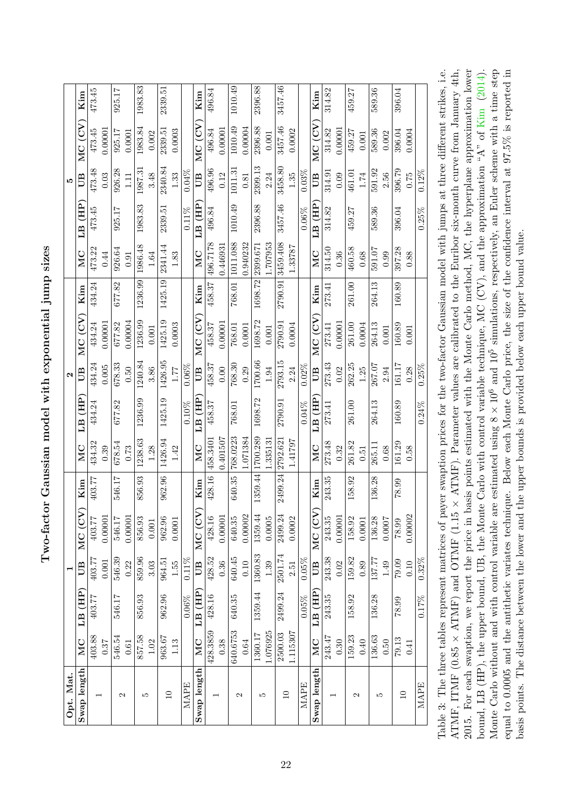<span id="page-22-0"></span>Two-factor Gaussian model with exponential jump sizes Two-factor Gaussian model with exponential jump sizes

| Opt. Mat.         |          |          |          |         |         |          |          | $\mathbf{\mathbf{a}}$ |         |         |          |          | J.       |         |         |
|-------------------|----------|----------|----------|---------|---------|----------|----------|-----------------------|---------|---------|----------|----------|----------|---------|---------|
| Swap length       | MC       | LB (HP)  | UB       | MC (CV  | Kim     | MC       | LB (HP   | $\mathbb{B}$          | MC (CV  | Kim     | MC       | LB (HP   | UВ       | MC (CV  | Kim     |
|                   | 403.88   | 403.77   | 403.77   | 403.77  | 403.77  | 434.32   | 434.24   | 434.24                | 434.24  | 434.24  | 473.22   | 473.45   | 473.48   | 473.45  | 473.45  |
|                   | 0.37     |          | 0.001    | 0.00001 |         | 0.39     |          | 0.005                 | 0.00001 |         | 0.44     |          | 0.03     | 0.00001 |         |
| $\mathcal{C}$     | 546.54   | 546.17   | 546.39   | 546.17  | 546.17  | 678.54   | 677.82   | 678.33                | 677.82  | 677.82  | 926.64   | 925.17   | 926.28   | 925.17  | 925.17  |
|                   | 0.61     |          | 0.22     | 0.00001 |         | 0.73     |          | 0.50                  | 0.00004 |         | 0.91     |          | 1.11     | 0.0001  |         |
| S                 | 857.58   | 856.93   | 859.96   | 856.93  | 856.93  | 1238.63  | 1236.99  | 1240.84               | 1236.99 | 1236.99 | 1986.48  | 1983.83  | 1987.31  | 1983.84 | 1983.83 |
|                   | 1.02     |          | 3.03     | 0.001   |         | 1.28     |          | 3.86                  | 0.001   |         | 1.64     |          | 3.48     | 0.002   |         |
| $\Box$            | 963.67   | 962.96   | 964.51   | 962.96  | 962.96  | 1426.94  | 1425.19  | 1426.95               | 1425.19 | 1425.19 | 2341.44  | 2339.51  | 2340.84  | 2339.51 | 2339.51 |
|                   | 1.13     |          | 1.55     | 0.0001  |         | 1.42     |          | 1.77                  | 0.0003  |         | 1.83     |          | 1.33     | 0.0003  |         |
| MAPE              |          | $0.06\%$ | $0.11\%$ |         |         |          | $0.10\%$ | $0.06\%$              |         |         |          | $0.11\%$ | $0.04\%$ |         |         |
| Swap length       | MC       | LB (HP)  | UВ       | MC (CV  | Kim     | MC       | LB (HP   | B                     | MC (CV  | Kim     | MC       | LB (HP   | UВ       | MC (CV  | Kim     |
|                   | 428.3859 | 428.16   | 428.52   | 428.16  | 428.16  | 458.3401 | 458.37   | 458.37                | 458.37  | 458.37  | 496.7178 | 496.84   | 496.96   | 496.84  | 496.84  |
|                   | 0.38     |          | 0.36     | 0.00001 |         | 1.401507 |          | 0.00                  | 0.00001 |         | 0.446931 |          | 0.12     | 0.00001 |         |
| $\mathbf{\Omega}$ | 640.6753 | 640.35   | 640.45   | 640.35  | 640.35  | 768.0223 | 768.01   | 768.30                | 768.01  | 768.01  | 1011.088 | 1010.49  | 1011.31  | 1010.49 | 1010.49 |
|                   | 0.64     |          | 0.10     | 0.00002 |         | 1.071384 |          | 0.29                  | 0.0001  |         | 0.940232 |          | 0.81     | 0.00004 |         |
| r.                | 1360.17  | 1359.44  | 1360.83  | 1359.44 | 1359.44 | 1700.289 | 1698.72  | 1700.66               | 1698.72 | 1698.72 | 2399.671 | 2396.88  | 2399.13  | 2396.88 | 2396.88 |
|                   | 1.076925 |          | 1.39     | 0.0005  |         | .335131  |          | 1.94                  | 0.001   |         | 1.707953 |          | 2.24     | 0.001   |         |
| $\Box$            | 2500.03  | 2499.24  | 2501.74  | 2499.24 | 2499.24 | 2792.621 | 2790.91  | 2793.15               | 2790.91 | 2790.91 | 3459.408 | 3457.46  | 3458.80  | 3457.46 | 3457.46 |
|                   | 1.115307 |          | 2.51     | 0.0002  |         | 1.41797  |          | 2.24                  | 0.0004  |         | 1.33787  |          | 1.35     | 0.0002  |         |
| <b>MAPE</b>       |          | $0.05\%$ | 0.05%    |         |         |          | $0.04\%$ | 0.02%                 |         |         |          | $0.06\%$ | 0.03%    |         |         |
| Swap length       | MC       | LB (HP)  | UB       | MC (CV  | Kim     | MC       | LB (HP   | UВ                    | MC(CV)  | Kim     | MC       | LB (HP   | UВ       | MC (CV  | Kim     |
|                   | 243.47   | 243.35   | 243.38   | 243.35  | 243.35  | 273.48   | 273.41   | 273.43                | 273.41  | 273.41  | 314.50   | 314.82   | 314.91   | 314.82  | 314.82  |
|                   | 0.30     |          | 0.02     | 0.00001 |         | 0.32     |          | 0.02                  | 0.00001 |         | 0.36     |          | 0.09     | 0.00001 |         |
| 2                 | 159.23   | 158.92   | 159.82   | 158.92  | 158.92  | 261.82   | 261.00   | 262.25                | 261.00  | 261.00  | 460.58   | 459.27   | 461.01   | 459.27  | 459.27  |
|                   | 0.40     |          | 0.89     | 0.0001  |         | 0.51     |          | 1.25                  | 0.0004  |         | 0.68     |          | 1.74     | 0.001   |         |
| LO.               | 136.63   | 136.28   | 137.77   | 136.28  | 136.28  | 265.11   | 264.13   | 267.07                | 264.13  | 264.13  | 591.07   | 589.36   | 591.92   | 589.36  | 589.36  |
|                   | 0.50     |          | 1.49     | 0.0007  |         | 0.68     |          | 2.94                  | 0.001   |         | 0.99     |          | 2.56     | 0.002   |         |
| $\Box$            | 79.13    | 78.99    | 79.09    | 78.99   | 78.99   | 161.29   | 160.89   | 161.17                | 160.89  | 160.89  | 397.28   | 396.04   | 396.79   | 396.04  | 396.04  |
|                   | 0.41     |          | 0.10     | 0.00002 |         | 0.58     |          | 0.28                  | 0.001   |         | 0.88     |          | 0.75     | 0.0004  |         |
| <b>MAPE</b>       |          | $0.17\%$ | $0.32\%$ |         |         |          | $0.24\%$ | 0.25%                 |         |         |          | $0.25\%$ | $0.12\%$ |         |         |

Monte Carlo without and with control variable are estimated using  $8 \times 10^6$  and  $10^5$  simulations, respectively, an Euler scheme with a time step 2015. For each swaption, we report the price in basis points estimated with the Monte Carlo method, MC, the hyperplane approximation lower equal to 0.0005 and the antithetic variates technique. Below each Monte Carlo price, the size of the confidence interval at 97.5% is reported in Table 3: The three tables represent matrices of payer swaption prices for the two-factor Gaussian model with jumps at three different strikes, i.e. ATMF, ITMF  $(0.85 \times \text{ATMF})$  and OTMF  $(1.15 \times \text{ATMF})$ . Parameter values are calibrated to the Euribor six-month curve from January 4th, 2015. For each swaption, we report the price in basis points estimated with the Monte Carlo method, MC, the hyperplane approximation lower bound, LB (HP), the upper bound, UB, the Monte Carlo with control variable technique, MC (CV), and the approximation "A" of Kim (2014). Monte Carlo without and with control variable are estimated using  $8 \times 10^6$  and  $10^5$  simulations, respectively, an Euler scheme with a time step equal to 0.0005 and the antithetic variates technique. Below each Monte Carlo price, the size of the confidence interval at 97.5% is reported in Table 3: The three tables represent matrices of payer swaption prices for the two-factor Gaussian model with jumps at three different strikes, i.e. ATMF, ITMF (0.85  $\times$  ATMF) and OTMF (1.15  $\times$  ATMF). Parameter values are calibrated to the Euribor six-month curve from January 4th, bound, LB (HP), the upper bound, UB, the Monte Carlo with control variable technique, MC (CV), and the approximation "A" of [Kim](#page-27-3) ([2014\)](#page-27-3). points. The distance between the lower and the upper bounds is provided below each upper bound value. basis points. The distance between the lower and the upper bounds is provided below each upper bound value.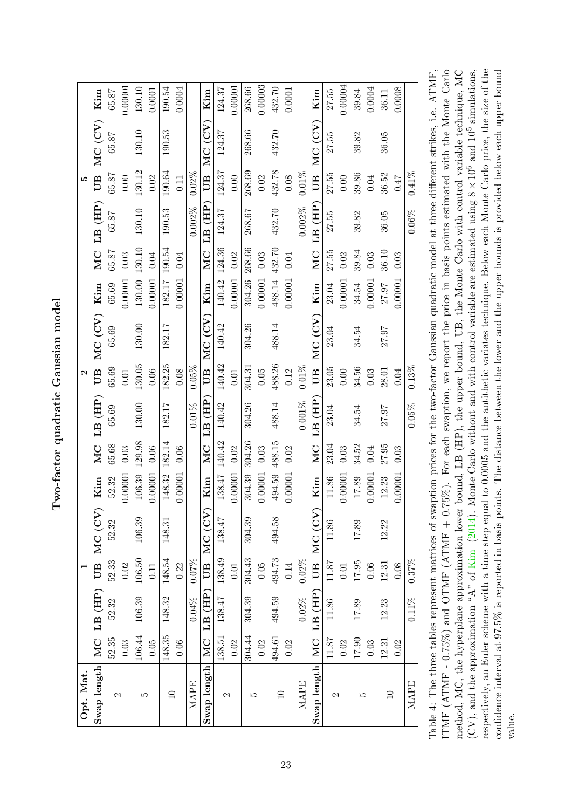| Opt. Mat.       |        |            | ⊣            |        |               |                                      |             | $\mathbf{\Omega}$ |        |         |        |          | J.           |        |         |
|-----------------|--------|------------|--------------|--------|---------------|--------------------------------------|-------------|-------------------|--------|---------|--------|----------|--------------|--------|---------|
| Swap length     | MC     | LB (HP)    | $\mathbb{B}$ | MC(CV) | Kim           | MC                                   | $LB$ $(HP)$ | UВ                | MC(CV) | Kim     | MC     | LB (HP)  | ŰВ           | MC(CV) | Kim     |
| $\mathcal{C}$   | 52.35  | 52.32      | 52.33        | 52.32  | 52.32         | 65.68                                | 65.69       | 65.69             | 65.69  | 65.69   | 65.87  | 65.87    | 65.87        | 65.87  | 65.87   |
|                 | 0.03   |            | 0.02         |        | 0.00001       | 0.03                                 |             | 0.01              |        | 0.00001 | 0.03   |          | 0.00         |        | 0.00001 |
| Ľ               | 106.44 | 106.39     | 106.50       | 106.39 | 106.39        | 129.98                               | 130.00      | 130.05            | 130.00 | 130.00  | 130.10 | 130.10   | 130.12       | 130.10 | 130.10  |
|                 | 0.05   |            | 0.11         |        | 0.00001       | 0.06                                 |             | 0.06              |        | 0.00001 | 0.04   |          | 0.02         |        | 0.0001  |
| $\Box$          | 148.35 | 148.32     | 148.54       | 148.31 | 148.32        | 182.14                               | 182.17      | 182.25            | 182.17 | 182.17  | 190.54 | 190.53   | 190.64       | 190.53 | 190.54  |
|                 | 0.06   |            | 0.22         |        | 0.00001       | 0.06                                 |             | 0.08              |        | 0.00001 | 0.04   |          | 0.11         |        | 0.0004  |
| MAPE            |        | 0.04%      | $0.07\%$     |        |               |                                      | $0.01\%$    | $0.05\%$          |        |         |        | 0.002%   | $0.02\%$     |        |         |
| Swap length     |        | MC LB (HP) | ËД           | MC(CV) | Kim           | MC                                   | LB (HP)     | $\mathbb{E}$      | MC(CV) | Kim     | MC     | LB (HP)  | ŰВ           | MC(CV) | Kim     |
| $\mathcal{C}$   | 138.51 | 138.47     | 138.49       | 138.47 | 138.47        | 140.42                               | 140.42      | 140.42            | 140.42 | 140.42  | 124.36 | 124.37   | 124.37       | 124.37 | 124.37  |
|                 | 0.02   |            | 0.01         |        | 0.00001       | $\begin{bmatrix} 0.02 \end{bmatrix}$ |             | 0.01              |        | 0.00001 | 0.02   |          | 0.00         |        | 00001.  |
| JΩ              | 304.44 | 304.39     | 304.43       | 304.39 | 304.39        | 304.26                               | 304.26      | 304.31            | 304.26 | 304.26  | 268.66 | 268.67   | 268.69       | 268.66 | 268.66  |
|                 | 0.02   |            | 0.05         |        | 0.00001       | 0.03                                 |             | 0.05              |        | 0.00001 | 0.03   |          | 0.02         |        | 0.00003 |
| $\overline{10}$ | 494.61 | 494.59     | 494.73       | 494.58 | 494.59 488.15 |                                      | 488.14      | 488.26            | 488.14 | 488.14  | 432.70 | 432.70   | 432.78       | 432.70 | 432.70  |
|                 | 0.02   |            | 0.14         |        | 0.00001       | 0.02                                 |             | 0.12              |        | 0.00001 | 0.04   |          | 0.08         |        | 0.0001  |
| MAPE            |        | 0.02%      | $0.02\%$     |        |               |                                      | $0.001\%$   | $0.01\%$          |        |         |        | 0.002%   | $0.01\%$     |        |         |
| Swap length     |        | MC LB (HP) | UB           | MC(CV) | Kim           | MC                                   | LB (HP)     | $\mathbb{B}$      | MC(CV) | Kim     | MC     | LB (HP)  | $\mathbb{B}$ | MC(CV) | Kim     |
| 2               | 11.87  | 11.86      | 11.87        | 11.86  | 11.86         | 23.04                                | 23.04       | 23.05             | 23.04  | 23.04   | 27.55  | 27.55    | 27.55        | 27.55  | 27.55   |
|                 | 0.02   |            | 0.01         |        | 0.00001       | 0.03                                 |             | 0.00              |        | 0.00001 | 0.02   |          | 0.00         |        | 0.00004 |
| ω               | 17.90  | 17.89      | 17.95        | 17.89  | 17.89         | 34.52                                | 34.54       | 34.56             | 34.54  | 34.54   | 39.84  | 39.82    | 39.86        | 39.82  | 39.84   |
|                 | 0.03   |            | 0.06         |        | 0.00001       | 0.04                                 |             | 0.03              |        | 0.00001 | 0.03   |          | 0.04         |        | 0.0004  |
| $\Box$          | 12.21  | 12.23      | 12.31        | 12.22  | 12.23         | 27.95                                | 27.97       | 28.01             | 27.97  | 27.97   | 36.10  | 36.05    | 36.52        | 36.05  | 36.11   |
|                 | 0.02   |            | 0.08         |        | 0.00001       | 0.03                                 |             | 0.04              |        | 0.00001 | 0.03   |          | <b>0.47</b>  |        | 0.0008  |
| MAPE            |        | $0.11\%$   | $0.37\%$     |        |               |                                      | $0.05\%$    | $0.13\%$          |        |         |        | $0.06\%$ | $0.41\%$     |        |         |

<span id="page-23-0"></span>ITMF (ATMF - 0.75%) and OTMF (ATMF + 0.75%). For each swaption, we report the price in basis points estimated with the Monte Carlo method, MC, the hyperplane approximation lower bound, LB (HP), the upper bound, UB, the Monte Carlo with control variable technique, MC respectively, an Euler scheme with a time step equal to 0.0005 and the antithetic variates technique. Below each Monte Carlo price, the size of the  $(CV)$ , and the approximation "A" of Kim (2014). Monte Carlo without and with control variable are estimated using  $8 \times 10^6$  and  $10^5$  simulations, confidence interval at 97.5% is reported in basis points. The distance between the lower and the upper bounds is provided below each upper bound Table 4: The three tables represent matrices of swaption prices for the two-factor Gaussian quadratic model at three different strikes, i.e. ATMF, ITMF (ATMF - 0.75%) and OTMF (ATMF + 0.75%). For each swaption, we report the price in basis points estimated with the Monte Carlo (CV), and the approximation "A" of [Kim](#page-27-3) [\(2014\)](#page-27-3). Monte Carlo without and with control variable are estimated using  $8 \times 10^6$  and  $10^5$  simulations, respectively, an Euler scheme with a time step equal to 0.0005 and the antithetic variates technique. Below each Monte Carlo price, the size of the confidence interval at 97.5% is reported in basis points. The distance between the lower and the upper bounds is provided below each upper bound Table 4: The three tables represent matrices of swaption prices for the two-factor Gaussian quadratic model at three different strikes, i.e. ATMF, method, MC, the hyperplane approximation lower bound, LB (HP), the upper bound, UB, the Monte Carlo with control variable technique, MC value.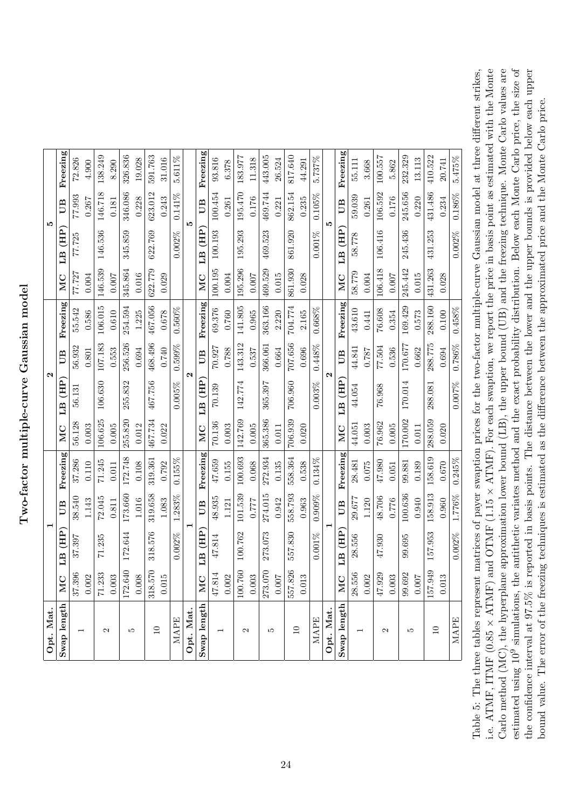Two-factor multiple-curve Gaussian model Two-factor multiple-curve Gaussian model

| Opt. Mat                 |           |                                | $\blacksquare$                    |          |         |                             | $\mathbf{\Omega}$ |           |         |                                          | <b>LO</b> |          |
|--------------------------|-----------|--------------------------------|-----------------------------------|----------|---------|-----------------------------|-------------------|-----------|---------|------------------------------------------|-----------|----------|
| Swap length              | MC        | $\overline{H}$<br>$\mathbb{E}$ | UB                                | Freezing | MC      | 。<br>(HH)<br>E <sub>B</sub> | UB                | Freezing  | MC      | $\overline{\text{HP}}$<br>E <sub>B</sub> | UB        | Freezing |
| $\overline{\phantom{0}}$ | 37.396    | 37.397                         | 38.540                            | 37.286   | 56.128  | 56.131                      | 56.932            | 55.542    | 77.727  | 77.725                                   | 77.993    | 72.826   |
|                          | 0.002     |                                | 1.143                             | 0.110    | 0.003   |                             | 0.801             | 0.586     | 0.004   |                                          | 0.267     | 4.900    |
| $\mathbf{\Omega}$        | 71.233    | 71.235                         | 72.045                            | 71.245   | 106.625 | 106.630                     | 107.183           | 106.015   | 146.539 | 146.536                                  | 146.718   | 138.249  |
|                          | 0.003     |                                | 0.811                             | 0.011    | 0.005   |                             | 0.553             | 0.610     | 0.007   |                                          | 0.181     | 8.290    |
| LC.                      | 172.640   | 172.644                        | 173.660                           | 172.748  | 255.820 | 255.832                     | 256.526           | 254.594   | 345.864 | 345.859                                  | 346.086   | 326.836  |
|                          | $0.008\,$ |                                | 1.016                             | 0.108    | 0.012   |                             | 0.694             | 1.225     | 0.016   |                                          | 0.228     | 19.028   |
| $\Box$                   | 318.570   | 318.576                        | 319.658                           | 319.361  | 467.734 | 467.756                     | 468.496           | 467.056   | 622.779 | 622.769                                  | 623.012   | 591.763  |
|                          | $0.015\,$ |                                | 1.083                             | 0.792    | 0.022   |                             | 0.740             | 0.678     | 0.029   |                                          | 0.243     | 31.016   |
| MAPE                     |           | 0.002%                         | .283%<br>$\overline{\phantom{0}}$ | 0.155%   |         | 0.005%                      | 0.599%            | $0.560\%$ |         | 0.002%                                   | $0.141\%$ | 5.611%   |
| Opt. Mat.                |           |                                |                                   |          |         |                             | $\mathbf{\Omega}$ |           |         |                                          | <b>LO</b> |          |
| Swap length              | MC        | LB (HP                         | ËО                                | Freezing | MC      | $\overline{AB}$<br>Ë        | UB                | Freezing  | MC      | 。<br>(HF)<br>Ë                           | ËО        | Freezing |
| $\overline{\phantom{0}}$ | 47.814    | 47.814                         | 48.935                            | 47.659   | 70.136  | 70.139                      | 70.927            | 69.376    | 100.195 | 100.193                                  | 100.454   | 93.816   |
|                          | 0.002     |                                | 1.121                             | 0.155    | 0.003   |                             | 0.788             | 0.760     | 0.004   |                                          | 0.261     | 6.378    |
| $\mathbf{\Omega}$        | 100.760   | 100.762                        | 101.539                           | 100.693  | 142.769 | 142.774                     | 143.312           | 141.805   | 195.296 | 195.293                                  | 195.470   | 183.977  |
|                          | $0.003\,$ |                                | 7777                              | 0.068    | 0.005   |                             | 0.537             | 0.965     | 0.007   |                                          | 0.176     | 11.318   |
| J.                       | 273.070   | 273.073                        | 274.015                           | 272.934  | 365.386 | 365.397                     | 366.061           | 363.166   | 469.529 | 469.523                                  | 469.744   | 443.005  |
|                          | 0.007     |                                | 0.942                             | 0.135    | 0.011   |                             | 0.664             | 2.220     | 0.015   |                                          | 0.221     | 26.524   |
| $\Box$                   | 557.826   | 557.830                        | 558.793                           | 558.364  | 706.939 | 706.960                     | 707.656           | 704.774   | 861.930 | 861.920                                  | 862.154   | 817.640  |
|                          | 0.013     |                                | 0.963                             | 0.538    | 0.020   |                             | 0.696             | 2.165     | 0.028   |                                          | 0.235     | 44.291   |
| MAPE                     |           | $0.001\%$                      | $0.909\%$                         | 0.134%   |         | $0.003\%$                   | 0.448%            | 0.668%    |         | $0.001\%$                                | $0.105\%$ | 5.737%   |
| Opt. Mat.                |           |                                |                                   |          |         |                             | $\mathbf{\Omega}$ |           |         |                                          | מו        |          |
| Swap length              | MC        | $\overline{AB}$<br>EД          | UB                                | Freezing | MC      | 。<br>(HF)<br>EД             | UB                | Freezing  | MC      | 。<br>(HF)<br>ELI                         | UВ        | Freezing |
|                          | 28.556    | 28.556                         | 29.677                            | 28.481   | 44.051  | 44.054                      | 44.841            | 43.610    | 58.779  | 58.778                                   | 59.039    | 55.111   |
|                          | 0.002     |                                | 1.120                             | 0.075    | 0.003   |                             | 187.0             | 0.441     | 0.004   |                                          | 0.261     | 3.668    |
| $\mathbf{\Omega}$        | 47.929    | 47.930                         | 48.706                            | 47.980   | 76.962  | 76.968                      | 77.504            | 76.608    | 106.418 | 106.416                                  | 106.592   | 100.557  |
|                          | 0.003     |                                | 0.776                             | 0.051    | 0.005   |                             | 0.536             | 0.354     | 0.007   |                                          | 0.176     | 5.862    |
| r.                       | 99.692    | 99.695                         | 100.636                           | 99.881   | 170.002 | 170.014                     | 170.677           | 169.429   | 245.442 | 245.436                                  | 245.656   | 232.329  |
|                          | $0.007$   |                                | 0.940                             | 0.189    | 0.011   |                             | 0.662             | 0.573     | 0.015   |                                          | 0.220     | 13.113   |
| $\Box$                   | 157.949   | 157.953                        | 158.913                           | 158.619  | 288.059 | 288.081                     | 288.775           | 288.160   | 431.263 | 431.253                                  | 431.486   | 410.522  |
|                          | 0.013     |                                | 0.960                             | 0.670    | 0.020   |                             | 0.694             | $0.100\,$ | 0.028   |                                          | 0.234     | 20.741   |
| <b>MAPE</b>              |           | 0.002%                         | 1.776%                            | 0.245%   |         | 0.007%                      | $0.786\%$         | $0.458\%$ |         | $0.002\%$                                | $0.186\%$ | 5.475%   |

<span id="page-24-0"></span>i.e. ATMF, ITMF (0.85  $\times$  ATMF) and OTMF (1.15  $\times$  ATMF). For each swaption, we report the price in basis point as estimated with the Monte Carlo method (MC), the hyperplane approximation lower bound (LB), the upper bound (UB) and the freezing technique. Monte Carlo values are estimated using 10<sup>9</sup> simulations, the antithetic variates method and the exact probability distribution. Below each Monte Carlo price, the size of Table 5: The three tables represent matrices of payer swaption prices for the two-factor multiple-curve Gaussian model at three different strikes, the confidence interval at 97.5% is reported in basis points. The distance between the lower and the upper bounds is provided below each upper i.e. ATMF, ITMF (0.85  $\times$  ATMF) and OTMF (1.15  $\times$  ATMF). For each swaption, we report the price in basis point as estimated with the Monte Carlo method (MC), the hyperplane approximation lower bound (LB), the upper bound (UB) and the freezing technique. Monte Carlo values are estimated using 109 simulations, the antithetic variates method and the exact probability distribution. Below each Monte Carlo price, the size of the confidence interval at 97.5% is reported in basis points. The distance between the lower and the upper bounds is provided below each upper Table 5: The three tables represent matrices of payer swaption prices for the two-factor multiple-curve Gaussian model at three different strikes, bound value. The error of the freezing techniques is estimated as the difference between the approximated price and the Monte Carlo price. bound value. The error of the freezing techniques is estimated as the difference between the approximated price and the Monte Carlo price.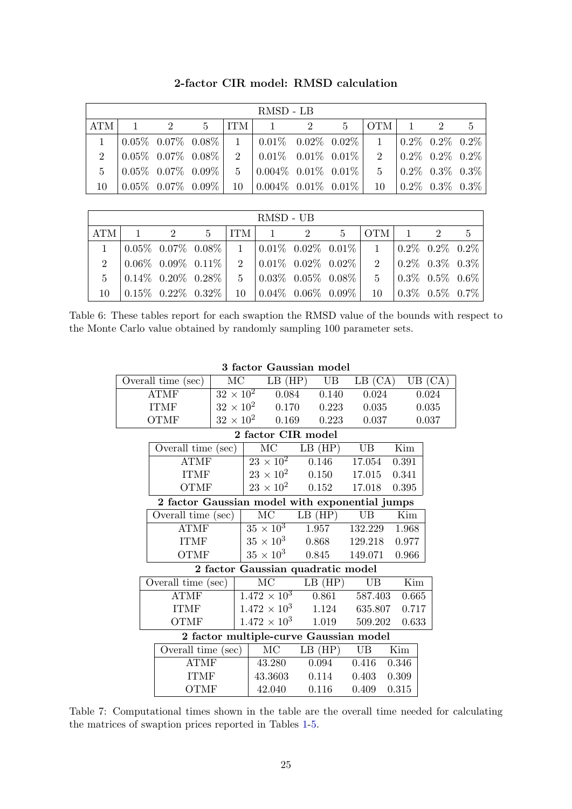|              |          |                |       | RMSD - LB                                                                     |       |                                         |     |                                                                                                                                                                                                                                 |     |
|--------------|----------|----------------|-------|-------------------------------------------------------------------------------|-------|-----------------------------------------|-----|---------------------------------------------------------------------------------------------------------------------------------------------------------------------------------------------------------------------------------|-----|
| ATM          | $\sim$ 1 | $\overline{2}$ | $5 -$ | $ITM$ 1 2                                                                     | $5 -$ | OTM                                     | 1 2 |                                                                                                                                                                                                                                 | - 5 |
| $\mathbf{1}$ |          |                |       | $\mid 0.05\%$ 0.07% 0.08%   1   0.01% 0.02% 0.02%                             |       | $1 \quad 0.2\% \quad 0.2\% \quad 0.2\%$ |     |                                                                                                                                                                                                                                 |     |
|              |          |                |       | $2 \begin{array}{ l} 2 \end{array}$ 0.05% 0.07% 0.08% 2 0.01% 0.01% 0.01%     |       |                                         |     | $2 \quad 0.2\% \quad 0.2\% \quad 0.2\%$                                                                                                                                                                                         |     |
|              |          |                |       | $5 \t   0.05\% \t 0.07\% \t 0.09\%   \t 5 \t   0.004\% \t 0.01\% \t 0.01\%  $ |       |                                         |     | $5 \t 0.2\t 0.3\t 0.3\t 0.3\t 0.3\t 0.3\t 0.3\t 0.3\t 0.3\t 0.3\t 0.3\t 0.3\t 0.3\t 0.3\t 0.3\t 0.3\t 0.3\t 0.3\t 0.3\t 0.3\t 0.3\t 0.3\t 0.3\t 0.3\t 0.3\t 0.3\t 0.3\t 0.3\t 0.3\t 0.3\t 0.3\t 0.3\t 0.3\t 0.3\t 0.3\t 0.3\t $ |     |
| 10           |          |                |       |                                                                               |       |                                         |     | $10\quad 0.2\% \quad 0.3\% \quad 0.3\%$                                                                                                                                                                                         |     |

2-factor CIR model: RMSD calculation

|     |  |  | RMSD - UB                                                                                                                                                                                                                                                                                                                                                                                                |  |  |  |
|-----|--|--|----------------------------------------------------------------------------------------------------------------------------------------------------------------------------------------------------------------------------------------------------------------------------------------------------------------------------------------------------------------------------------------------------------|--|--|--|
| ATM |  |  | $1 \quad 2 \quad 5$   ITM   $1 \quad 2 \quad 5$   OTM   $1 \quad 2 \quad 5$                                                                                                                                                                                                                                                                                                                              |  |  |  |
|     |  |  | $1 \t 0.05\% \t 0.07\% \t 0.08\% \t 1 \t 0.01\% \t 0.02\% \t 0.01\% \t 1 \t 0.2\% \t 0.2\% \t 0.2\%$                                                                                                                                                                                                                                                                                                     |  |  |  |
|     |  |  | $2 \begin{array}{ l} 2 \end{array}$ $\begin{array}{ l} 0.06\% \end{array}$ $\begin{array}{ l} 0.09\% \end{array}$ $\begin{array}{ l} 0.11\% \end{array}$ $\begin{array}{ l} 2 \end{array}$ $\begin{array}{ l} 0.02\% \end{array}$ $\begin{array}{ l} 0.02\% \end{array}$ $\begin{array}{ l} 2 \end{array}$ $\begin{array}{ l} 0.2\% \end{array}$ $\begin{array}{ l} 0.3\% \end{array}$ $\begin{array}{ $ |  |  |  |
|     |  |  | $5 \t 0.14\% \t 0.20\% \t 0.28\% \t 5 \t 0.03\% \t 0.05\% \t 0.08\% \t 5 \t 0.3\% \t 0.5\% \t 0.6\%$                                                                                                                                                                                                                                                                                                     |  |  |  |
|     |  |  | $10\quad 0.15\%$ $0.22\%$ $0.32\%$   $10\quad 0.04\%$ $0.06\%$ $0.09\%$   $10\quad 0.3\%$ $0.5\%$ $0.7\%$                                                                                                                                                                                                                                                                                                |  |  |  |

<span id="page-25-1"></span>Table 6: These tables report for each swaption the RMSD value of the bounds with respect to the Monte Carlo value obtained by randomly sampling 100 parameter sets.

| Overall time (sec)                             | MC                                |                        | $LB$ $(HP)$            | UB          | LB (CA)                                |                         | UB (CA) |
|------------------------------------------------|-----------------------------------|------------------------|------------------------|-------------|----------------------------------------|-------------------------|---------|
| <b>ATMF</b>                                    | $32 \times 10^2$                  |                        | 0.084                  | 0.140       | 0.024                                  |                         | 0.024   |
| <b>ITMF</b>                                    |                                   |                        | $32 \times 10^2$ 0.170 | 0.223       | 0.035                                  |                         | 0.035   |
| <b>OTMF</b>                                    | $32 \times 10^2$                  |                        | 0.169                  | 0.223       | 0.037                                  |                         | 0.037   |
|                                                |                                   |                        | 2 factor CIR model     |             |                                        |                         |         |
| Overall time (sec)                             |                                   | MC                     |                        | $LB$ (HP)   | UB                                     | Kim                     |         |
| <b>ATMF</b>                                    |                                   | $23 \times 10^2$       |                        | 0.146       | 17.054                                 | 0.391                   |         |
| <b>ITMF</b>                                    |                                   | $23 \times 10^2$       |                        | 0.150       | 17.015                                 | 0.341                   |         |
| <b>OTMF</b>                                    |                                   | $23 \times 10^2$       |                        | 0.152       | 17.018                                 | 0.395                   |         |
| 2 factor Gaussian model with exponential jumps |                                   |                        |                        |             |                                        |                         |         |
| Overall time (sec)                             |                                   | $\rm MC$               |                        | $LB$ $(HP)$ | UB                                     | Kim                     |         |
| <b>ATMF</b>                                    |                                   | $35 \times 10^3$       |                        | 1.957       | 132.229                                | 1.968                   |         |
| <b>ITMF</b>                                    |                                   | $35 \times 10^3$       |                        | 0.868       | 129.218                                | 0.977                   |         |
| <b>OTMF</b>                                    |                                   | $35 \times 10^3$       |                        | 0.845       | 149.071                                | 0.966                   |         |
|                                                | 2 factor Gaussian quadratic model |                        |                        |             |                                        |                         |         |
| Overall time (sec)                             |                                   | $\overline{\text{MC}}$ |                        | $LB$ (HP)   | UB                                     | $\overline{\text{Kim}}$ |         |
| <b>ATMF</b>                                    | $1.472 \times 10^3$               |                        | 0.861                  | 587.403     | 0.665                                  |                         |         |
| <b>ITMF</b>                                    |                                   |                        | $1.472 \times 10^3$    | 1.124       | 635.807                                | 0.717                   |         |
| <b>OTMF</b>                                    |                                   | $1.472 \times 10^3$    |                        | 1.019       | 509.202                                | 0.633                   |         |
|                                                |                                   |                        |                        |             | 2 factor multiple-curve Gaussian model |                         |         |
| Overall time (sec)                             |                                   | $\rm MC$               |                        | $LB$ $(HP)$ | <b>UB</b>                              | Kim                     |         |
| <b>ATMF</b>                                    |                                   | 43.280                 |                        | 0.094       | 0.416                                  | 0.346                   |         |
| <b>ITMF</b>                                    |                                   | 43.3603                |                        | 0.114       | 0.403                                  | 0.309                   |         |
| <b>OTMF</b>                                    |                                   | 42.040                 |                        | 0.116       | 0.409                                  | 0.315                   |         |
|                                                |                                   |                        |                        |             |                                        |                         |         |

3 factor Gaussian model

<span id="page-25-0"></span>Table 7: Computational times shown in the table are the overall time needed for calculating the matrices of swaption prices reported in Tables [1-](#page-20-0)[5.](#page-24-0)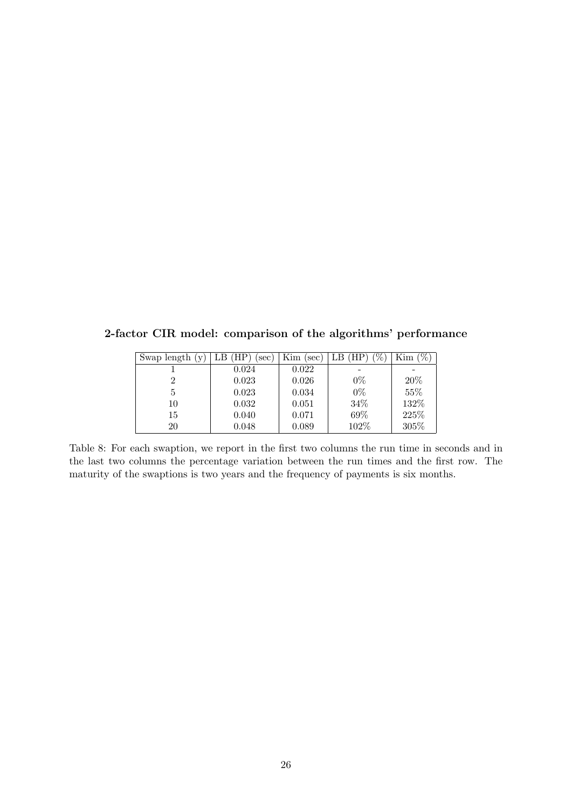2-factor CIR model: comparison of the algorithms' performance

| Swap length $(y)$ | (HP<br>sec | Kim<br>sec) | $\%$<br>(HP)<br>LΒ | $\mathscr{O}_0$<br>Kim |
|-------------------|------------|-------------|--------------------|------------------------|
|                   | 0.024      | 0.022       |                    |                        |
| 2                 | 0.023      | 0.026       | $0\%$              | 20%                    |
| 5                 | 0.023      | 0.034       | $0\%$              | 55%                    |
| 10                | 0.032      | 0.051       | 34%                | 132%                   |
| 15                | 0.040      | 0.071       | 69%                | 225\%                  |
| 20                | 0.048      | 0.089       | 102%               | 305%                   |

<span id="page-26-0"></span>Table 8: For each swaption, we report in the first two columns the run time in seconds and in the last two columns the percentage variation between the run times and the first row. The maturity of the swaptions is two years and the frequency of payments is six months.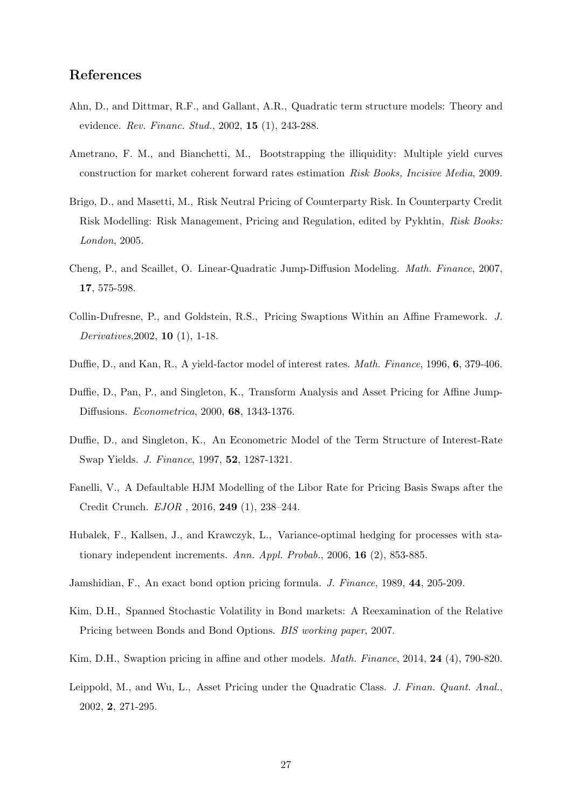# References

- <span id="page-27-6"></span>Ahn, D., and Dittmar, R.F., and Gallant, A.R., Quadratic term structure models: Theory and evidence. Rev. Financ. Stud., 2002, 15 (1), 243-288.
- <span id="page-27-4"></span>Ametrano, F. M., and Bianchetti, M., Bootstrapping the illiquidity: Multiple yield curves construction for market coherent forward rates estimation Risk Books, Incisive Media, 2009.
- <span id="page-27-0"></span>Brigo, D., and Masetti, M., Risk Neutral Pricing of Counterparty Risk. In Counterparty Credit Risk Modelling: Risk Management, Pricing and Regulation, edited by Pykhtin, Risk Books: London, 2005.
- <span id="page-27-11"></span>Cheng, P., and Scaillet, O. Linear-Quadratic Jump-Diffusion Modeling. Math. Finance, 2007, 17, 575-598.
- <span id="page-27-2"></span>Collin-Dufresne, P., and Goldstein, R.S., Pricing Swaptions Within an Affine Framework. J. Derivatives,2002, 10 (1), 1-18.
- <span id="page-27-8"></span>Duffie, D., and Kan, R., A yield-factor model of interest rates. Math. Finance, 1996, 6, 379-406.
- <span id="page-27-9"></span>Duffie, D., Pan, P., and Singleton, K., Transform Analysis and Asset Pricing for Affine Jump-Diffusions. Econometrica, 2000, 68, 1343-1376.
- <span id="page-27-12"></span>Duffie, D., and Singleton, K., An Econometric Model of the Term Structure of Interest-Rate Swap Yields. J. Finance, 1997, 52, 1287-1321.
- <span id="page-27-5"></span>Fanelli, V., A Defaultable HJM Modelling of the Libor Rate for Pricing Basis Swaps after the Credit Crunch. EJOR , 2016, 249 (1), 238–244.
- <span id="page-27-10"></span>Hubalek, F., Kallsen, J., and Krawczyk, L., Variance-optimal hedging for processes with stationary independent increments. Ann. Appl. Probab., 2006, 16  $(2)$ , 853-885.
- <span id="page-27-1"></span>Jamshidian, F., An exact bond option pricing formula. J. Finance, 1989, 44, 205-209.
- <span id="page-27-13"></span>Kim, D.H., Spanned Stochastic Volatility in Bond markets: A Reexamination of the Relative Pricing between Bonds and Bond Options. BIS working paper, 2007.
- <span id="page-27-3"></span>Kim, D.H., Swaption pricing in affine and other models. *Math. Finance*, 2014, **24** (4), 790-820.
- <span id="page-27-7"></span>Leippold, M., and Wu, L., Asset Pricing under the Quadratic Class. J. Finan. Quant. Anal., 2002, 2, 271-295.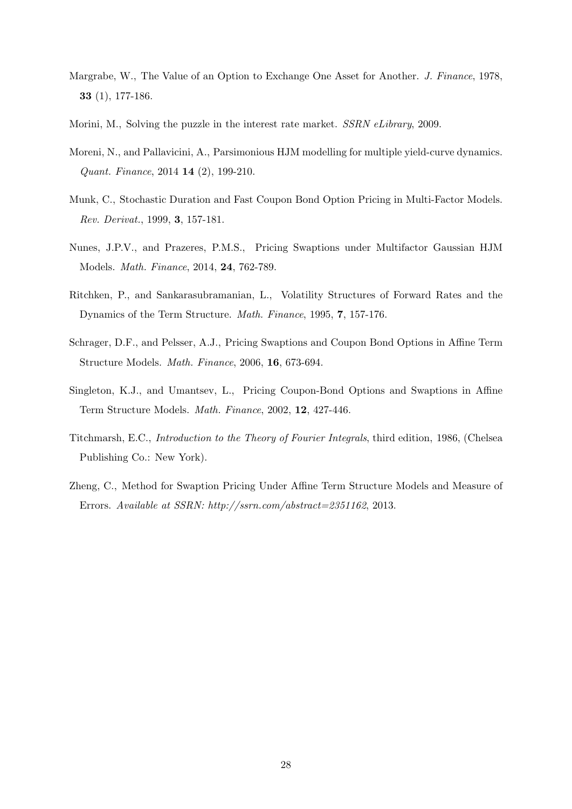- <span id="page-28-8"></span>Margrabe, W., The Value of an Option to Exchange One Asset for Another. J. Finance, 1978, 33 (1), 177-186.
- <span id="page-28-5"></span>Morini, M., Solving the puzzle in the interest rate market. SSRN eLibrary, 2009.
- <span id="page-28-6"></span>Moreni, N., and Pallavicini, A., Parsimonious HJM modelling for multiple yield-curve dynamics. Quant. Finance, 2014 14 (2), 199-210.
- <span id="page-28-0"></span>Munk, C., Stochastic Duration and Fast Coupon Bond Option Pricing in Multi-Factor Models. Rev. Derivat., 1999, 3, 157-181.
- <span id="page-28-4"></span>Nunes, J.P.V., and Prazeres, P.M.S., Pricing Swaptions under Multifactor Gaussian HJM Models. Math. Finance, 2014, 24, 762-789.
- Ritchken, P., and Sankarasubramanian, L., Volatility Structures of Forward Rates and the Dynamics of the Term Structure. Math. Finance, 1995, 7, 157-176.
- <span id="page-28-1"></span>Schrager, D.F., and Pelsser, A.J., Pricing Swaptions and Coupon Bond Options in Affine Term Structure Models. Math. Finance, 2006, 16, 673-694.
- <span id="page-28-3"></span>Singleton, K.J., and Umantsev, L., Pricing Coupon-Bond Options and Swaptions in Affine Term Structure Models. Math. Finance, 2002, 12, 427-446.
- <span id="page-28-7"></span>Titchmarsh, E.C., Introduction to the Theory of Fourier Integrals, third edition, 1986, (Chelsea Publishing Co.: New York).
- <span id="page-28-2"></span>Zheng, C., Method for Swaption Pricing Under Affine Term Structure Models and Measure of Errors. Available at SSRN: http://ssrn.com/abstract=2351162, 2013.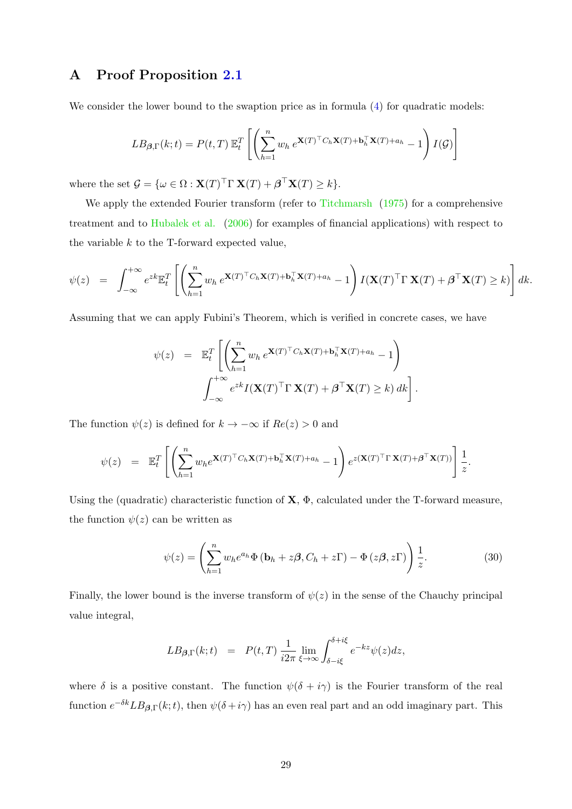# <span id="page-29-0"></span>A Proof Proposition [2.1](#page-6-2)

We consider the lower bound to the swaption price as in formula  $(4)$  for quadratic models:

$$
LB_{\beta,\Gamma}(k;t) = P(t,T) \mathbb{E}_t^T \left[ \left( \sum_{h=1}^n w_h e^{\mathbf{X}(T)^\top C_h \mathbf{X}(T) + \mathbf{b}_h^\top \mathbf{X}(T) + a_h} - 1 \right) I(\mathcal{G}) \right]
$$

where the set  $\mathcal{G} = {\omega \in \Omega : \mathbf{X}(T)^\top \Gamma \mathbf{X}(T) + \boldsymbol{\beta}^\top \mathbf{X}(T) \geq k}.$ 

We apply the extended Fourier transform (refer to [Titchmarsh](#page-28-7) [\(1975\)](#page-28-7) for a comprehensive treatment and to [Hubalek et al.](#page-27-10) [\(2006\)](#page-27-10) for examples of financial applications) with respect to the variable  $k$  to the T-forward expected value,

$$
\psi(z) = \int_{-\infty}^{+\infty} e^{zk} \mathbb{E}_t^T \left[ \left( \sum_{h=1}^n w_h \ e^{\mathbf{X}(T)^\top C_h \mathbf{X}(T) + \mathbf{b}_h^\top \mathbf{X}(T) + a_h} - 1 \right) I(\mathbf{X}(T)^\top \Gamma \mathbf{X}(T) + \boldsymbol{\beta}^\top \mathbf{X}(T) \ge k) \right] dk.
$$

Assuming that we can apply Fubini's Theorem, which is verified in concrete cases, we have

$$
\psi(z) = \mathbb{E}_t^T \left[ \left( \sum_{h=1}^n w_h e^{\mathbf{X}(T)^\top C_h \mathbf{X}(T) + \mathbf{b}_h^\top \mathbf{X}(T) + a_h} - 1 \right) \right]
$$

$$
\int_{-\infty}^{+\infty} e^{zk} I(\mathbf{X}(T)^\top \Gamma \mathbf{X}(T) + \boldsymbol{\beta}^\top \mathbf{X}(T) \ge k) dk \right].
$$

The function  $\psi(z)$  is defined for  $k \to -\infty$  if  $Re(z) > 0$  and

$$
\psi(z) = \mathbb{E}_t^T \left[ \left( \sum_{h=1}^n w_h e^{\mathbf{X}(T)^\top C_h \mathbf{X}(T) + \mathbf{b}_h^\top \mathbf{X}(T) + a_h} - 1 \right) e^{z(\mathbf{X}(T)^\top \Gamma \mathbf{X}(T) + \boldsymbol{\beta}^\top \mathbf{X}(T))} \right] \frac{1}{z}.
$$

Using the (quadratic) characteristic function of  $X$ ,  $\Phi$ , calculated under the T-forward measure, the function  $\psi(z)$  can be written as

$$
\psi(z) = \left(\sum_{h=1}^{n} w_h e^{a_h} \Phi\left(\mathbf{b}_h + z\boldsymbol{\beta}, C_h + z\boldsymbol{\Gamma}\right) - \Phi\left(z\boldsymbol{\beta}, z\boldsymbol{\Gamma}\right)\right) \frac{1}{z}.
$$
\n(30)

Finally, the lower bound is the inverse transform of  $\psi(z)$  in the sense of the Chauchy principal value integral,

$$
LB_{\beta,\Gamma}(k;t) = P(t,T) \frac{1}{i2\pi} \lim_{\xi \to \infty} \int_{\delta - i\xi}^{\delta + i\xi} e^{-kz} \psi(z) dz,
$$

where  $\delta$  is a positive constant. The function  $\psi(\delta + i\gamma)$  is the Fourier transform of the real function  $e^{-\delta k}LB_{\beta,\Gamma}(k;t)$ , then  $\psi(\delta+i\gamma)$  has an even real part and an odd imaginary part. This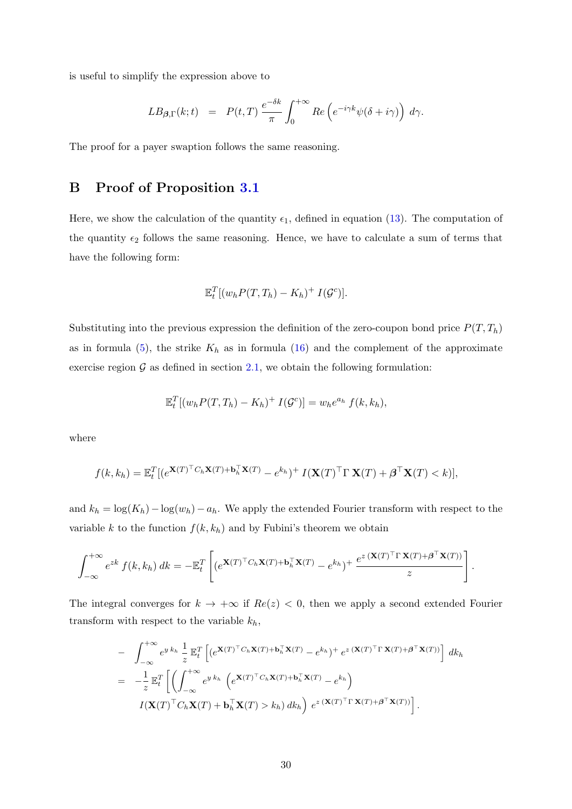is useful to simplify the expression above to

$$
LB_{\beta,\Gamma}(k;t) = P(t,T) \frac{e^{-\delta k}}{\pi} \int_0^{+\infty} Re\left(e^{-i\gamma k}\psi(\delta+i\gamma)\right) d\gamma.
$$

The proof for a payer swaption follows the same reasoning.

# <span id="page-30-0"></span>B Proof of Proposition [3.1](#page-9-1)

Here, we show the calculation of the quantity  $\epsilon_1$ , defined in equation [\(13\)](#page-8-0). The computation of the quantity  $\epsilon_2$  follows the same reasoning. Hence, we have to calculate a sum of terms that have the following form:

$$
\mathbb{E}_t^T[(w_h P(T, T_h) - K_h)^+ I(\mathcal{G}^c)].
$$

Substituting into the previous expression the definition of the zero-coupon bond price  $P(T, T_h)$ as in formula [\(5\)](#page-5-2), the strike  $K_h$  as in formula [\(16\)](#page-9-0) and the complement of the approximate exercise region  $\mathcal G$  as defined in section [2.1,](#page-5-1) we obtain the following formulation:

$$
\mathbb{E}_t^T[(w_h P(T, T_h) - K_h)^+ I(\mathcal{G}^c)] = w_h e^{a_h} f(k, k_h),
$$

where

$$
f(k,k_h) = \mathbb{E}_t^T[(e^{\mathbf{X}(T)^\top C_h \mathbf{X}(T) + \mathbf{b}_h^\top \mathbf{X}(T)} - e^{k_h})^\top I(\mathbf{X}(T)^\top \Gamma \mathbf{X}(T) + \boldsymbol{\beta}^\top \mathbf{X}(T) < k)],
$$

and  $k_h = \log(K_h) - \log(w_h) - a_h$ . We apply the extended Fourier transform with respect to the variable k to the function  $f(k, k_h)$  and by Fubini's theorem we obtain

$$
\int_{-\infty}^{+\infty} e^{zk} f(k, k_h) dk = - \mathbb{E}_t^T \left[ \left( e^{\mathbf{X}(T)^\top C_h \mathbf{X}(T) + \mathbf{b}_h^\top \mathbf{X}(T)} - e^{k_h} \right)^+ \frac{e^{z (\mathbf{X}(T)^\top \Gamma \mathbf{X}(T) + \boldsymbol{\beta}^\top \mathbf{X}(T))}}{z} \right].
$$

The integral converges for  $k \to +\infty$  if  $Re(z) < 0$ , then we apply a second extended Fourier transform with respect to the variable  $k_h$ ,

$$
- \int_{-\infty}^{+\infty} e^{y k_h} \frac{1}{z} \mathbb{E}_t^T \left[ \left( e^{\mathbf{X}(T)^{\top} C_h \mathbf{X}(T) + \mathbf{b}_h^{\top} \mathbf{X}(T)} - e^{k_h} \right)^+ e^{z (\mathbf{X}(T)^{\top} \Gamma \mathbf{X}(T) + \boldsymbol{\beta}^{\top} \mathbf{X}(T))} \right] dk_h
$$
  
\n
$$
= -\frac{1}{z} \mathbb{E}_t^T \left[ \left( \int_{-\infty}^{+\infty} e^{y k_h} \left( e^{\mathbf{X}(T)^{\top} C_h \mathbf{X}(T) + \mathbf{b}_h^{\top} \mathbf{X}(T)} - e^{k_h} \right) \right. \right.
$$
  
\n
$$
I(\mathbf{X}(T)^{\top} C_h \mathbf{X}(T) + \mathbf{b}_h^{\top} \mathbf{X}(T) > k_h) dk_h \right) e^{z (\mathbf{X}(T)^{\top} \Gamma \mathbf{X}(T) + \boldsymbol{\beta}^{\top} \mathbf{X}(T))} \right].
$$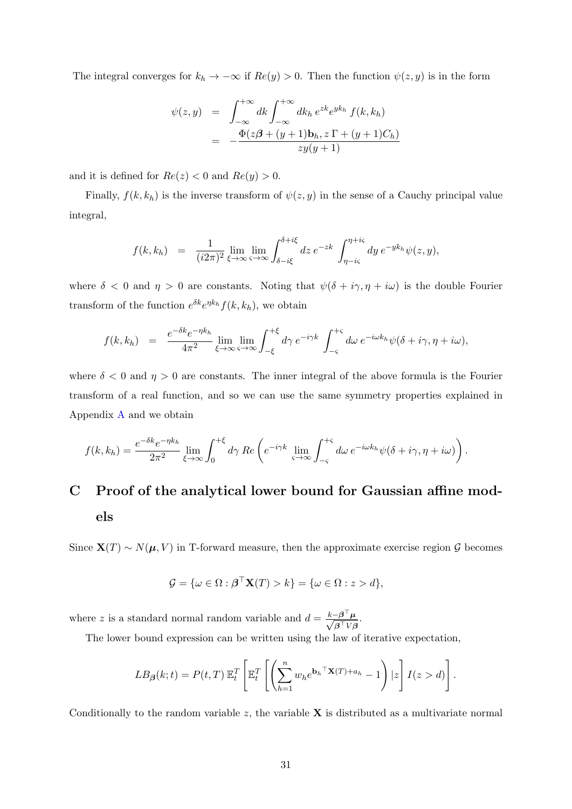The integral converges for  $k_h \to -\infty$  if  $Re(y) > 0$ . Then the function  $\psi(z, y)$  is in the form

$$
\psi(z,y) = \int_{-\infty}^{+\infty} dk \int_{-\infty}^{+\infty} dk_h e^{zk} e^{yk_h} f(k, k_h)
$$

$$
= -\frac{\Phi(z\beta + (y+1)b_h, z\Gamma + (y+1)C_h)}{zy(y+1)}
$$

and it is defined for  $Re(z) < 0$  and  $Re(y) > 0$ .

Finally,  $f(k, k_h)$  is the inverse transform of  $\psi(z, y)$  in the sense of a Cauchy principal value integral,

$$
f(k,k_h) = \frac{1}{(i2\pi)^2} \lim_{\xi \to \infty} \lim_{\varsigma \to \infty} \int_{\delta - i\xi}^{\delta + i\xi} dz \, e^{-zk} \int_{\eta - i\varsigma}^{\eta + i\varsigma} dy \, e^{-yk_h} \psi(z,y),
$$

where  $\delta$  < 0 and  $\eta > 0$  are constants. Noting that  $\psi(\delta + i\gamma, \eta + i\omega)$  is the double Fourier transform of the function  $e^{\delta k}e^{\eta k_h}f(k, k_h)$ , we obtain

$$
f(k,k_h) = \frac{e^{-\delta k}e^{-\eta k_h}}{4\pi^2} \lim_{\xi \to \infty} \lim_{\varsigma \to \infty} \int_{-\xi}^{+\xi} d\gamma \, e^{-i\gamma k} \int_{-\varsigma}^{+\varsigma} d\omega \, e^{-i\omega k_h} \psi(\delta + i\gamma, \eta + i\omega),
$$

where  $\delta < 0$  and  $\eta > 0$  are constants. The inner integral of the above formula is the Fourier transform of a real function, and so we can use the same symmetry properties explained in Appendix [A](#page-29-0) and we obtain

$$
f(k,k_h) = \frac{e^{-\delta k}e^{-\eta k_h}}{2\pi^2} \lim_{\xi \to \infty} \int_0^{+\xi} d\gamma \, Re \left( e^{-i\gamma k} \lim_{\varsigma \to \infty} \int_{-\varsigma}^{+\varsigma} d\omega \, e^{-i\omega k_h} \psi(\delta + i\gamma, \eta + i\omega) \right).
$$

# <span id="page-31-0"></span>C Proof of the analytical lower bound for Gaussian affine models

Since  $\mathbf{X}(T) \sim N(\boldsymbol{\mu}, V)$  in T-forward measure, then the approximate exercise region G becomes

$$
\mathcal{G} = \{ \omega \in \Omega : \boldsymbol{\beta}^\top \mathbf{X}(T) > k \} = \{ \omega \in \Omega : z > d \},
$$

where z is a standard normal random variable and  $d = \frac{k - \beta^{\top} \mu}{\sqrt{2\pi k}}$  $\frac{-\boldsymbol{\beta}^{\top}\boldsymbol{\mu}}{\boldsymbol{\beta}^{\top}V\boldsymbol{\beta}}.$ 

The lower bound expression can be written using the law of iterative expectation,

$$
LB_{\beta}(k;t) = P(t,T) \mathbb{E}_t^T \left[ \mathbb{E}_t^T \left[ \left( \sum_{h=1}^n w_h e^{\mathbf{b}_h^\top \mathbf{X}(T) + a_h} - 1 \right) | z \right] I(z > d) \right].
$$

Conditionally to the random variable  $z$ , the variable  $X$  is distributed as a multivariate normal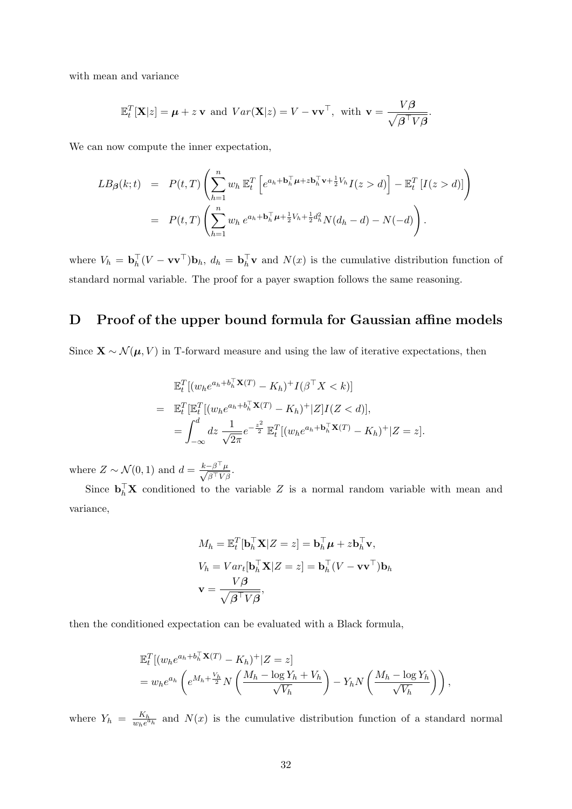with mean and variance

$$
\mathbb{E}_t^T[\mathbf{X}|z] = \boldsymbol{\mu} + z \mathbf{v} \text{ and } Var(\mathbf{X}|z) = V - \mathbf{v}\mathbf{v}^\top, \text{ with } \mathbf{v} = \frac{V\boldsymbol{\beta}}{\sqrt{\boldsymbol{\beta}^\top V\boldsymbol{\beta}}}.
$$

We can now compute the inner expectation,

$$
LB_{\beta}(k;t) = P(t,T) \left( \sum_{h=1}^{n} w_h \mathbb{E}_t^T \left[ e^{a_h + \mathbf{b}_h^{\top} \boldsymbol{\mu} + z \mathbf{b}_h^{\top} \mathbf{v} + \frac{1}{2} V_h} I(z > d) \right] - \mathbb{E}_t^T \left[ I(z > d) \right] \right)
$$
  
= 
$$
P(t,T) \left( \sum_{h=1}^{n} w_h e^{a_h + \mathbf{b}_h^{\top} \boldsymbol{\mu} + \frac{1}{2} V_h + \frac{1}{2} d_h^2} N(d_h - d) - N(-d) \right).
$$

where  $V_h = \mathbf{b}_h^{\top} (V - \mathbf{v} \mathbf{v}^{\top}) \mathbf{b}_h$ ,  $d_h = \mathbf{b}_h^{\top} \mathbf{v}$  and  $N(x)$  is the cumulative distribution function of standard normal variable. The proof for a payer swaption follows the same reasoning.

# <span id="page-32-0"></span>D Proof of the upper bound formula for Gaussian affine models

Since  $\mathbf{X} \sim \mathcal{N}(\boldsymbol{\mu}, V)$  in T-forward measure and using the law of iterative expectations, then

$$
\mathbb{E}_t^T[(w_h e^{a_h + b_h^{\top} \mathbf{X}(T)} - K_h)^+ I(\beta^{\top} X < k)]
$$
\n
$$
= \mathbb{E}_t^T[\mathbb{E}_t^T[(w_h e^{a_h + b_h^{\top} \mathbf{X}(T)} - K_h)^+ |Z]I(Z < d)],
$$
\n
$$
= \int_{-\infty}^d dz \frac{1}{\sqrt{2\pi}} e^{-\frac{z^2}{2}} \mathbb{E}_t^T[(w_h e^{a_h + b_h^{\top} \mathbf{X}(T)} - K_h)^+ |Z = z].
$$

where  $Z \sim \mathcal{N}(0, 1)$  and  $d = \frac{k - \beta^{\top} \mu}{\sqrt{2\pi k + 1}}$  $\frac{-\beta^{\top}\mu}{\beta^{\top}V\beta}.$ 

Since  $\mathbf{b}_h^{\top} \mathbf{X}$  conditioned to the variable Z is a normal random variable with mean and variance,

$$
M_h = \mathbb{E}_t^T [\mathbf{b}_h^\top \mathbf{X} | Z = z] = \mathbf{b}_h^\top \boldsymbol{\mu} + z \mathbf{b}_h^\top \mathbf{v},
$$
  
\n
$$
V_h = Var_t [\mathbf{b}_h^\top \mathbf{X} | Z = z] = \mathbf{b}_h^\top (V - \mathbf{v} \mathbf{v}^\top) \mathbf{b}_h
$$
  
\n
$$
\mathbf{v} = \frac{V\boldsymbol{\beta}}{\sqrt{\boldsymbol{\beta}^\top V \boldsymbol{\beta}}},
$$

then the conditioned expectation can be evaluated with a Black formula,

$$
\mathbb{E}_t^T \left[ (w_h e^{a_h + b_h^T \mathbf{X}(T)} - K_h)^+ | Z = z \right]
$$
  
= 
$$
w_h e^{a_h} \left( e^{M_h + \frac{V_h}{2}} N \left( \frac{M_h - \log Y_h + V_h}{\sqrt{V_h}} \right) - Y_h N \left( \frac{M_h - \log Y_h}{\sqrt{V_h}} \right) \right),
$$

where  $Y_h = \frac{K_h}{w_h e^a}$  $\frac{K_h}{w_h e^{a_h}}$  and  $N(x)$  is the cumulative distribution function of a standard normal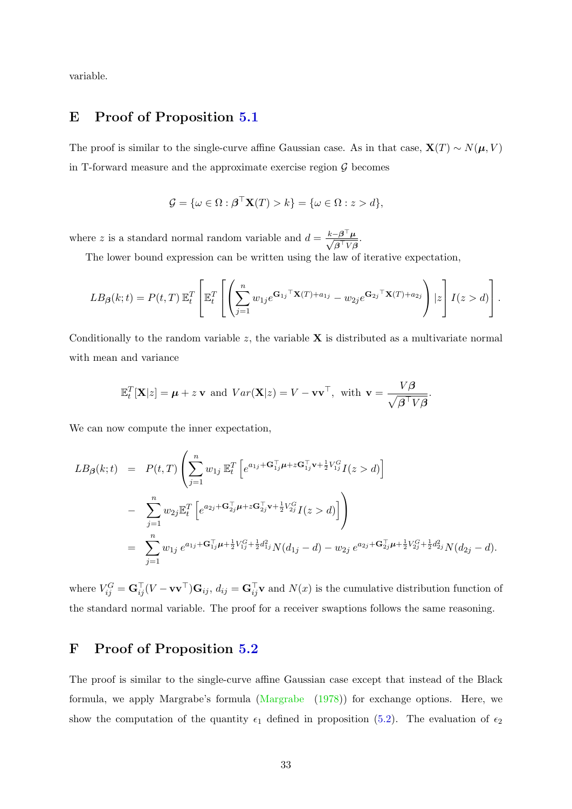variable.

## <span id="page-33-0"></span>E Proof of Proposition [5.1](#page-13-0)

The proof is similar to the single-curve affine Gaussian case. As in that case,  $\mathbf{X}(T) \sim N(\boldsymbol{\mu}, V)$ in T-forward measure and the approximate exercise region  $\mathcal G$  becomes

$$
\mathcal{G} = \{ \omega \in \Omega : \boldsymbol{\beta}^\top \mathbf{X}(T) > k \} = \{ \omega \in \Omega : z > d \},
$$

where z is a standard normal random variable and  $d = \frac{k - \beta^{\top} \mu}{\sqrt{2\pi k}}$  $\frac{-\boldsymbol{\beta}^{\top}\boldsymbol{\mu}}{\boldsymbol{\beta}^{\top}V\boldsymbol{\beta}}.$ 

The lower bound expression can be written using the law of iterative expectation,

$$
LB_{\beta}(k;t) = P(t,T) \mathbb{E}_{t}^{T} \left[ \mathbb{E}_{t}^{T} \left[ \left( \sum_{j=1}^{n} w_{1j} e^{\mathbf{G}_{1j} \mathbf{T}} \mathbf{X}(T) + a_{1j} - w_{2j} e^{\mathbf{G}_{2j} \mathbf{T}} \mathbf{X}(T) + a_{2j} \right) | z \right] I(z > d) \right].
$$

Conditionally to the random variable  $z$ , the variable  $X$  is distributed as a multivariate normal with mean and variance

$$
\mathbb{E}_t^T[\mathbf{X}|z] = \boldsymbol{\mu} + z \mathbf{v} \text{ and } Var(\mathbf{X}|z) = V - \mathbf{v}\mathbf{v}^\top, \text{ with } \mathbf{v} = \frac{V\boldsymbol{\beta}}{\sqrt{\boldsymbol{\beta}^\top V\boldsymbol{\beta}}}.
$$

We can now compute the inner expectation,

$$
LB_{\beta}(k;t) = P(t,T) \left( \sum_{j=1}^{n} w_{1j} \mathbb{E}_{t}^{T} \left[ e^{a_{1j} + \mathbf{G}_{1j}^{\top} \boldsymbol{\mu} + z \mathbf{G}_{1j}^{\top} \mathbf{v} + \frac{1}{2} V_{1j}^{G} I(z > d) \right] \right.- \sum_{j=1}^{n} w_{2j} \mathbb{E}_{t}^{T} \left[ e^{a_{2j} + \mathbf{G}_{2j}^{\top} \boldsymbol{\mu} + z \mathbf{G}_{2j}^{\top} \mathbf{v} + \frac{1}{2} V_{2j}^{G} I(z > d) \right] \right)= \sum_{j=1}^{n} w_{1j} e^{a_{1j} + \mathbf{G}_{1j}^{\top} \boldsymbol{\mu} + \frac{1}{2} V_{1j}^{G} + \frac{1}{2} d_{1j}^{2} N (d_{1j} - d) - w_{2j} e^{a_{2j} + \mathbf{G}_{2j}^{\top} \boldsymbol{\mu} + \frac{1}{2} V_{2j}^{G} + \frac{1}{2} d_{2j}^{2} N (d_{2j} - d).
$$

where  $V_{ij}^G = \mathbf{G}_{ij}^\top (V - \mathbf{v}\mathbf{v}^\top)\mathbf{G}_{ij}$ ,  $d_{ij} = \mathbf{G}_{ij}^\top \mathbf{v}$  and  $N(x)$  is the cumulative distribution function of the standard normal variable. The proof for a receiver swaptions follows the same reasoning.

# <span id="page-33-1"></span>F Proof of Proposition [5.2](#page-14-0)

The proof is similar to the single-curve affine Gaussian case except that instead of the Black formula, we apply Margrabe's formula [\(Margrabe](#page-28-8) [\(1978\)](#page-28-8)) for exchange options. Here, we show the computation of the quantity  $\epsilon_1$  defined in proposition [\(5.2\)](#page-14-0). The evaluation of  $\epsilon_2$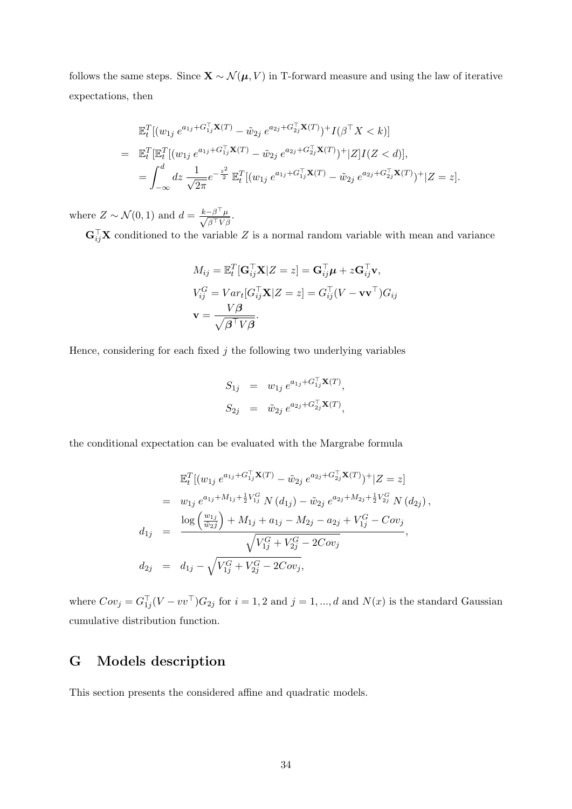follows the same steps. Since  $\mathbf{X} \sim \mathcal{N}(\boldsymbol{\mu}, V)$  in T-forward measure and using the law of iterative expectations, then

$$
\mathbb{E}_{t}^{T}[(w_{1j} e^{a_{1j} + G_{1j}^{T}} \mathbf{X}(T) - \tilde{w}_{2j} e^{a_{2j} + G_{2j}^{T}} \mathbf{X}(T)) + I(\beta^{T} X < k)]
$$
\n
$$
= \mathbb{E}_{t}^{T}[\mathbb{E}_{t}^{T}[(w_{1j} e^{a_{1j} + G_{1j}^{T}} \mathbf{X}(T) - \tilde{w}_{2j} e^{a_{2j} + G_{2j}^{T}} \mathbf{X}(T)) + |Z|I(Z < d)],
$$
\n
$$
= \int_{-\infty}^{d} dz \frac{1}{\sqrt{2\pi}} e^{-\frac{z^{2}}{2}} \mathbb{E}_{t}^{T}[(w_{1j} e^{a_{1j} + G_{1j}^{T}} \mathbf{X}(T) - \tilde{w}_{2j} e^{a_{2j} + G_{2j}^{T}} \mathbf{X}(T)) + |Z = z].
$$

where  $Z \sim \mathcal{N}(0, 1)$  and  $d = \frac{k - \beta^{\top} \mu}{\sqrt{2 \pi \epsilon} k!}$  $\frac{-\beta-\mu}{\beta^\top V \beta}.$ 

 $\mathbf{G}_{ij}^{\top} \mathbf{X}$  conditioned to the variable Z is a normal random variable with mean and variance

$$
M_{ij} = \mathbb{E}_t^T [\mathbf{G}_{ij}^\top \mathbf{X} | Z = z] = \mathbf{G}_{ij}^\top \boldsymbol{\mu} + z \mathbf{G}_{ij}^\top \mathbf{v},
$$
  
\n
$$
V_{ij}^G = Var_t [G_{ij}^\top \mathbf{X} | Z = z] = G_{ij}^\top (V - \mathbf{v} \mathbf{v}^\top) G_{ij}
$$
  
\n
$$
\mathbf{v} = \frac{V\beta}{\sqrt{\beta^\top V\beta}}.
$$

Hence, considering for each fixed  $j$  the following two underlying variables

$$
S_{1j} = w_{1j} e^{a_{1j} + G_{1j}^{\top} \mathbf{X}(T)},
$$
  
\n
$$
S_{2j} = \tilde{w}_{2j} e^{a_{2j} + G_{2j}^{\top} \mathbf{X}(T)},
$$

the conditional expectation can be evaluated with the Margrabe formula

$$
\mathbb{E}_{t}^{T}[(w_{1j} e^{a_{1j} + G_{1j}^{T}} \mathbf{X}(T) - \tilde{w}_{2j} e^{a_{2j} + G_{2j}^{T}} \mathbf{X}(T))^{+} | Z = z]
$$
\n
$$
= w_{1j} e^{a_{1j} + M_{1j} + \frac{1}{2}V_{1j}^{G}} N(d_{1j}) - \tilde{w}_{2j} e^{a_{2j} + M_{2j} + \frac{1}{2}V_{2j}^{G}} N(d_{2j}),
$$
\n
$$
d_{1j} = \frac{\log\left(\frac{w_{1j}}{\tilde{w}_{2j}}\right) + M_{1j} + a_{1j} - M_{2j} - a_{2j} + V_{1j}^{G} - Cov_{j}}{\sqrt{V_{1j}^{G} + V_{2j}^{G} - 2Cov_{j}}},
$$
\n
$$
d_{2j} = d_{1j} - \sqrt{V_{1j}^{G} + V_{2j}^{G} - 2Cov_{j}},
$$

where  $Cov_j = G_{1j}^{\top}(V - vv^{\top})G_{2j}$  for  $i = 1, 2$  and  $j = 1, ..., d$  and  $N(x)$  is the standard Gaussian cumulative distribution function.

# <span id="page-34-0"></span>G Models description

This section presents the considered affine and quadratic models.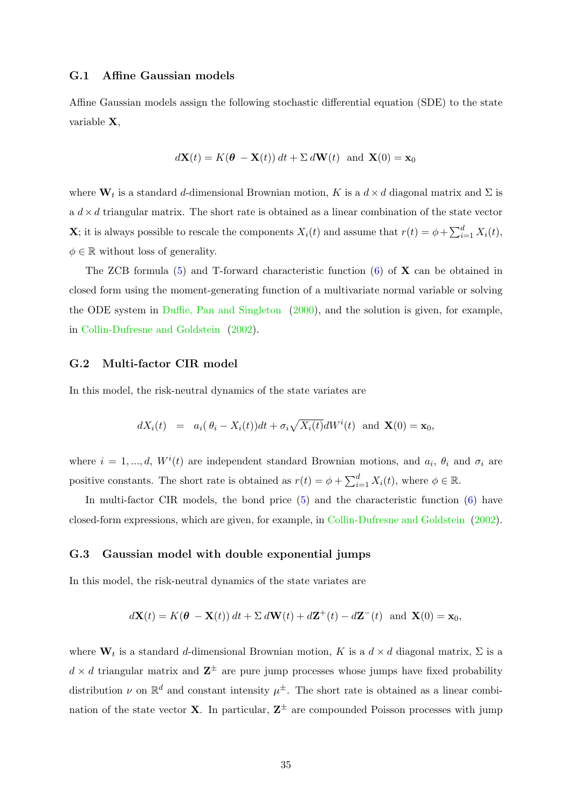### G.1 Affine Gaussian models

Affine Gaussian models assign the following stochastic differential equation (SDE) to the state variable X,

$$
d\mathbf{X}(t) = K(\boldsymbol{\theta} - \mathbf{X}(t)) dt + \Sigma d\mathbf{W}(t) \text{ and } \mathbf{X}(0) = \mathbf{x}_0
$$

where  $\mathbf{W}_t$  is a standard d-dimensional Brownian motion, K is a  $d \times d$  diagonal matrix and  $\Sigma$  is a  $d \times d$  triangular matrix. The short rate is obtained as a linear combination of the state vector **X**; it is always possible to rescale the components  $X_i(t)$  and assume that  $r(t) = \phi + \sum_{i=1}^d X_i(t)$ ,  $\phi \in \mathbb{R}$  without loss of generality.

The ZCB formula  $(5)$  and T-forward characteristic function  $(6)$  of **X** can be obtained in closed form using the moment-generating function of a multivariate normal variable or solving the ODE system in [Duffie, Pan and Singleton](#page-27-9) [\(2000\)](#page-27-9), and the solution is given, for example, in [Collin-Dufresne and Goldstein](#page-27-2) [\(2002\)](#page-27-2).

### G.2 Multi-factor CIR model

In this model, the risk-neutral dynamics of the state variates are

$$
dX_i(t) = a_i(\theta_i - X_i(t))dt + \sigma_i \sqrt{X_i(t)}dW^i(t) \text{ and } \mathbf{X}(0) = \mathbf{x}_0,
$$

where  $i = 1, ..., d$ ,  $W^{i}(t)$  are independent standard Brownian motions, and  $a_{i}$ ,  $\theta_{i}$  and  $\sigma_{i}$  are positive constants. The short rate is obtained as  $r(t) = \phi + \sum_{i=1}^{d} X_i(t)$ , where  $\phi \in \mathbb{R}$ .

In multi-factor CIR models, the bond price  $(5)$  and the characteristic function  $(6)$  have closed-form expressions, which are given, for example, in [Collin-Dufresne and Goldstein](#page-27-2) [\(2002\)](#page-27-2).

### G.3 Gaussian model with double exponential jumps

In this model, the risk-neutral dynamics of the state variates are

$$
d\mathbf{X}(t) = K(\boldsymbol{\theta} - \mathbf{X}(t)) dt + \Sigma d\mathbf{W}(t) + d\mathbf{Z}^+(t) - d\mathbf{Z}^-(t) \text{ and } \mathbf{X}(0) = \mathbf{x}_0,
$$

where  $\mathbf{W}_t$  is a standard d-dimensional Brownian motion, K is a  $d \times d$  diagonal matrix,  $\Sigma$  is a  $d \times d$  triangular matrix and  $\mathbb{Z}^{\pm}$  are pure jump processes whose jumps have fixed probability distribution  $\nu$  on  $\mathbb{R}^d$  and constant intensity  $\mu^{\pm}$ . The short rate is obtained as a linear combination of the state vector **X**. In particular,  $\mathbf{Z}^{\pm}$  are compounded Poisson processes with jump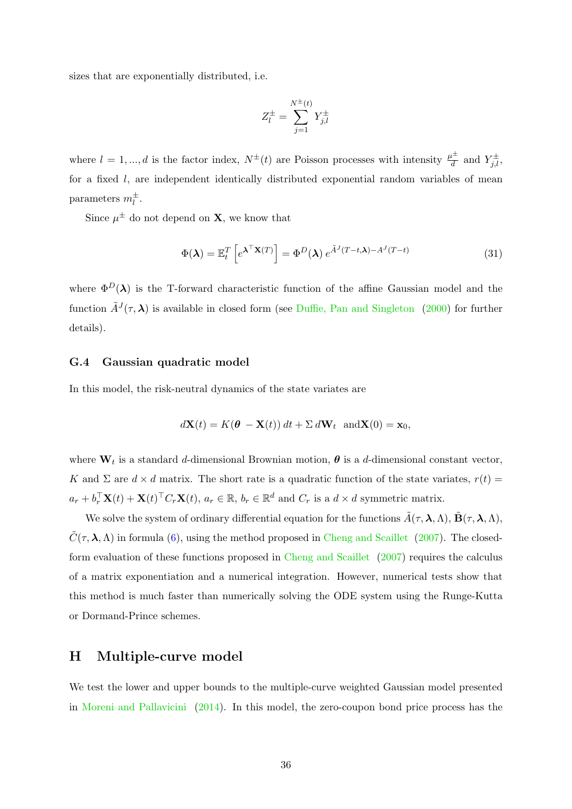sizes that are exponentially distributed, i.e.

$$
Z_l^{\pm} = \sum_{j=1}^{N^{\pm}(t)} Y_{j,l}^{\pm}
$$

where  $l = 1, ..., d$  is the factor index,  $N^{\pm}(t)$  are Poisson processes with intensity  $\frac{\mu^{\pm}}{d}$  and  $Y^{\pm}_{j,l}$ , for a fixed l, are independent identically distributed exponential random variables of mean parameters  $m_l^{\pm}$ .

Since  $\mu^{\pm}$  do not depend on **X**, we know that

$$
\Phi(\lambda) = \mathbb{E}_t^T \left[ e^{\lambda^\top \mathbf{X}(T)} \right] = \Phi^D(\lambda) e^{\tilde{A}^J (T - t, \lambda) - A^J (T - t)}
$$
\n(31)

where  $\Phi^D(\lambda)$  is the T-forward characteristic function of the affine Gaussian model and the function  $\tilde{A}^{J}(\tau,\lambda)$  is available in closed form (see [Duffie, Pan and Singleton](#page-27-9) [\(2000\)](#page-27-9) for further details).

### G.4 Gaussian quadratic model

In this model, the risk-neutral dynamics of the state variates are

$$
d\mathbf{X}(t) = K(\boldsymbol{\theta} - \mathbf{X}(t)) dt + \Sigma d\mathbf{W}_t \text{ and } \mathbf{X}(0) = \mathbf{x}_0,
$$

where  $\mathbf{W}_t$  is a standard d-dimensional Brownian motion,  $\boldsymbol{\theta}$  is a d-dimensional constant vector, K and  $\Sigma$  are  $d \times d$  matrix. The short rate is a quadratic function of the state variates,  $r(t) =$  $a_r + b_r^{\top} \mathbf{X}(t) + \mathbf{X}(t)^{\top} C_r \mathbf{X}(t)$ ,  $a_r \in \mathbb{R}$ ,  $b_r \in \mathbb{R}^d$  and  $C_r$  is a  $d \times d$  symmetric matrix.

We solve the system of ordinary differential equation for the functions  $\tilde{A}(\tau,\lambda,\Lambda)$ ,  $\tilde{B}(\tau,\lambda,\Lambda)$ ,  $\tilde{C}(\tau,\lambda,\Lambda)$  in formula [\(6\)](#page-6-3), using the method proposed in [Cheng and Scaillet](#page-27-11) [\(2007\)](#page-27-11). The closedform evaluation of these functions proposed in [Cheng and Scaillet](#page-27-11) [\(2007\)](#page-27-11) requires the calculus of a matrix exponentiation and a numerical integration. However, numerical tests show that this method is much faster than numerically solving the ODE system using the Runge-Kutta or Dormand-Prince schemes.

### <span id="page-36-0"></span>H Multiple-curve model

We test the lower and upper bounds to the multiple-curve weighted Gaussian model presented in [Moreni and Pallavicini](#page-28-6) [\(2014\)](#page-28-6). In this model, the zero-coupon bond price process has the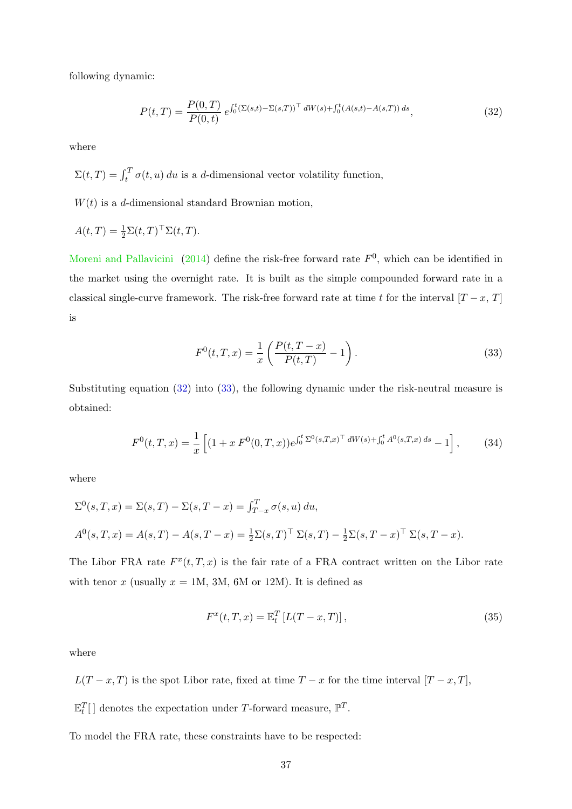following dynamic:

<span id="page-37-0"></span>
$$
P(t,T) = \frac{P(0,T)}{P(0,t)} e^{\int_0^t (\Sigma(s,t) - \Sigma(s,T))^{\top} dW(s) + \int_0^t (A(s,t) - A(s,T)) ds},
$$
\n(32)

where

 $\Sigma(t,T) = \int_t^T \sigma(t,u) \, du$  is a d-dimensional vector volatility function,

 $W(t)$  is a d-dimensional standard Brownian motion,

$$
A(t,T) = \frac{1}{2} \Sigma(t,T)^{\top} \Sigma(t,T).
$$

[Moreni and Pallavicini](#page-28-6) [\(2014\)](#page-28-6) define the risk-free forward rate  $F<sup>0</sup>$ , which can be identified in the market using the overnight rate. It is built as the simple compounded forward rate in a classical single-curve framework. The risk-free forward rate at time t for the interval  $[T - x, T]$ is

<span id="page-37-1"></span>
$$
F^{0}(t,T,x) = \frac{1}{x} \left( \frac{P(t,T-x)}{P(t,T)} - 1 \right).
$$
 (33)

Substituting equation [\(32\)](#page-37-0) into [\(33\)](#page-37-1), the following dynamic under the risk-neutral measure is obtained:

$$
F^{0}(t,T,x) = \frac{1}{x} \left[ (1+x F^{0}(0,T,x)) e^{\int_{0}^{t} \Sigma^{0}(s,T,x)^{\top} dW(s) + \int_{0}^{t} A^{0}(s,T,x) ds} - 1 \right],
$$
 (34)

where

$$
\Sigma^{0}(s,T,x) = \Sigma(s,T) - \Sigma(s,T-x) = \int_{T-x}^{T} \sigma(s,u) du,
$$
  

$$
A^{0}(s,T,x) = A(s,T) - A(s,T-x) = \frac{1}{2}\Sigma(s,T)^{\top} \Sigma(s,T) - \frac{1}{2}\Sigma(s,T-x)^{\top} \Sigma(s,T-x).
$$

The Libor FRA rate  $F^x(t,T,x)$  is the fair rate of a FRA contract written on the Libor rate with tenor x (usually  $x = 1M$ , 3M, 6M or 12M). It is defined as

$$
F^{x}(t, T, x) = \mathbb{E}_{t}^{T} [L(T - x, T)],
$$
\n(35)

where

 $L(T-x,T)$  is the spot Libor rate, fixed at time  $T-x$  for the time interval  $[T-x,T]$ ,

 $\mathbb{E}_t^T[$  denotes the expectation under T-forward measure,  $\mathbb{P}^T$ .

To model the FRA rate, these constraints have to be respected: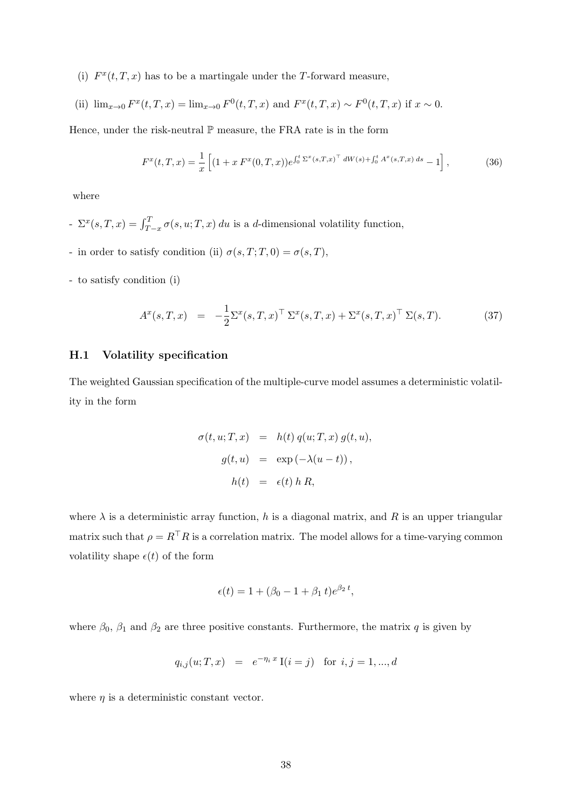(i)  $F^x(t,T,x)$  has to be a martingale under the T-forward measure,

(ii) 
$$
\lim_{x\to 0} F^x(t,T,x) = \lim_{x\to 0} F^0(t,T,x)
$$
 and  $F^x(t,T,x) \sim F^0(t,T,x)$  if  $x \sim 0$ .

Hence, under the risk-neutral  $\mathbb P$  measure, the FRA rate is in the form

<span id="page-38-0"></span>
$$
F^{x}(t,T,x) = \frac{1}{x} \left[ (1+x F^{x}(0,T,x)) e^{\int_0^t \Sigma^{x}(s,T,x)^{-} dW(s) + \int_0^t A^{x}(s,T,x) ds} - 1 \right],
$$
 (36)

where

- $\Sigma^x(s,T,x) = \int_{T-x}^T \sigma(s, u; T, x) du$  is a d-dimensional volatility function,
- in order to satisfy condition (ii)  $\sigma(s,T;T,0) = \sigma(s,T)$ ,
- to satisfy condition (i)

$$
A^{x}(s,T,x) = -\frac{1}{2}\Sigma^{x}(s,T,x)^{\top} \Sigma^{x}(s,T,x) + \Sigma^{x}(s,T,x)^{\top} \Sigma(s,T).
$$
 (37)

#### H.1 Volatility specification

The weighted Gaussian specification of the multiple-curve model assumes a deterministic volatility in the form

$$
\sigma(t, u; T, x) = h(t) q(u; T, x) g(t, u),
$$

$$
g(t, u) = \exp(-\lambda(u - t)),
$$

$$
h(t) = \epsilon(t) h R,
$$

where  $\lambda$  is a deterministic array function, h is a diagonal matrix, and R is an upper triangular matrix such that  $\rho = R^{\top}R$  is a correlation matrix. The model allows for a time-varying common volatility shape  $\epsilon(t)$  of the form

$$
\epsilon(t) = 1 + (\beta_0 - 1 + \beta_1 t)e^{\beta_2 t},
$$

where  $\beta_0$ ,  $\beta_1$  and  $\beta_2$  are three positive constants. Furthermore, the matrix q is given by

$$
q_{i,j}(u;T,x) = e^{-\eta_i x} I(i=j) \text{ for } i, j = 1, ..., d
$$

where  $\eta$  is a deterministic constant vector.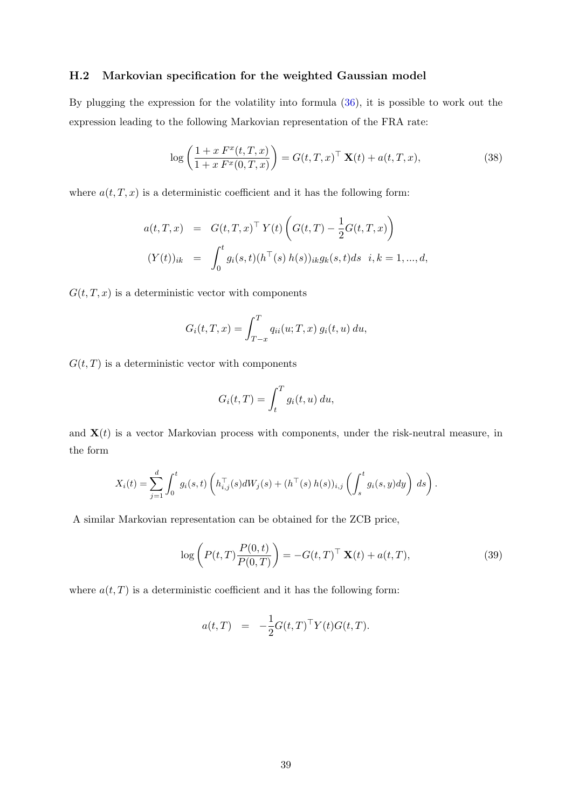### H.2 Markovian specification for the weighted Gaussian model

By plugging the expression for the volatility into formula [\(36\)](#page-38-0), it is possible to work out the expression leading to the following Markovian representation of the FRA rate:

$$
\log\left(\frac{1+x F^x(t,T,x)}{1+x F^x(0,T,x)}\right) = G(t,T,x)^\top \mathbf{X}(t) + a(t,T,x),\tag{38}
$$

where  $a(t, T, x)$  is a deterministic coefficient and it has the following form:

$$
a(t,T,x) = G(t,T,x)^{\top} Y(t) \left( G(t,T) - \frac{1}{2} G(t,T,x) \right)
$$
  

$$
(Y(t))_{ik} = \int_{0}^{t} g_{i}(s,t) (h^{\top}(s) h(s))_{ik} g_{k}(s,t) ds \quad i,k = 1,...,d,
$$

 $G(t, T, x)$  is a deterministic vector with components

$$
G_i(t, T, x) = \int_{T-x}^{T} q_{ii}(u; T, x) g_i(t, u) du,
$$

 $G(t, T)$  is a deterministic vector with components

$$
G_i(t,T) = \int_t^T g_i(t,u) \, du,
$$

and  $X(t)$  is a vector Markovian process with components, under the risk-neutral measure, in the form

$$
X_i(t) = \sum_{j=1}^d \int_0^t g_i(s,t) \left( h_{i,j}^{\top}(s) dW_j(s) + (h^{\top}(s) h(s))_{i,j} \left( \int_s^t g_i(s,y) dy \right) ds \right).
$$

A similar Markovian representation can be obtained for the ZCB price,

$$
\log\left(P(t,T)\frac{P(0,t)}{P(0,T)}\right) = -G(t,T)^\top \mathbf{X}(t) + a(t,T),\tag{39}
$$

where  $a(t, T)$  is a deterministic coefficient and it has the following form:

$$
a(t,T) = -\frac{1}{2}G(t,T)^{\top}Y(t)G(t,T).
$$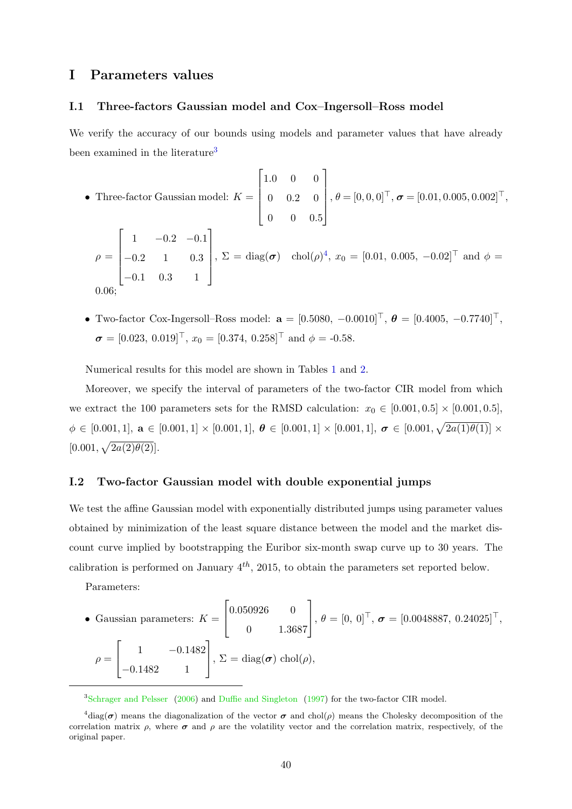# <span id="page-40-0"></span>I Parameters values

### I.1 Three-factors Gaussian model and Cox–Ingersoll–Ross model

We verify the accuracy of our bounds using models and parameter values that have already been examined in the literature<sup>[3](#page-40-1)</sup>

• Three-factor Gaussian model: 
$$
K = \begin{bmatrix} 1.0 & 0 & 0 \ 0 & 0.2 & 0 \ 0 & 0 & 0.5 \end{bmatrix}
$$
,  $\theta = [0, 0, 0]^{\top}$ ,  $\boldsymbol{\sigma} = [0.01, 0.005, 0.002]^{\top}$ ,  
\n
$$
\rho = \begin{bmatrix} 1 & -0.2 & -0.1 \ -0.2 & 1 & 0.3 \ -0.1 & 0.3 & 1 \end{bmatrix}
$$
,  $\Sigma = \text{diag}(\boldsymbol{\sigma}) \text{ chol}(\rho)^4$ ,  $x_0 = [0.01, 0.005, -0.02]^{\top}$  and  $\phi = 0.06$ ;

• Two-factor Cox-Ingersoll–Ross model:  $\mathbf{a} = [0.5080, -0.0010]^\top, \ \boldsymbol{\theta} = [0.4005, -0.7740]^\top,$  $\boldsymbol{\sigma} = [0.023, 0.019]^\top, x_0 = [0.374, 0.258]^\top \text{ and } \phi = -0.58.$ 

Numerical results for this model are shown in Tables [1](#page-20-0) and [2.](#page-21-0)

Moreover, we specify the interval of parameters of the two-factor CIR model from which we extract the 100 parameters sets for the RMSD calculation:  $x_0 \in [0.001, 0.5] \times [0.001, 0.5]$ ,  $\phi \in [0.001, 1], \mathbf{a} \in [0.001, 1] \times [0.001, 1], \boldsymbol{\theta} \in [0.001, 1] \times [0.001, 1], \boldsymbol{\sigma} \in [0.001, \sqrt{2a(1)\theta(1)}] \times$  $[0.001, \sqrt{2a(2)\theta(2)}].$ 

### I.2 Two-factor Gaussian model with double exponential jumps

We test the affine Gaussian model with exponentially distributed jumps using parameter values obtained by minimization of the least square distance between the model and the market discount curve implied by bootstrapping the Euribor six-month swap curve up to 30 years. The calibration is performed on January  $4^{th}$ , 2015, to obtain the parameters set reported below.

Parameters:

• Gaussian parameters: 
$$
K = \begin{bmatrix} 0.050926 & 0 \\ 0 & 1.3687 \end{bmatrix}
$$
,  $\theta = [0, 0]^\top$ ,  $\boldsymbol{\sigma} = [0.0048887, 0.24025]^\top$ ,  
\n $\rho = \begin{bmatrix} 1 & -0.1482 \\ -0.1482 & 1 \end{bmatrix}$ ,  $\Sigma = \text{diag}(\boldsymbol{\sigma}) \text{ chol}(\rho)$ ,

<span id="page-40-2"></span><span id="page-40-1"></span><sup>3</sup>[Schrager and Pelsser](#page-28-1) [\(2006\)](#page-28-1) and [Duffie and Singleton](#page-27-12) [\(1997\)](#page-27-12) for the two-factor CIR model.

 $^{4}$ diag( $\sigma$ ) means the diagonalization of the vector  $\sigma$  and chol( $\rho$ ) means the Cholesky decomposition of the correlation matrix  $\rho$ , where  $\sigma$  and  $\rho$  are the volatility vector and the correlation matrix, respectively, of the original paper.